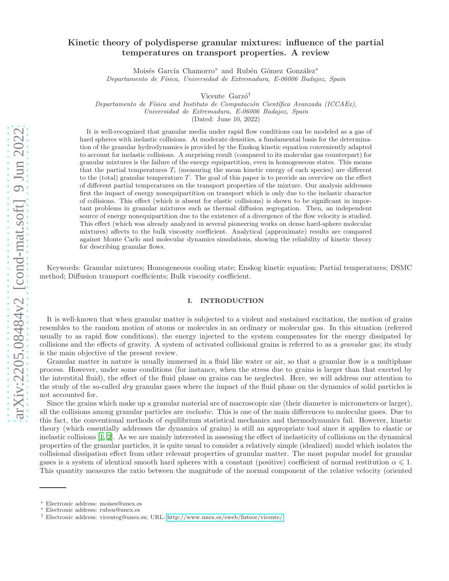# Kinetic theory of polydisperse granular mixtures: influence of the partial temperatures on transport properties. A review

Moisés García Chamorro\* and Rubén Gómez González\* Departamento de Física, Universidad de Extremadura, E-06006 Badajoz, Spain

Vicente Garzó<sup>†</sup>

Departamento de Física and Instituto de Computación Científica Avanzada (ICCAEx), Universidad de Extremadura, E-06006 Badajoz, Spain

(Dated: June 10, 2022)

It is well-recognized that granular media under rapid flow conditions can be modeled as a gas of hard spheres with inelastic collisions. At moderate densities, a fundamental basis for the determination of the granular hydrodynamics is provided by the Enskog kinetic equation conveniently adapted to account for inelastic collisions. A surprising result (compared to its molecular gas counterpart) for granular mixtures is the failure of the energy equipartition, even in homogeneous states. This means that the partial temperatures  $T_i$  (measuring the mean kinetic energy of each species) are different to the (total) granular temperature  $T$ . The goal of this paper is to provide an overview on the effect of different partial temperatures on the transport properties of the mixture. Our analysis addresses first the impact of energy nonequipartition on transport which is only due to the inelastic character of collisions. This effect (which is absent for elastic collisions) is shown to be significant in important problems in granular mixtures such as thermal diffusion segregation. Then, an independent source of energy nonequipartition due to the existence of a divergence of the flow velocity is studied. This effect (which was already analyzed in several pioneering works on dense hard-sphere molecular mixtures) affects to the bulk viscosity coefficient. Analytical (approximate) results are compared against Monte Carlo and molecular dynamics simulations, showing the reliability of kinetic theory for describing granular flows.

Keywords: Granular mixtures; Homogeneous cooling state; Enskog kinetic equation; Partial temperatures; DSMC method; Diffusion transport coefficients; Bulk viscosity coefficient.

### <span id="page-0-0"></span>I. INTRODUCTION

It is well-known that when granular matter is subjected to a violent and sustained excitation, the motion of grains resembles to the random motion of atoms or molecules in an ordinary or molecular gas. In this situation (referred usually to as rapid flow conditions), the energy injected to the system compensates for the energy dissipated by collisions and the effects of gravity. A system of activated collisional grains is referred to as a granular gas; its study is the main objective of the present review.

Granular matter in nature is usually immersed in a fluid like water or air, so that a granular flow is a multiphase process. However, under some conditions (for instance, when the stress due to grains is larger than that exerted by the interstital fluid), the effect of the fluid phase on grains can be neglected. Here, we will address our attention to the study of the so-called *dry* granular gases where the impact of the fluid phase on the dynamics of solid particles is not accounted for.

Since the grains which make up a granular material are of macroscopic size (their diameter is micrometers or larger), all the collisions among granular particles are inelastic. This is one of the main differences to molecular gases. Due to this fact, the conventional methods of equilibrium statistical mechanics and thermodynamics fail. However, kinetic theory (which essentially addresses the dynamics of grains) is still an appropriate tool since it applies to elastic or inelastic collisions [\[1](#page-29-0), [2\]](#page-29-1). As we are mainly interested in assessing the effect of inelasticity of collisions on the dynamical properties of the granular particles, it is quite usual to consider a relatively simple (idealized) model which isolates the collisional dissipation effect from other relevant properties of granular matter. The most popular model for granular gases is a system of identical smooth hard spheres with a constant (positive) coefficient of normal restitution  $\alpha \leq 1$ . This quantity measures the ratio between the magnitude of the normal component of the relative velocity (oriented

<sup>∗</sup> Electronic address: moises@unex.es

<sup>∗</sup> Electronic address: ruben@unex.es

<sup>†</sup> Electronic address: vicenteg@unex.es; URL:<http://www.unex.es/eweb/fisteor/vicente/>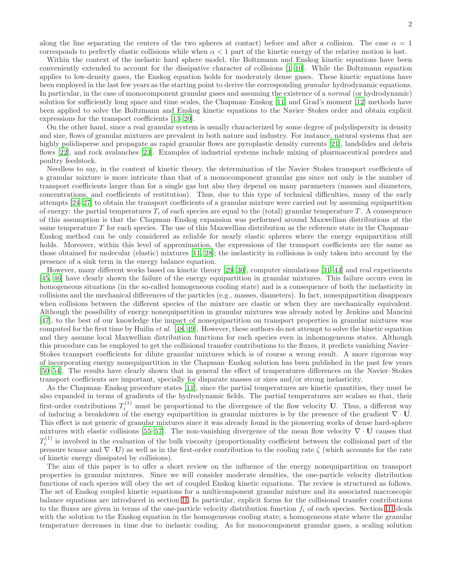along the line separating the centers of the two spheres at contact) before and after a collision. The case  $\alpha = 1$ corresponds to perfectly elastic collisions while when  $\alpha < 1$  part of the kinetic energy of the relative motion is lost.

Within the context of the inelastic hard sphere model, the Boltzmann and Enskog kinetic equations have been conveniently extended to account for the dissipative character of collisions [\[1](#page-29-0)[–10\]](#page-30-0). While the Boltzmann equation applies to low-density gases, the Enskog equation holds for moderately dense gases. These kinetic equations have been employed in the last few years as the starting point to derive the corresponding *granular* hydrodynamic equations. In particular, in the case of monocomponent granular gases and assuming the existence of a *normal* (or hydrodynamic) solution for sufficiently long space and time scales, the Chapman–Enskog [\[11\]](#page-30-1) and Grad's moment [\[12\]](#page-30-2) methods have been applied to solve the Boltzmann and Enskog kinetic equations to the Navier–Stokes order and obtain explicit expressions for the transport coefficients [\[13](#page-30-3)[–20\]](#page-30-4).

On the other hand, since a real granular system is usually characterized by some degree of polydispersity in density and size, flows of granular mixtures are prevalent in both nature and industry. For instance, natural systems that are highly polidisperse and propagate as rapid granular flows are pyroplastic density currents [\[21\]](#page-30-5), landslides and debris flows [\[22\]](#page-30-6), and rock avalanches [\[23\]](#page-30-7). Examples of industrial systems include mixing of pharmaceutical powders and poultry feedstock.

Needless to say, in the context of kinetic theory, the determination of the Navier–Stokes transport coefficients of a granular mixture is more intricate than that of a monocomponent granular gas since not only is the number of transport coefficients larger than for a single gas but also they depend on many parameters (masses and diameters, concentrations, and coefficients of restitution). Thus, due to this type of technical difficulties, many of the early attempts [\[24–](#page-30-8)[27\]](#page-30-9) to obtain the transport coefficients of a granular mixture were carried out by assuming equipartition of energy: the partial temperatures  $T_i$  of each species are equal to the (total) granular temperature T. A consequence of this assumption is that the Chapman–Enskog expansion was performed around Maxwellian distributions at the same temperature  $T$  for each species. The use of this Maxwellian distribution as the reference state in the Chapman– Enskog method can be only considered as reliable for nearly elastic spheres where the energy equipartition still holds. Moreover, within this level of approximation, the expressions of the transport coefficients are the same as those obtained for molecular (elastic) mixtures [\[11](#page-30-1), [28](#page-30-10)]; the inelasticity in collisions is only taken into account by the presence of a sink term in the energy balance equation.

However, many different works based on kinetic theory [\[29,](#page-30-11) [30](#page-30-12)], computer simulations [\[31](#page-30-13)[–44\]](#page-30-14) and real experiments [\[45,](#page-30-15) [46](#page-30-16)] have clearly shown the failure of the energy equipartition in granular mixtures. This failure occurs even in homogeneous situations (in the so-called homogeneous cooling state) and is a consequence of both the inelasticity in collisions and the mechanical differences of the particles (e.g., masses, diameters). In fact, nonequipartition disappears when collisions between the different species of the mixture are elastic or when they are mechanically equivalent. Although the possibility of energy nonequipartition in granular mixtures was already noted by Jenkins and Mancini [\[47\]](#page-31-0), to the best of our knowledge the impact of nonequipartition on transport properties in granular mixtures was computed for the first time by Huilin *et al.* [\[48](#page-31-1), [49](#page-31-2)]. However, these authors do not attempt to solve the kinetic equation and they assume local Maxwellian distribution functions for each species even in inhomogeneous states. Although this procedure can be employed to get the collisional transfer contributions to the fluxes, it predicts vanishing Navier– Stokes transport coefficients for dilute granular mixtures which is of course a wrong result. A more rigorous way of incorporating energy nonequipartition in the Chapman–Enskog solution has been published in the past few years [\[50](#page-31-3)[–54\]](#page-31-4). The results have clearly shown that in general the effect of temperatures differences on the Navier–Stokes transport coefficients are important, specially for disparate masses or sizes and/or strong inelasticity.

As the Chapman–Enskog procedure states [\[11](#page-30-1)], since the partial temperatures are kinetic quantities, they must be also expanded in terms of gradients of the hydrodynamic fields. The partial temperatures are scalars so that, their first-order contributions  $T_i^{(1)}$  must be proportional to the divergence of the flow velocity U. Thus, a different way of inducing a breakdown of the energy equipartition in granular mixtures is by the presence of the gradient ∇ · U. This effect is not generic of granular mixtures since it was already found in the pioneering works of dense hard-sphere mixtures with elastic collisions [\[55](#page-31-5)[–57](#page-31-6)]. The non-vanishing divergence of the mean flow velocity  $\nabla \cdot \mathbf{U}$  causes that  $T_i^{(1)}$  is involved in the evaluation of the bulk viscosity (proportionality coefficient between the collisional part of the pressure tensor and  $\nabla \cdot \mathbf{U}$ ) as well as in the first-order contribution to the cooling rate  $\zeta$  (which accounts for the rate of kinetic energy dissipated by collisions).

The aim of this paper is to offer a short review on the influence of the energy nonequipartition on transport properties in granular mixtures. Since we will consider moderate densities, the one-particle velocity distribution functions of each species will obey the set of coupled Enskog kinetic equations. The review is structured as follows. The set of Enskog coupled kinetic equations for a multicomponent granular mixture and its associated macroscopic balance equations are introduced in section [II.](#page-2-0) In particular, explicit forms for the collisional transfer contributions to the fluxes are given in terms of the one-particle velocity distribution function  $f_i$  of each species. Section [III](#page-6-0) deals with the solution to the Enskog equation in the homogeneous cooling state; a homogeneous state where the granular temperature decreases in time due to inelastic cooling. As for monocomponent granular gases, a scaling solution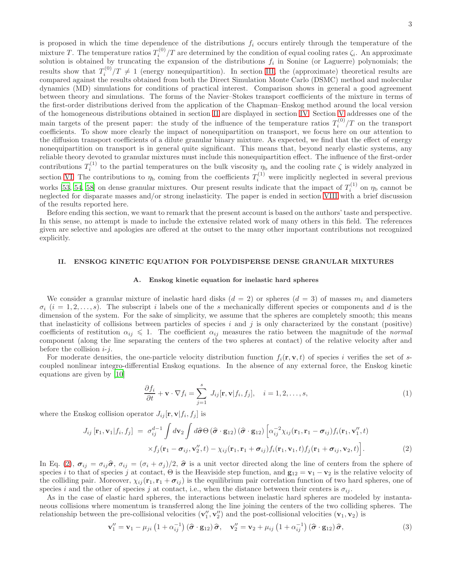is proposed in which the time dependence of the distributions  $f_i$  occurs entirely through the temperature of the mixture T. The temperature ratios  $T_i^{(0)}/T$  are determined by the condition of equal cooling rates  $\zeta_i$ . An approximate solution is obtained by truncating the expansion of the distributions  $f_i$  in Sonine (or Laguerre) polynomials; the results show that  $T_i^{(0)}$  $\sum_{i=1}^{\infty}$  (energy nonequipartition). In section [III,](#page-6-0) the (approximate) theoretical results are compared against the results obtained from both the Direct Simulation Monte Carlo (DSMC) method and molecular dynamics (MD) simulations for conditions of practical interest. Comparison shows in general a good agreement between theory and simulations. The forms of the Navier–Stokes transport coefficients of the mixture in terms of the first-order distributions derived from the application of the Chapman–Enskog method around the local version of the homogeneous distributions obtained in section [II](#page-2-0) are displayed in section [IV.](#page-11-0) Section [V](#page-17-0) addresses one of the main targets of the present paper: the study of the influence of the temperature ratios  $T_i^{(0)}/T$  on the transport coefficients. To show more clearly the impact of nonequipartition on transport, we focus here on our attention to the diffusion transport coefficients of a dilute granular binary mixture. As expected, we find that the effect of energy nonequipartition on transport is in general quite significant. This means that, beyond nearly elastic systems, any reliable theory devoted to granular mixtures must include this nonequipartition effect. The influence of the first-order contributions  $T_i^{(1)}$  to the partial temperatures on the bulk viscosity  $\eta_b$  and the cooling rate  $\zeta$  is widely analyzed in section [VI.](#page-19-0) The contributions to  $\eta_b$  coming from the coefficients  $T_i^{(1)}$  were implicitly neglected in several previous works [\[53](#page-31-7), [54,](#page-31-4) [58\]](#page-31-8) on dense granular mixtures. Our present results indicate that the impact of  $T_i^{(1)}$  on  $\eta_{\rm b}$  cannot be neglected for disparate masses and/or strong inelasticity. The paper is ended in section [VIII](#page-28-0) with a brief discussion of the results reported here.

Before ending this section, we want to remark that the present account is based on the authors' taste and perspective. In this sense, no attempt is made to include the extensive related work of many others in this field. The references given are selective and apologies are offered at the outset to the many other important contributions not recognized explicitly.

## <span id="page-2-0"></span>II. ENSKOG KINETIC EQUATION FOR POLYDISPERSE DENSE GRANULAR MIXTURES

### A. Enskog kinetic equation for inelastic hard spheres

We consider a granular mixture of inelastic hard disks  $(d = 2)$  or spheres  $(d = 3)$  of masses  $m_i$  and diameters  $\sigma_i$  (i = 1, 2, ..., s). The subscript i labels one of the s mechanically different species or components and d is the dimension of the system. For the sake of simplicity, we assume that the spheres are completely smooth; this means that inelasticity of collisions between particles of species  $i$  and  $j$  is only characterized by the constant (positive) coefficients of restitution  $\alpha_{ij} \leq 1$ . The coefficient  $\alpha_{ij}$  measures the ratio between the magnitude of the normal component (along the line separating the centers of the two spheres at contact) of the relative velocity after and before the collision  $i-j$ .

For moderate densities, the one-particle velocity distribution function  $f_i(\mathbf{r}, \mathbf{v}, t)$  of species i verifies the set of scoupled nonlinear integro-differential Enskog equations. In the absence of any external force, the Enskog kinetic equations are given by [\[10\]](#page-30-0)

<span id="page-2-3"></span>
$$
\frac{\partial f_i}{\partial t} + \mathbf{v} \cdot \nabla f_i = \sum_{j=1}^s J_{ij}[\mathbf{r}, \mathbf{v} | f_i, f_j], \quad i = 1, 2, \dots, s,
$$
\n(1)

where the Enskog collision operator  $J_{ij}[\mathbf{r}, \mathbf{v}|f_i, f_j]$  is

<span id="page-2-1"></span>
$$
J_{ij}[\mathbf{r}_1, \mathbf{v}_1 | f_i, f_j] = \sigma_{ij}^{d-1} \int d\mathbf{v}_2 \int d\hat{\boldsymbol{\sigma}} \Theta (\hat{\boldsymbol{\sigma}} \cdot \mathbf{g}_{12}) (\hat{\boldsymbol{\sigma}} \cdot \mathbf{g}_{12}) \left[ \alpha_{ij}^{-2} \chi_{ij}(\mathbf{r}_1, \mathbf{r}_1 - \boldsymbol{\sigma}_{ij}) f_i(\mathbf{r}_1, \mathbf{v}_1'', t) \right. \\
\times f_j(\mathbf{r}_1 - \boldsymbol{\sigma}_{ij}, \mathbf{v}_2'', t) - \chi_{ij}(\mathbf{r}_1, \mathbf{r}_1 + \boldsymbol{\sigma}_{ij}) f_i(\mathbf{r}_1, \mathbf{v}_1, t) f_j(\mathbf{r}_1 + \boldsymbol{\sigma}_{ij}, \mathbf{v}_2, t) \right].
$$
\n(2)

In Eq. [\(2\)](#page-2-1),  $\sigma_{ij} = \sigma_{ij} \hat{\sigma}$ ,  $\sigma_{ij} = (\sigma_i + \sigma_j)/2$ ,  $\hat{\sigma}$  is a unit vector directed along the line of centers from the sphere of species i to that of species j at contact,  $\Theta$  is the Heaviside step function, and  $\mathbf{g}_{12} = \mathbf{v}_1 - \mathbf{v}_2$  is the relative velocity of the colliding pair. Moreover,  $\chi_{ij}(\mathbf{r}_1, \mathbf{r}_1 + \sigma_{ij})$  is the equilibrium pair correlation function of two hard spheres, one of species i and the other of species j at contact, i.e., when the distance between their centers is  $\sigma_{ij}$ .

As in the case of elastic hard spheres, the interactions between inelastic hard spheres are modeled by instantaneous collisions where momentum is transferred along the line joining the centers of the two colliding spheres. The relationship between the pre-collisional velocities  $(v''_1, v''_2)$  and the post-collisional velocities  $(v_1, v_2)$  is

<span id="page-2-2"></span>
$$
\mathbf{v}_{1}^{"} = \mathbf{v}_{1} - \mu_{ji} \left( 1 + \alpha_{ij}^{-1} \right) \left( \hat{\boldsymbol{\sigma}} \cdot \mathbf{g}_{12} \right) \hat{\boldsymbol{\sigma}}, \quad \mathbf{v}_{2}^{"} = \mathbf{v}_{2} + \mu_{ij} \left( 1 + \alpha_{ij}^{-1} \right) \left( \hat{\boldsymbol{\sigma}} \cdot \mathbf{g}_{12} \right) \hat{\boldsymbol{\sigma}}, \tag{3}
$$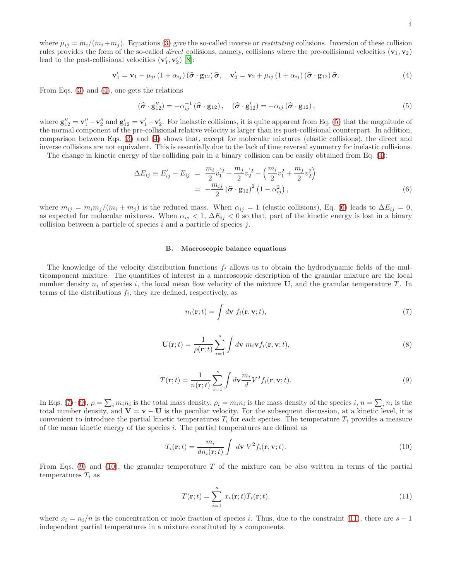where  $\mu_{ij} = m_i/(m_i + m_j)$ . Equations [\(3\)](#page-2-2) give the so-called inverse or *restituting* collisions. Inversion of these collision rules provides the form of the so-called *direct* collisions, namely, collisions where the pre-collisional velocities  $(v_1, v_2)$ lead to the post-collisional velocities  $(\mathbf{v}'_1, \mathbf{v}'_2)$  [\[8\]](#page-29-2):

<span id="page-3-0"></span>
$$
\mathbf{v}'_1 = \mathbf{v}_1 - \mu_{ji} \left( 1 + \alpha_{ij} \right) \left( \hat{\boldsymbol{\sigma}} \cdot \mathbf{g}_{12} \right) \hat{\boldsymbol{\sigma}}, \quad \mathbf{v}'_2 = \mathbf{v}_2 + \mu_{ij} \left( 1 + \alpha_{ij} \right) \left( \hat{\boldsymbol{\sigma}} \cdot \mathbf{g}_{12} \right) \hat{\boldsymbol{\sigma}}.
$$
 (4)

From Eqs. [\(3\)](#page-2-2) and [\(4\)](#page-3-0), one gets the relations

<span id="page-3-1"></span>
$$
\left(\widehat{\boldsymbol{\sigma}}\cdot\mathbf{g}_{12}''\right)=-\alpha_{ij}^{-1}\left(\widehat{\boldsymbol{\sigma}}\cdot\mathbf{g}_{12}\right),\quad\left(\widehat{\boldsymbol{\sigma}}\cdot\mathbf{g}_{12}'\right)=-\alpha_{ij}\left(\widehat{\boldsymbol{\sigma}}\cdot\mathbf{g}_{12}\right),\tag{5}
$$

where  $\mathbf{g}_{12}'' = \mathbf{v}_1'' - \mathbf{v}_2''$  and  $\mathbf{g}_{12}' = \mathbf{v}_1' - \mathbf{v}_2'$ . For inelastic collisions, it is quite apparent from Eq. [\(5\)](#page-3-1) that the magnitude of the normal component of the pre-collisional relative velocity is larger than its post-collisional counterpart. In addition, comparison between Eqs. [\(3\)](#page-2-2) and [\(4\)](#page-3-0) shows that, except for molecular mixtures (elastic collisions), the direct and inverse collisions are not equivalent. This is essentially due to the lack of time reversal symmetry for inelastic collisions.

The change in kinetic energy of the colliding pair in a binary collision can be easily obtained from Eq. [\(4\)](#page-3-0):

<span id="page-3-2"></span>
$$
\Delta E_{ij} \equiv E'_{ij} - E_{ij} = \frac{m_i}{2} v_1^{'2} + \frac{m_j}{2} v_2^{'2} - \left(\frac{m_i}{2} v_1^2 + \frac{m_j}{2} v_2^2\right)
$$
  
= 
$$
-\frac{m_{ij}}{2} \left(\hat{\boldsymbol{\sigma}} \cdot \mathbf{g}_{12}\right)^2 \left(1 - \alpha_{ij}^2\right), \tag{6}
$$

where  $m_{ij} = m_i m_j/(m_i + m_j)$  is the reduced mass. When  $\alpha_{ij} = 1$  (elastic collisions), Eq. [\(6\)](#page-3-2) leads to  $\Delta E_{ij} = 0$ , as expected for molecular mixtures. When  $\alpha_{ij} < 1$ ,  $\Delta E_{ij} < 0$  so that, part of the kinetic energy is lost in a binary collision between a particle of species  $i$  and a particle of species  $j$ .

### B. Macroscopic balance equations

The knowledge of the velocity distribution functions  $f_i$  allows us to obtain the hydrodynamic fields of the multicomponent mixture. The quantities of interest in a macroscopic description of the granular mixture are the local number density  $n_i$  of species i, the local mean flow velocity of the mixture U, and the granular temperature T. In terms of the distributions  $f_i$ , they are defined, respectively, as

<span id="page-3-3"></span>
$$
n_i(\mathbf{r};t) = \int d\mathbf{v} \ f_i(\mathbf{r}, \mathbf{v};t), \tag{7}
$$

$$
\mathbf{U}(\mathbf{r};t) = \frac{1}{\rho(\mathbf{r};t)} \sum_{i=1}^{s} \int d\mathbf{v} \; m_i \mathbf{v} f_i(\mathbf{r}, \mathbf{v};t), \tag{8}
$$

<span id="page-3-4"></span>
$$
T(\mathbf{r};t) = \frac{1}{n(\mathbf{r};t)} \sum_{i=1}^{s} \int d\mathbf{v} \frac{m_i}{d} V^2 f_i(\mathbf{r}, \mathbf{v}; t).
$$
\n(9)

In Eqs. [\(7\)](#page-3-3)–[\(9\)](#page-3-4),  $\rho = \sum_i m_i n_i$  is the total mass density,  $\rho_i = m_i n_i$  is the mass density of the species  $i, n = \sum_i n_i$  is the total number density, and  $V = v - U$  is the peculiar velocity. For the subsequent discussion, at a kinetic level, it is convenient to introduce the partial kinetic temperatures  $T_i$  for each species. The temperature  $T_i$  provides a measure of the mean kinetic energy of the species  $i$ . The partial temperatures are defined as

<span id="page-3-5"></span>
$$
T_i(\mathbf{r};t) = \frac{m_i}{dn_i(\mathbf{r};t)} \int d\mathbf{v} \ V^2 f_i(\mathbf{r}, \mathbf{v};t).
$$
 (10)

From Eqs. [\(9\)](#page-3-4) and [\(10\)](#page-3-5), the granular temperature T of the mixture can be also written in terms of the partial temperatures  $T_i$  as

<span id="page-3-6"></span>
$$
T(\mathbf{r};t) = \sum_{i=1}^{s} x_i(\mathbf{r};t) T_i(\mathbf{r};t),
$$
\n(11)

where  $x_i = n_i/n$  is the concentration or mole fraction of species i. Thus, due to the constraint [\(11\)](#page-3-6), there are  $s - 1$ independent partial temperatures in a mixture constituted by s components.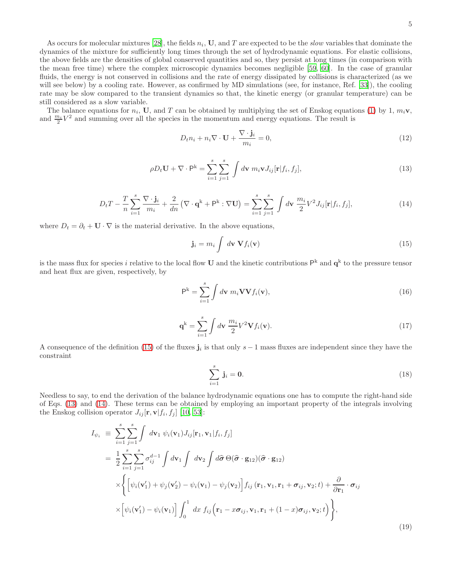As occurs for molecular mixtures [\[28\]](#page-30-10), the fields  $n_i$ , U, and T are expected to be the *slow* variables that dominate the dynamics of the mixture for sufficiently long times through the set of hydrodynamic equations. For elastic collisions, the above fields are the densities of global conserved quantities and so, they persist at long times (in comparison with the mean free time) where the complex microscopic dynamics becomes negligible [\[59,](#page-31-9) [60](#page-31-10)]. In the case of granular fluids, the energy is not conserved in collisions and the rate of energy dissipated by collisions is characterized (as we will see below) by a cooling rate. However, as confirmed by MD simulations (see, for instance, Ref. [\[33\]](#page-30-17)), the cooling rate may be slow compared to the transient dynamics so that, the kinetic energy (or granular temperature) can be still considered as a slow variable.

The balance equations for  $n_i$ , U, and T can be obtained by multiplying the set of Enskog equations [\(1\)](#page-2-3) by 1,  $m_i$ **v**, and  $\frac{m_i}{2}V^2$  and summing over all the species in the momentum and energy equations. The result is

<span id="page-4-4"></span>
$$
D_t n_i + n_i \nabla \cdot \mathbf{U} + \frac{\nabla \cdot \mathbf{j}_i}{m_i} = 0,
$$
\n(12)

<span id="page-4-1"></span>
$$
\rho D_t \mathbf{U} + \nabla \cdot \mathbf{P}^{\mathbf{k}} = \sum_{i=1}^{s} \sum_{j=1}^{s} \int d\mathbf{v} \; m_i \mathbf{v} J_{ij}[\mathbf{r}|f_i, f_j], \tag{13}
$$

<span id="page-4-2"></span>
$$
D_t T - \frac{T}{n} \sum_{i=1}^s \frac{\nabla \cdot \mathbf{j}_i}{m_i} + \frac{2}{dn} \left( \nabla \cdot \mathbf{q}^k + \mathbf{P}^k : \nabla \mathbf{U} \right) = \sum_{i=1}^s \sum_{j=1}^s \int d\mathbf{v} \frac{m_i}{2} V^2 J_{ij}[\mathbf{r}|f_i, f_j], \tag{14}
$$

where  $D_t=\partial_t+\mathbf{U}\cdot\nabla$  is the material derivative. In the above equations,

<span id="page-4-0"></span>
$$
\mathbf{j}_i = m_i \int d\mathbf{v} \, \mathbf{V} f_i(\mathbf{v}) \tag{15}
$$

is the mass flux for species i relative to the local flow U and the kinetic contributions  $\mathsf{P}^k$  and  $\mathsf{q}^k$  to the pressure tensor and heat flux are given, respectively, by

$$
\mathsf{P}^{\mathsf{k}} = \sum_{i=1}^{s} \int d\mathbf{v} \; m_i \mathbf{V} \mathbf{V} f_i(\mathbf{v}), \tag{16}
$$

$$
\mathbf{q}^k = \sum_{i=1}^s \int d\mathbf{v} \, \frac{m_i}{2} V^2 \mathbf{V} f_i(\mathbf{v}). \tag{17}
$$

A consequence of the definition [\(15\)](#page-4-0) of the fluxes  $\mathbf{j}_i$  is that only  $s-1$  mass fluxes are independent since they have the constraint

$$
\sum_{i=1}^{s} \mathbf{j}_i = \mathbf{0}.\tag{18}
$$

Needless to say, to end the derivation of the balance hydrodynamic equations one has to compute the right-hand side of Eqs. [\(13\)](#page-4-1) and [\(14\)](#page-4-2). These terms can be obtained by employing an important property of the integrals involving the Enskog collision operator  $J_{ij}[\mathbf{r}, \mathbf{v}|f_i, f_j]$  [\[10,](#page-30-0) [53](#page-31-7)]:

<span id="page-4-3"></span>
$$
I_{\psi_i} \equiv \sum_{i=1}^{s} \sum_{j=1}^{s} \int d\mathbf{v}_1 \, \psi_i(\mathbf{v}_1) J_{ij}[\mathbf{r}_1, \mathbf{v}_1 | f_i, f_j]
$$
  
\n
$$
= \frac{1}{2} \sum_{i=1}^{s} \sum_{j=1}^{s} \sigma_{ij}^{d-1} \int d\mathbf{v}_1 \int d\mathbf{v}_2 \int d\hat{\sigma} \, \Theta(\hat{\sigma} \cdot \mathbf{g}_{12}) (\hat{\sigma} \cdot \mathbf{g}_{12})
$$
  
\n
$$
\times \left\{ \left[ \psi_i(\mathbf{v}'_1) + \psi_j(\mathbf{v}'_2) - \psi_i(\mathbf{v}_1) - \psi_j(\mathbf{v}_2) \right] f_{ij}(\mathbf{r}_1, \mathbf{v}_1, \mathbf{r}_1 + \sigma_{ij}, \mathbf{v}_2; t) + \frac{\partial}{\partial \mathbf{r}_1} \cdot \sigma_{ij} \right\}
$$
  
\n
$$
\times \left[ \psi_i(\mathbf{v}'_1) - \psi_i(\mathbf{v}_1) \right] \int_0^1 dx \, f_{ij}(\mathbf{r}_1 - x\sigma_{ij}, \mathbf{v}_1, \mathbf{r}_1 + (1-x)\sigma_{ij}, \mathbf{v}_2; t) \right\},
$$
\n(19)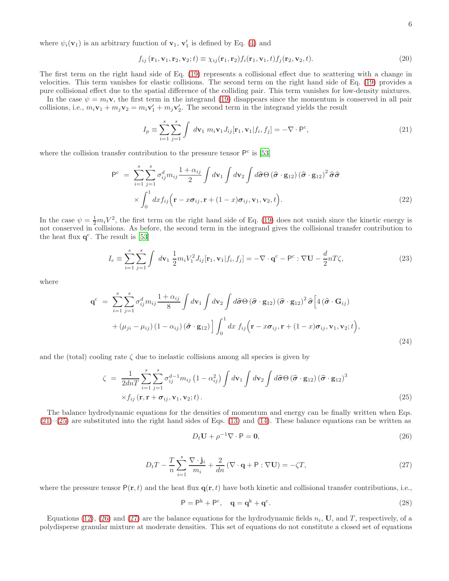where  $\psi_i(\mathbf{v}_1)$  is an arbitrary function of  $\mathbf{v}_1$ ,  $\mathbf{v}'_1$  is defined by Eq. [\(4\)](#page-3-0) and

$$
f_{ij}(\mathbf{r}_1, \mathbf{v}_1, \mathbf{r}_2, \mathbf{v}_2; t) \equiv \chi_{ij}(\mathbf{r}_1, \mathbf{r}_2) f_i(\mathbf{r}_1, \mathbf{v}_1, t) f_j(\mathbf{r}_2, \mathbf{v}_2, t).
$$
 (20)

The first term on the right hand side of Eq. [\(19\)](#page-4-3) represents a collisional effect due to scattering with a change in velocities. This term vanishes for elastic collisions. The second term on the right hand side of Eq. [\(19\)](#page-4-3) provides a pure collisional effect due to the spatial difference of the colliding pair. This term vanishes for low-density mixtures.

In the case  $\psi = m_i \mathbf{v}$ , the first term in the integrand [\(19\)](#page-4-3) disappears since the momentum is conserved in all pair collisions, i.e.,  $m_i \mathbf{v}_1 + m_j \mathbf{v}_2 = m_i \mathbf{v}'_1 + m_j \mathbf{v}'_2$ . The second term in the integrand yields the result

<span id="page-5-0"></span>
$$
I_p \equiv \sum_{i=1}^{s} \sum_{j=1}^{s} \int d\mathbf{v}_1 \, m_i \mathbf{v}_1 J_{ij}[\mathbf{r}_1, \mathbf{v}_1 | f_i, f_j] = -\nabla \cdot \mathbf{P}^c,\tag{21}
$$

where the collision transfer contribution to the pressure tensor  $P<sup>c</sup>$  is [\[53\]](#page-31-7)

<span id="page-5-4"></span>
$$
P^{c} = \sum_{i=1}^{s} \sum_{j=1}^{s} \sigma_{ij}^{d} m_{ij} \frac{1 + \alpha_{ij}}{2} \int d\mathbf{v}_{1} \int d\mathbf{v}_{2} \int d\hat{\sigma} \Theta (\hat{\sigma} \cdot \mathbf{g}_{12}) (\hat{\sigma} \cdot \mathbf{g}_{12})^{2} \hat{\sigma} \hat{\sigma}
$$
  
 
$$
\times \int_{0}^{1} dx f_{ij} (\mathbf{r} - x \sigma_{ij}, \mathbf{r} + (1 - x) \sigma_{ij}, \mathbf{v}_{1}, \mathbf{v}_{2}, t).
$$
 (22)

In the case  $\psi = \frac{1}{2}m_iV^2$ , the first term on the right hand side of Eq. [\(19\)](#page-4-3) does not vanish since the kinetic energy is not conserved in collisions. As before, the second term in the integrand gives the collisional transfer contribution to the heat flux  $q^c$ . The result is [\[53](#page-31-7)]

$$
I_e \equiv \sum_{i=1}^{s} \sum_{j=1}^{s} \int d\mathbf{v}_1 \frac{1}{2} m_i V_1^2 J_{ij}[\mathbf{r}_1, \mathbf{v}_1 | f_i, f_j] = -\nabla \cdot \mathbf{q}^c - \mathbf{P}^c : \nabla \mathbf{U} - \frac{d}{2} n T \zeta,
$$
\n(23)

where

<span id="page-5-5"></span>
$$
\mathbf{q}^{c} = \sum_{i=1}^{s} \sum_{j=1}^{s} \sigma_{ij}^{d} m_{ij} \frac{1 + \alpha_{ij}}{8} \int d\mathbf{v}_{1} \int d\mathbf{v}_{2} \int d\hat{\boldsymbol{\sigma}} \Theta (\hat{\boldsymbol{\sigma}} \cdot \mathbf{g}_{12}) (\hat{\boldsymbol{\sigma}} \cdot \mathbf{g}_{12})^{2} \hat{\boldsymbol{\sigma}} \Big[ 4 (\hat{\boldsymbol{\sigma}} \cdot \mathbf{G}_{ij}) + (\mu_{ji} - \mu_{ij}) (1 - \alpha_{ij}) (\hat{\boldsymbol{\sigma}} \cdot \mathbf{g}_{12}) \Big] \int_{0}^{1} dx f_{ij} (\mathbf{r} - x \boldsymbol{\sigma}_{ij}, \mathbf{r} + (1 - x) \boldsymbol{\sigma}_{ij}, \mathbf{v}_{1}, \mathbf{v}_{2}; t),
$$
\n(24)

and the (total) cooling rate  $\zeta$  due to inelastic collisions among all species is given by

<span id="page-5-1"></span>
$$
\zeta = \frac{1}{2dnT} \sum_{i=1}^{s} \sum_{j=1}^{s} \sigma_{ij}^{d-1} m_{ij} \left( 1 - \alpha_{ij}^{2} \right) \int d\mathbf{v}_{1} \int d\mathbf{v}_{2} \int d\hat{\boldsymbol{\sigma}} \Theta \left( \hat{\boldsymbol{\sigma}} \cdot \mathbf{g}_{12} \right) \left( \hat{\boldsymbol{\sigma}} \cdot \mathbf{g}_{12} \right)^{3} \times f_{ij} \left( \mathbf{r}, \mathbf{r} + \boldsymbol{\sigma}_{ij}, \mathbf{v}_{1}, \mathbf{v}_{2}; t \right).
$$
\n(25)

The balance hydrodynamic equations for the densities of momentum and energy can be finally written when Eqs.  $(21)$ – $(25)$  are substituted into the right hand sides of Eqs. [\(13\)](#page-4-1) and [\(14\)](#page-4-2). These balance equations can be written as

<span id="page-5-2"></span>
$$
D_t \mathbf{U} + \rho^{-1} \nabla \cdot \mathbf{P} = \mathbf{0},\tag{26}
$$

<span id="page-5-3"></span>
$$
D_t T - \frac{T}{n} \sum_{i=1}^s \frac{\nabla \cdot \mathbf{j}_i}{m_i} + \frac{2}{dn} \left( \nabla \cdot \mathbf{q} + \mathbf{P} : \nabla \mathbf{U} \right) = -\zeta T,\tag{27}
$$

where the pressure tensor  $P(\mathbf{r}, t)$  and the heat flux  $\mathbf{q}(\mathbf{r}, t)$  have both kinetic and collisional transfer contributions, i.e.,

$$
P = P^k + P^c, \quad \mathbf{q} = \mathbf{q}^k + \mathbf{q}^c. \tag{28}
$$

Equations [\(12\)](#page-4-4), [\(26\)](#page-5-2) and [\(27\)](#page-5-3) are the balance equations for the hydrodynamic fields  $n_i$ , U, and T, respectively, of a polydisperse granular mixture at moderate densities. This set of equations do not constitute a closed set of equations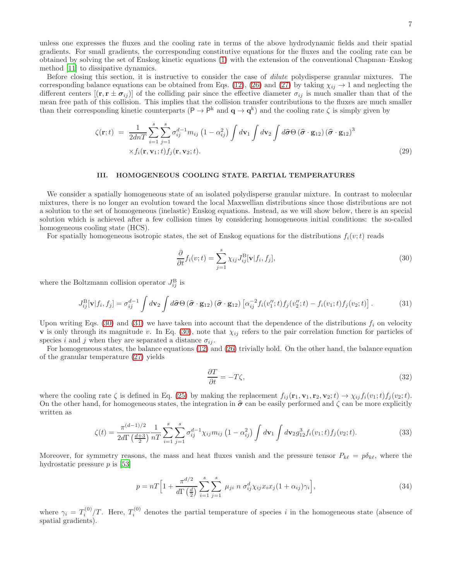unless one expresses the fluxes and the cooling rate in terms of the above hydrodynamic fields and their spatial gradients. For small gradients, the corresponding constitutive equations for the fluxes and the cooling rate can be obtained by solving the set of Enskog kinetic equations [\(1\)](#page-2-3) with the extension of the conventional Chapman–Enskog method [\[11\]](#page-30-1) to dissipative dynamics.

Before closing this section, it is instructive to consider the case of dilute polydisperse granular mixtures. The corresponding balance equations can be obtained from Eqs. [\(12\)](#page-4-4), [\(26\)](#page-5-2) and [\(27\)](#page-5-3) by taking  $\chi_{ij} \to 1$  and neglecting the different centers  $[(\mathbf{r}, \mathbf{r} \pm \sigma_{ij})]$  of the colliding pair since the effective diameter  $\sigma_{ij}$  is much smaller than that of the mean free path of this collision. This implies that the collision transfer contributions to the fluxes are much smaller than their corresponding kinetic counterparts  $(P \to P^k$  and  $q \to q^k)$  and the cooling rate  $\zeta$  is simply given by

$$
\zeta(\mathbf{r};t) = \frac{1}{2dnT} \sum_{i=1}^{s} \sum_{j=1}^{s} \sigma_{ij}^{d-1} m_{ij} \left(1 - \alpha_{ij}^{2}\right) \int d\mathbf{v}_{1} \int d\mathbf{v}_{2} \int d\hat{\boldsymbol{\sigma}} \Theta \left(\hat{\boldsymbol{\sigma}} \cdot \mathbf{g}_{12}\right) \left(\hat{\boldsymbol{\sigma}} \cdot \mathbf{g}_{12}\right)^{3} \times f_{i}(\mathbf{r}, \mathbf{v}_{1}; t) f_{j}(\mathbf{r}, \mathbf{v}_{2}; t).
$$
\n(29)

### <span id="page-6-0"></span>III. HOMOGENEOUS COOLING STATE. PARTIAL TEMPERATURES

We consider a spatially homogeneous state of an isolated polydisperse granular mixture. In contrast to molecular mixtures, there is no longer an evolution toward the local Maxwellian distributions since those distributions are not a solution to the set of homogeneous (inelastic) Enskog equations. Instead, as we will show below, there is an special solution which is achieved after a few collision times by considering homogeneous initial conditions: the so-called homogeneous cooling state (HCS).

For spatially homogeneous isotropic states, the set of Enskog equations for the distributions  $f_i(v;t)$  reads

<span id="page-6-1"></span>
$$
\frac{\partial}{\partial t}f_i(v;t) = \sum_{j=1}^s \chi_{ij} J_{ij}^{\text{B}}[\mathbf{v}|f_i, f_j],\tag{30}
$$

where the Boltzmann collision operator  $J_{ij}^{\text{B}}$  is

<span id="page-6-2"></span>
$$
J_{ij}^{\rm B}[\mathbf{v}|f_i, f_j] = \sigma_{ij}^{d-1} \int d\mathbf{v}_2 \int d\hat{\boldsymbol{\sigma}} \Theta \left(\hat{\boldsymbol{\sigma}} \cdot \mathbf{g}_{12}\right) \left(\hat{\boldsymbol{\sigma}} \cdot \mathbf{g}_{12}\right) \left[\alpha_{ij}^{-2} f_i(v_1';t) f_j(v_2';t) - f_i(v_1;t) f_j(v_2;t)\right].
$$
 (31)

Upon writing Eqs. [\(30\)](#page-6-1) and [\(31\)](#page-6-2) we have taken into account that the dependence of the distributions  $f_i$  on velocity **v** is only through its magnitude v. In Eq. [\(30\)](#page-6-1), note that  $\chi_{ij}$  refers to the pair correlation function for particles of species i and j when they are separated a distance  $\sigma_{ii}$ .

For homogeneous states, the balance equations [\(12\)](#page-4-4) and [\(26\)](#page-5-2) trivially hold. On the other hand, the balance equation of the granular temperature [\(27\)](#page-5-3) yields

<span id="page-6-3"></span>
$$
\frac{\partial T}{\partial t} = -T\zeta,\tag{32}
$$

where the cooling rate  $\zeta$  is defined in Eq. [\(25\)](#page-5-1) by making the replacement  $f_{ij}(\mathbf{r}_1, \mathbf{v}_1, \mathbf{r}_2, \mathbf{v}_2; t) \rightarrow \chi_{ij} f_i(v_1; t) f_j(v_2; t)$ . On the other hand, for homogeneous states, the integration in  $\hat{\sigma}$  can be easily performed and  $\zeta$  can be more explicitly written as

$$
\zeta(t) = \frac{\pi^{(d-1)/2}}{2d\Gamma\left(\frac{d+3}{2}\right)} \frac{1}{nT} \sum_{i=1}^{s} \sum_{j=1}^{s} \sigma_{ij}^{d-1} \chi_{ij} m_{ij} \left(1 - \alpha_{ij}^2\right) \int d\mathbf{v}_1 \int d\mathbf{v}_2 g_{12}^3 f_i(v_1; t) f_j(v_2; t).
$$
\n(33)

Moreover, for symmetry reasons, the mass and heat fluxes vanish and the pressure tensor  $P_{k\ell} = p\delta_{k\ell}$ , where the hydrostatic pressure  $p$  is [\[53](#page-31-7)]

<span id="page-6-4"></span>
$$
p = nT \Big[ 1 + \frac{\pi^{d/2}}{d\Gamma(\frac{d}{2})} \sum_{i=1}^{s} \sum_{j=1}^{s} \mu_{ji} \ n \ \sigma_{ij}^{d} \chi_{ij} x_i x_j (1 + \alpha_{ij}) \gamma_i \Big], \tag{34}
$$

where  $\gamma_i = T_i^{(0)}/T$ . Here,  $T_i^{(0)}$  denotes the partial temperature of species i in the homogeneous state (absence of spatial gradients).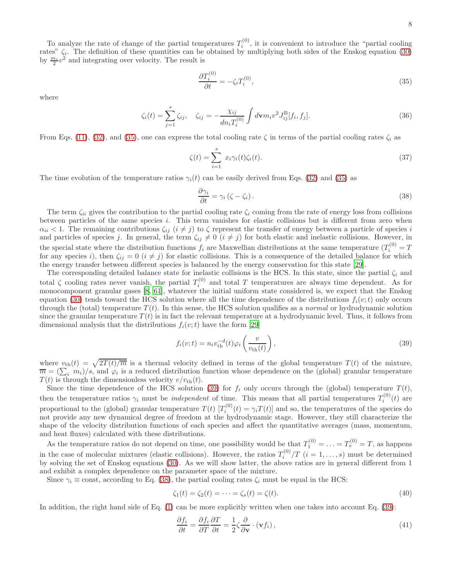To analyze the rate of change of the partial temperatures  $T_i^{(0)}$ , it is convenient to introduce the "partial cooling" rates"  $\zeta_i$ . The definition of these quantities can be obtained by multiplying both sides of the Enskog equation [\(30\)](#page-6-1) by  $\frac{m_i}{2}v^2$  and integrating over velocity. The result is

<span id="page-7-0"></span>
$$
\frac{\partial T_i^{(0)}}{\partial t} = -\zeta_i T_i^{(0)},\tag{35}
$$

where

<span id="page-7-4"></span>
$$
\zeta_i(t) = \sum_{j=1}^s \zeta_{ij}, \quad \zeta_{ij} = -\frac{\chi_{ij}}{dn_i T_i^{(0)}} \int d\mathbf{v} m_i v^2 J_{ij}^{\text{B}}[f_i, f_j]. \tag{36}
$$

From Eqs. [\(11\)](#page-3-6), [\(32\)](#page-6-3), and [\(35\)](#page-7-0), one can express the total cooling rate  $\zeta$  in terms of the partial cooling rates  $\zeta_i$  as

$$
\zeta(t) = \sum_{i=1}^{s} x_i \gamma_i(t) \zeta_i(t). \tag{37}
$$

The time evolution of the temperature ratios  $\gamma_i(t)$  can be easily derived from Eqs. [\(32\)](#page-6-3) and [\(35\)](#page-7-0) as

<span id="page-7-2"></span>
$$
\frac{\partial \gamma_i}{\partial t} = \gamma_i \left( \zeta - \zeta_i \right). \tag{38}
$$

The term  $\zeta_{ii}$  gives the contribution to the partial cooling rate  $\zeta_i$  coming from the rate of energy loss from collisions between particles of the same species i. This term vanishes for elastic collisions but is different from zero when  $\alpha_{ii} < 1$ . The remaining contributions  $\zeta_{ij}$   $(i \neq j)$  to  $\zeta$  represent the transfer of energy between a particle of species i and particles of species j. In general, the term  $\zeta_{ij} \neq 0$   $(i \neq j)$  for both elastic and inelastic collisions. However, in the special state where the distribution functions  $f_i$  are Maxwellian distributions at the same temperature  $(T_i^{(0)} = T)$ for any species i), then  $\zeta_{ij} = 0$   $(i \neq j)$  for elastic collisions. This is a consequence of the detailed balance for which the energy transfer between different species is balanced by the energy conservation for this state [\[29](#page-30-11)].

The corresponding detailed balance state for inelastic collisions is the HCS. In this state, since the partial  $\zeta_i$  and total  $\zeta$  cooling rates never vanish, the partial  $T_i^{(0)}$  $i^{(0)}$  and total T temperatures are always time dependent. As for monocomponent granular gases [\[8](#page-29-2), [61\]](#page-31-11), whatever the initial uniform state considered is, we expect that the Enskog equation [\(30\)](#page-6-1) tends toward the HCS solution where all the time dependence of the distributions  $f_i(v;t)$  only occurs through the (total) temperature  $T(t)$ . In this sense, the HCS solution qualifies as a *normal* or hydrodynamic solution since the granular temperature  $T(t)$  is in fact the relevant temperature at a hydrodynamic level. Thus, it follows from dimensional analysis that the distributions  $f_i(v;t)$  have the form [\[29](#page-30-11)]

<span id="page-7-1"></span>
$$
f_i(v;t) = n_i v_{\text{th}}^{-d}(t) \varphi_i\left(\frac{v}{v_{\text{th}}(t)}\right),\tag{39}
$$

where  $v_{\text{th}}(t) = \sqrt{2T(t)/m}$  is a thermal velocity defined in terms of the global temperature  $T(t)$  of the mixture,  $\overline{m} = (\sum_i m_i)/s$ , and  $\varphi_i$  is a reduced distribution function whose dependence on the (global) granular temperature  $T(t)$  is through the dimensionless velocity  $v/v_{\text{th}}(t)$ .

Since the time dependence of the HCS solution [\(39\)](#page-7-1) for  $f_i$  only occurs through the (global) temperature  $T(t)$ , then the temperature ratios  $\gamma_i$  must be *independent* of time. This means that all partial temperatures  $T_i^{(0)}(t)$  are proportional to the (global) granular temperature  $T(t)$   $[T_i^{(0)}(t) = \gamma_i T(t)]$  and so, the temperatures of the species do not provide any new dynamical degree of freedom at the hydrodynamic stage. However, they still characterize the shape of the velocity distribution functions of each species and affect the quantitative averages (mass, momentum, and heat fluxes) calculated with these distributions.

As the temperature ratios do not depend on time, one possibility would be that  $T_1^{(0)} = \ldots = T_s^{(0)} = T$ , as happens in the case of molecular mixtures (elastic collisions). However, the ratios  $T_i^{(0)}$  $i^{(0)}/T$   $(i = 1, \ldots, s)$  must be determined by solving the set of Enskog equations [\(30\)](#page-6-1). As we will show latter, the above ratios are in general different from 1 and exhibit a complex dependence on the parameter space of the mixture.

Since  $\gamma_i \equiv \text{const}$ , according to Eq. [\(38\)](#page-7-2), the partial cooling rates  $\zeta_i$  must be equal in the HCS:

<span id="page-7-3"></span>
$$
\zeta_1(t) = \zeta_2(t) = \dots = \zeta_s(t) = \zeta(t). \tag{40}
$$

In addition, the right hand side of Eq.  $(1)$  can be more explicitly written when one takes into account Eq.  $(39)$ :

$$
\frac{\partial f_i}{\partial t} = \frac{\partial f_i}{\partial T} \frac{\partial T}{\partial t} = \frac{1}{2} \zeta \frac{\partial}{\partial \mathbf{v}} \cdot (\mathbf{v} f_i),\tag{41}
$$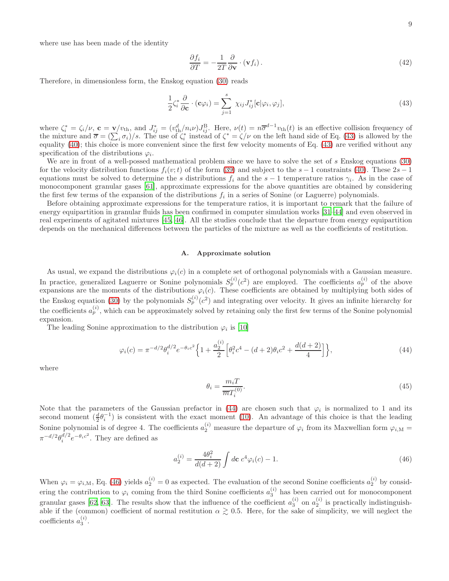where use has been made of the identity

$$
\frac{\partial f_i}{\partial T} = -\frac{1}{2T} \frac{\partial}{\partial \mathbf{v}} \cdot (\mathbf{v} f_i). \tag{42}
$$

Therefore, in dimensionless form, the Enskog equation [\(30\)](#page-6-1) reads

<span id="page-8-0"></span>
$$
\frac{1}{2}\zeta_i^* \frac{\partial}{\partial \mathbf{c}} \cdot (\mathbf{c}\varphi_i) = \sum_{j=1}^s \chi_{ij} J_{ij}^* [\mathbf{c}|\varphi_i, \varphi_j], \tag{43}
$$

where  $\zeta_i^* = \zeta_i/\nu$ ,  $\mathbf{c} = \mathbf{v}/v_{\text{th}}$ , and  $J_{ij}^* = (v_{\text{th}}^d/n_i\nu)J_{ij}^B$ . Here,  $\nu(t) = n\overline{\sigma}^{d-1}v_{\text{th}}(t)$  is an effective collision frequency of the mixture and  $\overline{\sigma} = (\sum_i \sigma_i)/s$ . The use of  $\zeta_i^*$  instead of  $\zeta_i^* = \zeta/\nu$  on the left hand side of Eq. [\(43\)](#page-8-0) is allowed by the equality [\(40\)](#page-7-3); this choice is more convenient since the first few velocity moments of Eq. [\(43\)](#page-8-0) are verified without any specification of the distributions  $\varphi_i$ .

We are in front of a well-possed mathematical problem since we have to solve the set of  $s$  Enskog equations [\(30\)](#page-6-1) for the velocity distribution functions  $f_i(v;t)$  of the form [\(39\)](#page-7-1) and subject to the s – 1 constraints [\(40\)](#page-7-3). These  $2s - 1$ equations must be solved to determine the s distributions  $f_i$  and the s − 1 temperature ratios  $\gamma_i$ . As in the case of monocomponent granular gases [\[61](#page-31-11)], approximate expressions for the above quantities are obtained by considering the first few terms of the expansion of the distributions  $f_i$  in a series of Sonine (or Laguerre) polynomials.

Before obtaining approximate expressions for the temperature ratios, it is important to remark that the failure of energy equipartition in granular fluids has been confirmed in computer simulation works [\[31](#page-30-13)[–44](#page-30-14)] and even observed in real experiments of agitated mixtures [\[45](#page-30-15), [46\]](#page-30-16). All the studies conclude that the departure from energy equipartition depends on the mechanical differences between the particles of the mixture as well as the coefficients of restitution.

## A. Approximate solution

As usual, we expand the distributions  $\varphi_i(c)$  in a complete set of orthogonal polynomials with a Gaussian measure. In practice, generalized Laguerre or Sonine polynomials  $S_p^{(i)}(c^2)$  are employed. The coefficients  $a_p^{(i)}$  of the above expansions are the moments of the distributions  $\varphi_i(c)$ . These coefficients are obtained by multiplying both sides of the Enskog equation [\(30\)](#page-6-1) by the polynomials  $S_p^{(i)}(c^2)$  and integrating over velocity. It gives an infinite hierarchy for the coefficients  $a_p^{(i)}$ , which can be approximately solved by retaining only the first few terms of the Sonine polynomial expansion.

The leading Sonine approximation to the distribution  $\varphi_i$  is [\[10\]](#page-30-0)

<span id="page-8-1"></span>
$$
\varphi_i(c) = \pi^{-d/2} \theta_i^{d/2} e^{-\theta_i c^2} \left\{ 1 + \frac{a_2^{(i)}}{2} \left[ \theta_i^2 c^4 - (d+2)\theta_i c^2 + \frac{d(d+2)}{4} \right] \right\},\tag{44}
$$

where

<span id="page-8-3"></span>
$$
\theta_i = \frac{m_i T}{\overline{m} T_i^{(0)}}.\tag{45}
$$

Note that the parameters of the Gaussian prefactor in [\(44\)](#page-8-1) are chosen such that  $\varphi_i$  is normalized to 1 and its second moment  $(\frac{d}{2}\theta_i^{-1})$  is consistent with the exact moment [\(10\)](#page-3-5). An advantage of this choice is that the leading Sonine polynomial is of degree 4. The coefficients  $a_2^{(i)}$  measure the departure of  $\varphi_i$  from its Maxwellian form  $\varphi_{i,M}$  $\pi^{-d/2}\theta_i^{d/2}e^{-\theta_i c^2}$ . They are defined as

<span id="page-8-2"></span>
$$
a_2^{(i)} = \frac{4\theta_i^2}{d(d+2)} \int d\mathbf{c} \ c^4 \varphi_i(c) - 1.
$$
 (46)

When  $\varphi_i = \varphi_{i,M}$ , Eq. [\(46\)](#page-8-2) yields  $a_2^{(i)} = 0$  as expected. The evaluation of the second Sonine coefficients  $a_2^{(i)}$  by considering the contribution to  $\varphi_i$  coming from the third Sonine coefficients  $a_3^{(i)}$  has been carried out for monocomponent granular gases [\[62](#page-31-12), [63\]](#page-31-13). The results show that the influence of the coefficient  $a_3^{(i)}$  on  $a_2^{(i)}$  is practically indistinguishable if the (common) coefficient of normal restitution  $\alpha \gtrsim 0.5$ . Here, for the sake of simplicity, we will neglect the coefficients  $a_3^{(i)}$ .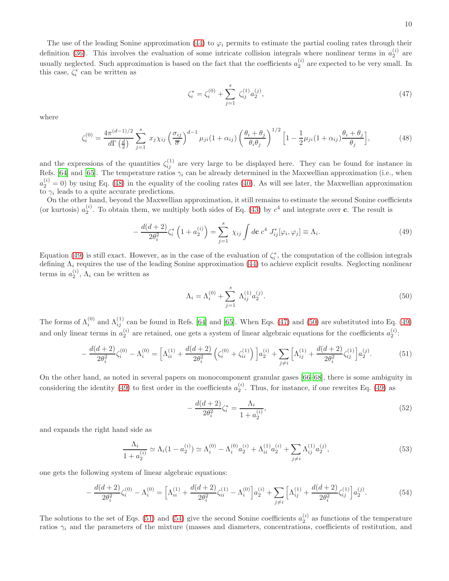The use of the leading Sonine approximation [\(44\)](#page-8-1) to  $\varphi_i$  permits to estimate the partial cooling rates through their definition [\(36\)](#page-7-4). This involves the evaluation of some intricate collision integrals where nonlinear terms in  $a_2^{(i)}$  are usually neglected. Such approximation is based on the fact that the coefficients  $a_2^{(i)}$  are expected to be very small. In this case,  $\zeta_i^*$  can be written as

<span id="page-9-2"></span>
$$
\zeta_i^* = \zeta_i^{(0)} + \sum_{j=1}^s \zeta_{ij}^{(1)} a_2^{(j)},\tag{47}
$$

where

<span id="page-9-0"></span>
$$
\zeta_i^{(0)} = \frac{4\pi^{(d-1)/2}}{d\Gamma(\frac{d}{2})} \sum_{j=1}^s x_j \chi_{ij} \left(\frac{\sigma_{ij}}{\overline{\sigma}}\right)^{d-1} \mu_{ji} (1 + \alpha_{ij}) \left(\frac{\theta_i + \theta_j}{\theta_i \theta_j}\right)^{1/2} \left[1 - \frac{1}{2} \mu_{ji} (1 + \alpha_{ij}) \frac{\theta_i + \theta_j}{\theta_j}\right],\tag{48}
$$

and the expressions of the quantities  $\zeta_{ij}^{(1)}$  are very large to be displayed here. They can be found for instance in Refs. [\[64](#page-31-14)] and [\[65\]](#page-31-15). The temperature ratios  $\gamma_i$  can be already determined in the Maxwellian approximation (i.e., when  $a_2^{(i)} = 0$ ) by using Eq. [\(48\)](#page-9-0) in the equality of the cooling rates [\(40\)](#page-7-3). As will see later, the Maxwellian approximation to  $\gamma_i$  leads to a quite accurate predictions.

On the other hand, beyond the Maxwellian approximation, it still remains to estimate the second Sonine coefficients (or kurtosis)  $a_2^{(i)}$ . To obtain them, we multiply both sides of Eq. [\(43\)](#page-8-0) by  $c^4$  and integrate over **c**. The result is

<span id="page-9-1"></span>
$$
-\frac{d(d+2)}{2\theta_i^2}\zeta_i^*\left(1+a_2^{(i)}\right) = \sum_{j=1}^s \chi_{ij} \int d\mathbf{c} \; c^4 \; J_{ij}^*[\varphi_i, \varphi_j] \equiv \Lambda_i. \tag{49}
$$

Equation [\(49\)](#page-9-1) is still exact. However, as in the case of the evaluation of  $\zeta_i^*$ , the computation of the collision integrals defining  $\Lambda_i$  requires the use of the leading Sonine approximation [\(44\)](#page-8-1) to achieve explicit results. Neglecting nonlinear terms in  $a_2^{(i)}$ ,  $\Lambda_i$  can be written as

<span id="page-9-3"></span>
$$
\Lambda_i = \Lambda_i^{(0)} + \sum_{j=1}^s \Lambda_{ij}^{(1)} a_2^{(j)}.
$$
\n(50)

The forms of  $\Lambda_i^{(0)}$  and  $\Lambda_{ij}^{(1)}$  can be found in Refs. [\[64](#page-31-14)] and [\[65\]](#page-31-15). When Eqs. [\(47\)](#page-9-2) and [\(50\)](#page-9-3) are substituted into Eq. [\(49\)](#page-9-1) and only linear terms in  $a_2^{(i)}$  are retained, one gets a system of linear algebraic equations for the coefficients  $a_2^{(i)}$ :

<span id="page-9-4"></span>
$$
-\frac{d(d+2)}{2\theta_i^2}\zeta_i^{(0)} - \Lambda_i^{(0)} = \left[\Lambda_{ii}^{(1)} + \frac{d(d+2)}{2\theta_i^2}\left(\zeta_i^{(0)} + \zeta_{ii}^{(1)}\right)\right]a_2^{(i)} + \sum_{j \neq i} \left[\Lambda_{ij}^{(1)} + \frac{d(d+2)}{2\theta_i^2}\zeta_{ij}^{(1)}\right]a_2^{(j)}.
$$
(51)

On the other hand, as noted in several papers on monocomponent granular gases [\[66](#page-31-16)[–68](#page-31-17)], there is some ambiguity in considering the identity [\(49\)](#page-9-1) to first order in the coefficients  $a_2^{(i)}$ . Thus, for instance, if one rewrites Eq. (49) as

$$
-\frac{d(d+2)}{2\theta_i^2}\zeta_i^* = \frac{\Lambda_i}{1 + a_2^{(i)}},\tag{52}
$$

and expands the right hand side as

$$
\frac{\Lambda_i}{1 + a_2^{(i)}} \simeq \Lambda_i (1 - a_2^{(i)}) \simeq \Lambda_i^{(0)} - \Lambda_i^{(0)} a_2^{(i)} + \Lambda_{ii}^{(1)} a_2^{(i)} + \sum_{j \neq i} \Lambda_{ij}^{(1)} a_2^{(j)},\tag{53}
$$

one gets the following system of linear algebraic equations:

<span id="page-9-5"></span>
$$
-\frac{d(d+2)}{2\theta_i^2}\zeta_i^{(0)} - \Lambda_i^{(0)} = \left[\Lambda_{ii}^{(1)} + \frac{d(d+2)}{2\theta_i^2}\zeta_{ii}^{(1)} - \Lambda_i^{(0)}\right]a_2^{(i)} + \sum_{j \neq i} \left[\Lambda_{ij}^{(1)} + \frac{d(d+2)}{2\theta_i^2}\zeta_{ij}^{(1)}\right]a_2^{(j)}.
$$
(54)

The solutions to the set of Eqs. [\(51\)](#page-9-4) and [\(54\)](#page-9-5) give the second Sonine coefficients  $a_2^{(i)}$  as functions of the temperature ratios  $\gamma_i$  and the parameters of the mixture (masses and diameters, concentrations, coefficients of restitution, and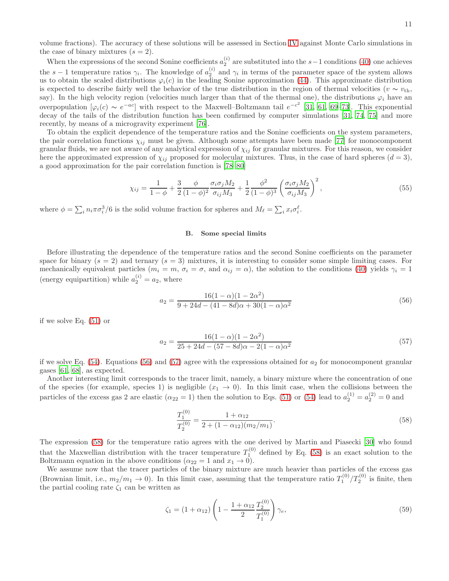volume fractions). The accuracy of these solutions will be assessed in Section [IV](#page-11-0) against Monte Carlo simulations in the case of binary mixtures  $(s = 2)$ .

When the expressions of the second Sonine coefficients  $a_2^{(i)}$  are substituted into the s−1 conditions [\(40\)](#page-7-3) one achieves the s − 1 temperature ratios  $\gamma_i$ . The knowledge of  $a_2^{(i)}$  and  $\gamma_i$  in terms of the parameter space of the system allows us to obtain the scaled distributions  $\varphi_i(c)$  in the leading Sonine approximation [\(44\)](#page-8-1). This approximate distribution is expected to describe fairly well the behavior of the true distribution in the region of thermal velocities ( $v \sim v_{\text{th}}$ , say). In the high velocity region (velocities much larger than that of the thermal one), the distributions  $\varphi_i$  have an overpopulation  $[\varphi_i(c) \sim e^{-ac}]$  with respect to the Maxwell–Boltzmann tail  $e^{-c^2}$  [\[31,](#page-30-13) [61,](#page-31-11) [69](#page-31-18)[–73\]](#page-31-19). This exponential decay of the tails of the distribution function has been confirmed by computer simulations [\[31,](#page-30-13) [74,](#page-31-20) [75\]](#page-31-21) and more recently, by means of a microgravity experiment [\[76](#page-31-22)].

To obtain the explicit dependence of the temperature ratios and the Sonine coefficients on the system parameters, the pair correlation functions  $\chi_{ij}$  must be given. Although some attempts have been made [\[77\]](#page-31-23) for monocomponent granular fluids, we are not aware of any analytical expression of  $\chi_{ij}$  for granular mixtures. For this reason, we consider here the approximated expression of  $\chi_{ij}$  proposed for molecular mixtures. Thus, in the case of hard spheres  $(d = 3)$ , a good approximation for the pair correlation function is [\[78](#page-31-24)[–80\]](#page-31-25)

<span id="page-10-4"></span>
$$
\chi_{ij} = \frac{1}{1-\phi} + \frac{3}{2} \frac{\phi}{(1-\phi)^2} \frac{\sigma_i \sigma_j M_2}{\sigma_{ij} M_3} + \frac{1}{2} \frac{\phi^2}{(1-\phi)^3} \left(\frac{\sigma_i \sigma_j M_2}{\sigma_{ij} M_3}\right)^2, \tag{55}
$$

where  $\phi = \sum_i n_i \pi \sigma_i^3/6$  is the solid volume fraction for spheres and  $M_\ell = \sum_i x_i \sigma_i^\ell$ .

### B. Some special limits

Before illustrating the dependence of the temperature ratios and the second Sonine coefficients on the parameter space for binary  $(s = 2)$  and ternary  $(s = 3)$  mixtures, it is interesting to consider some simple limiting cases. For mechanically equivalent particles  $(m_i = m, \sigma_i = \sigma, \text{ and } \alpha_{ij} = \alpha)$ , the solution to the conditions [\(40\)](#page-7-3) yields  $\gamma_i = 1$ (energy equipartition) while  $a_2^{(i)} = a_2$ , where

<span id="page-10-0"></span>
$$
a_2 = \frac{16(1 - \alpha)(1 - 2\alpha^2)}{9 + 24d - (41 - 8d)\alpha + 30(1 - \alpha)\alpha^2}
$$
\n(56)

if we solve Eq. [\(51\)](#page-9-4) or

<span id="page-10-1"></span>
$$
a_2 = \frac{16(1 - \alpha)(1 - 2\alpha^2)}{25 + 24d - (57 - 8d)\alpha - 2(1 - \alpha)\alpha^2}
$$
\n(57)

if we solve Eq.  $(54)$ . Equations  $(56)$  and  $(57)$  agree with the expressions obtained for  $a_2$  for monocomponent granular gases [\[61](#page-31-11), [68](#page-31-17)], as expected.

Another interesting limit corresponds to the tracer limit, namely, a binary mixture where the concentration of one of the species (for example, species 1) is negligible  $(x_1 \rightarrow 0)$ . In this limit case, when the collisions between the particles of the excess gas 2 are elastic ( $\alpha_{22} = 1$ ) then the solution to Eqs. [\(51\)](#page-9-4) or [\(54\)](#page-9-5) lead to  $a_2^{(1)} = a_2^{(2)} = 0$  and

<span id="page-10-2"></span>
$$
\frac{T_1^{(0)}}{T_2^{(0)}} = \frac{1 + \alpha_{12}}{2 + (1 - \alpha_{12})(m_2/m_1)}.
$$
\n(58)

The expression [\(58\)](#page-10-2) for the temperature ratio agrees with the one derived by Martin and Piasecki [\[30\]](#page-30-12) who found that the Maxwellian distribution with the tracer temperature  $T_1^{(0)}$  defined by Eq. [\(58\)](#page-10-2) is an exact solution to the Boltzmann equation in the above conditions ( $\alpha_{22} = 1$  and  $x_1 \to 0$ ).

We assume now that the tracer particles of the binary mixture are much heavier than particles of the excess gas (Brownian limit, i.e.,  $m_2/m_1 \to 0$ ). In this limit case, assuming that the temperature ratio  $T_1^{(0)}/T_2^{(0)}$  is finite, then the partial cooling rate  $\zeta_1$  can be written as

<span id="page-10-3"></span>
$$
\zeta_1 = (1 + \alpha_{12}) \left( 1 - \frac{1 + \alpha_{12}}{2} \frac{T_2^{(0)}}{T_1^{(0)}} \right) \gamma_e,
$$
\n(59)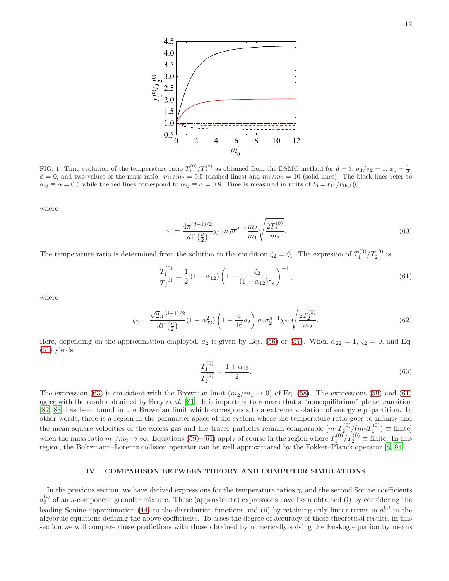

<span id="page-11-3"></span>FIG. 1: Time evolution of the temperature ratio  $T_1^{(0)}/T_2^{(0)}$  as obtained from the DSMC method for  $d=3$ ,  $\sigma_1/\sigma_2=1$ ,  $x_1=\frac{1}{2}$ ,  $\phi = 0$ , and two values of the mass ratio:  $m_1/m_2 = 0.5$  (dashed lines) and  $m_1/m_2 = 10$  (solid lines). The black lines refer to  $\alpha_{ij} \equiv \alpha = 0.5$  while the red lines correspond to  $\alpha_{ij} \equiv \alpha = 0.8$ . Time is measured in units of  $t_0 = \ell_{11}/v_{th,1}(0)$ .

where

$$
\gamma_e = \frac{4\pi^{(d-1)/2}}{d\Gamma\left(\frac{d}{2}\right)} \chi_{12} n_2 \overline{\sigma}^{d-1} \frac{m_2}{m_1} \sqrt{\frac{2T_2^{(0)}}{m_2}}.
$$
\n(60)

The temperature ratio is determined from the solution to the condition  $\zeta_2 = \zeta_1$ . The expresion of  $T_1^{(0)}/T_2^{(0)}$  is

<span id="page-11-1"></span>
$$
\frac{T_1^{(0)}}{T_2^{(0)}} = \frac{1}{2} \left( 1 + \alpha_{12} \right) \left( 1 - \frac{\zeta_2}{(1 + \alpha_{12}) \gamma_e} \right)^{-1},\tag{61}
$$

where

$$
\zeta_2 = \frac{\sqrt{2}\pi^{(d-1)/2}}{d\Gamma\left(\frac{d}{2}\right)} \left(1 - \alpha_{22}^2\right) \left(1 + \frac{3}{16}a_2\right) n_2 \sigma_2^{d-1} \chi_{22} \sqrt{\frac{2T_2^{(0)}}{m_2}}.\tag{62}
$$

Here, depending on the approximation employed,  $a_2$  is given by Eqs. [\(56\)](#page-10-0) or [\(57\)](#page-10-1). When  $\alpha_{22} = 1$ ,  $\zeta_2 = 0$ , and Eq. [\(61\)](#page-11-1) yields

<span id="page-11-2"></span>
$$
\frac{T_1^{(0)}}{T_2^{(0)}} = \frac{1 + \alpha_{12}}{2}.\tag{63}
$$

The expression [\(63\)](#page-11-2) is consistent with the Brownian limit  $(m_2/m_1 \rightarrow 0)$  of Eq. [\(58\)](#page-10-2). The expressions [\(59\)](#page-10-3) and [\(61\)](#page-11-1) agree with the results obtained by Brey *et al.* [\[81\]](#page-31-26). It is important to remark that a "nonequilibrium" phase transition [\[82,](#page-31-27) [83](#page-31-28)] has been found in the Brownian limit which corresponds to a extreme violation of energy equipartition. In other words, there is a region in the parameter space of the system where the temperature ratio goes to infinity and the mean square velocities of the excess gas and the tracer particles remain comparable  $[m_1T_2^{(0)}/(m_2T_1^{(0)}) \equiv \text{finite}]$ when the mass ratio  $m_1/m_2 \to \infty$ . Equations [\(59\)](#page-10-3)–[\(61\)](#page-11-1) apply of course in the region where  $T_1^{(0)}/T_2^{(0)} \equiv$  finite. In this region, the Boltzmann–Lorentz collision operator can be well approximated by the Fokker–Planck operator [\[8](#page-29-2), [84](#page-31-29)].

### <span id="page-11-0"></span>IV. COMPARISON BETWEEN THEORY AND COMPUTER SIMULATIONS

In the previous section, we have derived expressions for the temperature ratios  $\gamma_i$  and the second Sonine coefficients  $a_2^{(i)}$  of an s-component granular mixture. These (approximate) expressions have been obtained (i) by considering the leading Sonine approximation [\(44\)](#page-8-1) to the distribution functions and (ii) by retaining only linear terms in  $a_2^{(i)}$  in the algebraic equations defining the above coefficients. To asses the degree of accuracy of these theoretical results, in this section we will compare these predictions with those obtained by numerically solving the Enskog equation by means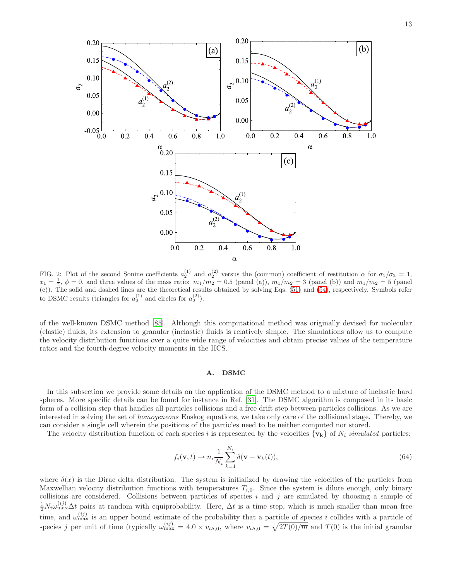

<span id="page-12-0"></span>FIG. 2: Plot of the second Sonine coefficients  $a_2^{(1)}$  and  $a_2^{(2)}$  versus the (common) coefficient of restitution  $\alpha$  for  $\sigma_1/\sigma_2 = 1$ ,  $x_1 = \frac{1}{2}$ ,  $\phi = 0$ , and three values of the mass ratio:  $m_1/m_2 = 0.5$  (panel (a)),  $m_1/m_2 = 3$  (panel (b)) and  $m_1/m_2 = 5$  (panel (c)). The solid and dashed lines are the theoretical results obtained by solving Eqs. [\(51\)](#page-9-4) and [\(54\)](#page-9-5), respectively. Symbols refer to DSMC results (triangles for  $a_2^{(1)}$  and circles for  $a_2^{(2)}$ ).

of the well-known DSMC method [\[85\]](#page-32-0). Although this computational method was originally devised for molecular (elastic) fluids, its extension to granular (inelastic) fluids is relatively simple. The simulations allow us to compute the velocity distribution functions over a quite wide range of velocities and obtain precise values of the temperature ratios and the fourth-degree velocity moments in the HCS.

### A. DSMC

In this subsection we provide some details on the application of the DSMC method to a mixture of inelastic hard spheres. More specific details can be found for instance in Ref. [\[31\]](#page-30-13). The DSMC algorithm is composed in its basic form of a collision step that handles all particles collisions and a free drift step between particles collisions. As we are interested in solving the set of homogeneous Enskog equations, we take only care of the collisional stage. Thereby, we can consider a single cell wherein the positions of the particles need to be neither computed nor stored.

The velocity distribution function of each species i is represented by the velocities  $\{v_k\}$  of  $N_i$  simulated particles:

$$
f_i(\mathbf{v},t) \to n_i \frac{1}{N_i} \sum_{k=1}^{N_i} \delta(\mathbf{v} - \mathbf{v}_k(t)),
$$
\n(64)

where  $\delta(x)$  is the Dirac delta distribution. The system is initialized by drawing the velocities of the particles from Maxwellian velocity distribution functions with temperatures  $T_{i,0}$ . Since the system is dilute enough, only binary collisions are considered. Collisions between particles of species  $i$  and  $j$  are simulated by choosing a sample of  $\frac{1}{2}N_i\omega_{\max}^{(ij)}\Delta t$  pairs at random with equiprobability. Here,  $\Delta t$  is a time step, which is much smaller than mean free time, and  $\omega_{\text{max}}^{(ij)}$  is an upper bound estimate of the probability that a particle of species i collides with a particle of species j per unit of time (typically  $\omega_{\text{max}}^{(ij)} = 4.0 \times v_{th,0}$ , where  $v_{th,0} = \sqrt{2T(0)/\overline{m}}$  and  $T(0)$  is the initial granular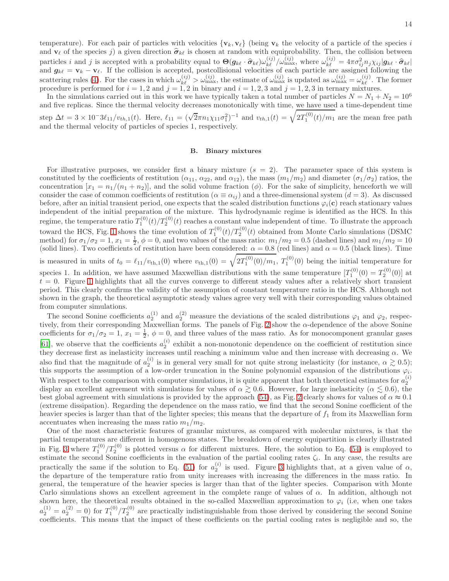temperature). For each pair of particles with velocities  $\{v_k, v_\ell\}$  (being  $v_k$  the velocity of a particle of the species i and  $\mathbf{v}_{\ell}$  of the species j) a given direction  $\hat{\sigma}_{k\ell}$  is chosen at random with equiprobability. Then, the collision between particles i and j is accepted with a probability equal to  $\Theta(g_{k\ell} \cdot \hat{\sigma}_{k\ell}) \omega_{k\ell}^{(ij)} / \omega_{k\ell}^{(ij)}$ , where  $\omega_{k\ell}^{(ij)} = 4\pi \sigma_{ij}^2 n_j \chi_{ij} |g_{k\ell} \cdot \hat{\sigma}_{k\ell}|$ and  $g_{k\ell} = \mathbf{v}_k - \mathbf{v}_\ell$ . If the collision is accepted, postcollisional velocities of each particle are assigned following the scattering rules [\(4\)](#page-3-0). For the cases in which  $\omega_{k\ell}^{(ij)} > \omega_{\text{max}}^{(ij)}$ , the estimate of  $\omega_{\text{max}}^{(ij)}$  is updated as  $\omega_{\text{max}}^{(ij)} = \omega_{k\ell}^{(ij)}$ . The former procedure is performed for  $i = 1, 2$  and  $j = 1, 2$  in binary and  $i = 1, 2, 3$  and  $j = 1, 2, 3$  in ternary mixtures.

In the simulations carried out in this work we have typically taken a total number of particles  $N = N_1 + N_2 = 10^6$ and five replicas. Since the thermal velocity decreases monotonically with time, we have used a time-dependent time step  $\Delta t = 3 \times 10^{-3} \ell_{11}/v_{th,1}(t)$ . Here,  $\ell_{11} = (\sqrt{2} \pi n_1 \chi_{11} \sigma_1^2)^{-1}$  and  $v_{th,1}(t) = \sqrt{2T_1^{(0)}(t)/m_1}$  are the mean free path and the thermal velocity of particles of species 1, respectively.

# B. Binary mixtures

For illustrative purposes, we consider first a binary mixture  $(s = 2)$ . The parameter space of this system is constituted by the coefficients of restitution  $(\alpha_{11}, \alpha_{22}, \text{ and } \alpha_{12})$ , the mass  $(m_1/m_2)$  and diameter  $(\sigma_1/\sigma_2)$  ratios, the concentration  $[x_1 = n_1/(n_1 + n_2)]$ , and the solid volume fraction  $(\phi)$ . For the sake of simplicity, henceforth we will consider the case of common coefficients of restitution ( $\alpha \equiv \alpha_{ij}$ ) and a three-dimensional system ( $d = 3$ ). As discussed before, after an initial transient period, one expects that the scaled distribution functions  $\varphi_i(c)$  reach stationary values independent of the initial preparation of the mixture. This hydrodynamic regime is identified as the HCS. In this regime, the temperature ratio  $T_1^{(0)}(t)/T_2^{(0)}(t)$  reaches a constant value independent of time. To illustrate the approach toward the HCS, Fig. [1](#page-11-3) shows the time evolution of  $T_1^{(0)}(t)/T_2^{(0)}(t)$  obtained from Monte Carlo simulations (DSMC method) for  $\sigma_1/\sigma_2 = 1$ ,  $x_1 = \frac{1}{2}$ ,  $\phi = 0$ , and two values of the mass ratio:  $m_1/m_2 = 0.5$  (dashed lines) and  $m_1/m_2 = 10$ (solid lines). Two coefficients of restitution have been considered:  $\alpha = 0.8$  (red lines) and  $\alpha = 0.5$  (black lines). Time is measured in units of  $t_0 = \ell_{11}/v_{th,1}(0)$  where  $v_{th,1}(0) = \sqrt{2T_1^{(0)}(0)/m_1}$ ,  $T_1^{(0)}(0)$  being the initial temperature for species 1. In addition, we have assumed Maxwellian distributions with the same temperature  $[T_1^{(0)}(0) = T_2^{(0)}(0)]$  at  $t = 0$ . Figure [1](#page-11-3) highlights that all the curves converge to different steady values after a relatively short transient period. This clearly confirms the validity of the assumption of constant temperature ratio in the HCS. Although not shown in the graph, the theoretical asymptotic steady values agree very well with their corresponding values obtained from computer simulations.

The second Sonine coefficients  $a_2^{(1)}$  and  $a_2^{(2)}$  measure the deviations of the scaled distributions  $\varphi_1$  and  $\varphi_2$ , respectively, from their corresponding Maxwellian forms. The panels of Fig. [2](#page-12-0) show the α-dependence of the above Sonine coefficients for  $\sigma_1/\sigma_2 = 1$ ,  $x_1 = \frac{1}{2}$ ,  $\phi = 0$ , and three values of the mass ratio. As for monocomponent granular gases [\[61\]](#page-31-11), we observe that the coefficients  $a_2^{(i)}$  exhibit a non-monotonic dependence on the coefficient of restitution since they decrease first as inelasticity increases until reaching a minimum value and then increase with decreasing  $\alpha$ . We also find that the magnitude of  $a_2^{(i)}$  is in general very small for not quite strong inelasticity (for instance,  $\alpha \gtrsim 0.5$ ); this supports the assumption of a low-order truncation in the Sonine polynomial expansion of the distributions  $\varphi_i$ . With respect to the comparison with computer simulations, it is quite apparent that both theoretical estimates for  $a_2^{(i)}$ display an excellent agreement with simulations for values of  $\alpha \gtrsim 0.6$ . However, for large inelasticity ( $\alpha \lesssim 0.6$ ), the best global agreement with simulations is provided by the approach [\(54\)](#page-9-5), as Fig. [2](#page-12-0) clearly shows for values of  $\alpha \approx 0.1$ (extreme dissipation). Regarding the dependence on the mass ratio, we find that the second Sonine coefficient of the heavier species is larger than that of the lighter species; this means that the departure of  $f_1$  from its Maxwellian form accentuates when increasing the mass ratio  $m_1/m_2$ .

One of the most characteristic features of granular mixtures, as compared with molecular mixtures, is that the partial temperatures are different in homogenous states. The breakdown of energy equipartition is clearly illustrated in Fig. [3](#page-14-0) where  $T_1^{(0)}/T_2^{(0)}$  is plotted versus  $\alpha$  for different mixtures. Here, the solution to Eq. [\(54\)](#page-9-5) is employed to estimate the second Sonine coefficients in the evaluation of the partial cooling rates  $\zeta_i$ . In any case, the results are practically the same if the solution to Eq. [\(51\)](#page-9-4) for  $a_2^{(i)}$  is used. Figure [3](#page-14-0) highlights that, at a given value of  $\alpha$ , the departure of the temperature ratio from unity increases with increasing the differences in the mass ratio. In general, the temperature of the heavier species is larger than that of the lighter species. Comparison with Monte Carlo simulations shows an excellent agreement in the complete range of values of  $\alpha$ . In addition, although not shown here, the theoretical results obtained in the so-called Maxwellian approximation to  $\varphi_i$  (i.e, when one takes  $a_2^{(1)} = a_2^{(2)} = 0$  for  $T_1^{(0)}/T_2^{(0)}$  are practically indistinguishable from those derived by considering the second Sonine coefficients. This means that the impact of these coefficients on the partial cooling rates is negligible and so, the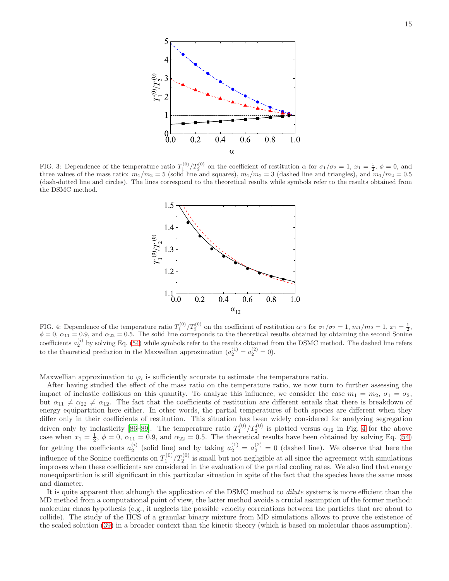

<span id="page-14-0"></span>FIG. 3: Dependence of the temperature ratio  $T_1^{(0)}/T_2^{(0)}$  on the coefficient of restitution  $\alpha$  for  $\sigma_1/\sigma_2 = 1$ ,  $x_1 = \frac{1}{2}$ ,  $\phi = 0$ , and three values of the mass ratio:  $m_1/m_2 = 5$  (solid line and squares),  $m_1/m_2 = 3$  (dashed line and triangles), and  $m_1/m_2 = 0.5$ (dash-dotted line and circles). The lines correspond to the theoretical results while symbols refer to the results obtained from the DSMC method.



<span id="page-14-1"></span>FIG. 4: Dependence of the temperature ratio  $T_1^{(0)}/T_2^{(0)}$  on the coefficient of restitution  $\alpha_{12}$  for  $\sigma_1/\sigma_2 = 1$ ,  $m_1/m_2 = 1$ ,  $x_1 = \frac{1}{2}$ ,  $\phi = 0$ ,  $\alpha_{11} = 0.9$ , and  $\alpha_{22} = 0.5$ . The solid line corresponds to the theoretical results obtained by obtaining the second Sonine coefficients  $a_2^{(i)}$  by solving Eq. [\(54\)](#page-9-5) while symbols refer to the results obtained from the DSMC method. The dashed line refers to the theoretical prediction in the Maxwellian approximation  $(a_2^{(1)} = a_2^{(2)} = 0)$ .

Maxwellian approximation to  $\varphi_i$  is sufficiently accurate to estimate the temperature ratio.

After having studied the effect of the mass ratio on the temperature ratio, we now turn to further assessing the impact of inelastic collisions on this quantity. To analyze this influence, we consider the case  $m_1 = m_2$ ,  $\sigma_1 = \sigma_2$ , but  $\alpha_{11} \neq \alpha_{22} \neq \alpha_{12}$ . The fact that the coefficients of restitution are different entails that there is breakdown of energy equipartition here either. In other words, the partial temperatures of both species are different when they differ only in their coefficients of restitution. This situation has been widely considered for analyzing segregation driven only by inelasticity [\[86](#page-32-1)[–89\]](#page-32-2). The temperature ratio  $T_1^{(0)}/T_2^{(0)}$  is plotted versus  $\alpha_{12}$  in Fig. [4](#page-14-1) for the above case when  $x_1 = \frac{1}{2}$ ,  $\phi = 0$ ,  $\alpha_{11} = 0.9$ , and  $\alpha_{22} = 0.5$ . The theoretical results have been obtained by solving Eq. [\(54\)](#page-9-5) for getting the coefficients  $a_2^{(i)}$  (solid line) and by taking  $a_2^{(1)} = a_2^{(2)} = 0$  (dashed line). We observe that here the influence of the Sonine coefficients on  $T_1^{(0)}/T_2^{(0)}$  is small but not negligible at all since the agreement with simulations improves when these coefficients are considered in the evaluation of the partial cooling rates. We also find that energy nonequipartition is still significant in this particular situation in spite of the fact that the species have the same mass and diameter.

It is quite apparent that although the application of the DSMC method to *dilute* systems is more efficient than the MD method from a computational point of view, the latter method avoids a crucial assumption of the former method: molecular chaos hypothesis (e.g., it neglects the possible velocity correlations between the particles that are about to collide). The study of the HCS of a granular binary mixture from MD simulations allows to prove the existence of the scaled solution [\(39\)](#page-7-1) in a broader context than the kinetic theory (which is based on molecular chaos assumption).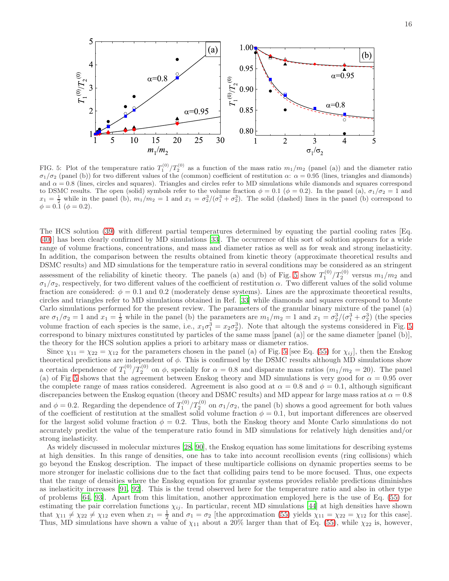16



<span id="page-15-0"></span>FIG. 5: Plot of the temperature ratio  $T_1^{(0)}/T_2^{(0)}$  as a function of the mass ratio  $m_1/m_2$  (panel (a)) and the diameter ratio  $\sigma_1/\sigma_2$  (panel (b)) for two different values of the (common) coefficient of restitution α:  $\alpha = 0.95$  (lines, triangles and diamonds) and  $\alpha = 0.8$  (lines, circles and squares). Triangles and circles refer to MD simulations while diamonds and squares correspond to DSMC results. The open (solid) symbols refer to the volume fraction  $\phi = 0.1$  ( $\phi = 0.2$ ). In the panel (a),  $\sigma_1/\sigma_2 = 1$  and  $x_1 = \frac{1}{2}$  while in the panel (b),  $m_1/m_2 = 1$  and  $x_1 = \frac{\sigma_2^3}{\sigma_1^3 + \sigma_2^3}$ . The solid (dashed) lines in the panel (b) correspond to  $\phi = 0.\overline{1} \ (\phi = 0.2).$ 

The HCS solution [\(39\)](#page-7-1) with different partial temperatures determined by equating the partial cooling rates [Eq. [\(40\)](#page-7-3)] has been clearly confirmed by MD simulations [\[33](#page-30-17)]. The occurrence of this sort of solution appears for a wide range of volume fractions, concentrations, and mass and diameter ratios as well as for weak and strong inelasticity. In addition, the comparison between the results obtained from kinetic theory (approximate theoretical results and DSMC results) and MD simulations for the temperature ratio in several conditions may be considered as an stringent assessment of the reliability of kinetic theory. The panels (a) and (b) of Fig. [5](#page-15-0) show  $T_1^{(0)}/T_2^{(0)}$  versus  $m_1/m_2$  and  $\sigma_1/\sigma_2$ , respectively, for two different values of the coefficient of restitution  $\alpha$ . Two different values of the solid volume fraction are considered:  $\phi = 0.1$  and 0.2 (moderately dense systems). Lines are the approximate theoretical results, circles and triangles refer to MD simulations obtained in Ref. [\[33\]](#page-30-17) while diamonds and squares correspond to Monte Carlo simulations performed for the present review. The parameters of the granular binary mixture of the panel (a) are  $\sigma_1/\sigma_2 = 1$  and  $x_1 = \frac{1}{2}$  while in the panel (b) the parameters are  $m_1/m_2 = 1$  and  $x_1 = \sigma_2^3/(\sigma_1^3 + \sigma_2^3)$  (the species volume fraction of each species is the same, i.e.,  $x_1\sigma_1^3 = x_2\sigma_2^3$ ). Note that altough the systems considered in Fig. [5](#page-15-0) correspond to binary mixtures constituted by particles of the same mass [panel (a)] or the same diameter [panel (b)], the theory for the HCS solution applies a priori to arbitary mass or diameter ratios.

Since  $\chi_{11} = \chi_{22} = \chi_{12}$  for the parameters chosen in the panel (a) of Fig. [5](#page-15-0) [see Eq. [\(55\)](#page-10-4) for  $\chi_{ij}$ ], then the Enskog theoretical predictions are independent of  $\phi$ . This is confirmed by the DSMC results although MD simulations show a certain dependence of  $T_1^{(0)}/T_2^{(0)}$  on  $\phi$ , specially for  $\alpha = 0.8$  and disparate mass ratios  $(m_1/m_2 = 20)$ . The panel (a) of Fig [5](#page-15-0) shows that the agreement between Enskog theory and MD simulations is very good for  $\alpha = 0.95$  over the complete range of mass ratios considered. Agreement is also good at  $\alpha = 0.8$  and  $\phi = 0.1$ , although significant discrepancies between the Enskog equation (theory and DSMC results) and MD appear for large mass ratios at  $\alpha = 0.8$ and  $\phi = 0.2$ . Regarding the dependence of  $T_1^{(0)}/T_2^{(0)}$  on  $\sigma_1/\sigma_2$ , the panel (b) shows a good agreement for both values of the coefficient of restitution at the smallest solid volume fraction  $\phi = 0.1$ , but important differences are observed for the largest solid volume fraction  $\phi = 0.2$ . Thus, both the Enskog theory and Monte Carlo simulations do not accurately predict the value of the temperature ratio found in MD simulations for relatively high densities and/or strong inelasticity.

As widely discussed in molecular mixtures [\[28](#page-30-10), [90\]](#page-32-3), the Enskog equation has some limitations for describing systems at high densities. In this range of densities, one has to take into account recollision events (ring collisions) which go beyond the Enskog description. The impact of these multiparticle collisions on dynamic properties seems to be more stronger for inelastic collisions due to the fact that colliding pairs tend to be more focused. Thus, one expects that the range of densities where the Enskog equation for granular systems provides reliable predictions diminishes as inelasticity increases [\[91,](#page-32-4) [92](#page-32-5)]. This is the trend observed here for the temperature ratio and also in other type of problems [\[64,](#page-31-14) [93\]](#page-32-6). Apart from this limitation, another approximation employed here is the use of Eq. [\(55\)](#page-10-4) for estimating the pair correlation functions  $\chi_{ij}$ . In particular, recent MD simulations [\[44\]](#page-30-14) at high densities have shown that  $\chi_{11} \neq \chi_{22} \neq \chi_{12}$  even when  $x_1 = \frac{1}{2}$  and  $\sigma_1 = \sigma_2$  [the approximation [\(55\)](#page-10-4) yields  $\chi_{11} = \chi_{22} = \chi_{12}$  for this case]. Thus, MD simulations have shown a value of  $\chi_{11}$  about a 20% larger than that of Eq. [\(55\)](#page-10-4), while  $\chi_{22}$  is, however,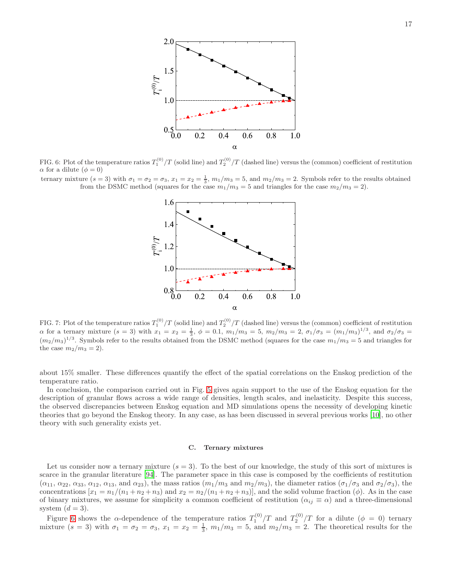

<span id="page-16-0"></span>FIG. 6: Plot of the temperature ratios  $T_1^{(0)}/T$  (solid line) and  $T_2^{(0)}/T$  (dashed line) versus the (common) coefficient of restitution  $\alpha$  for a dilute  $(\phi = 0)$ 

ternary mixture  $(s = 3)$  with  $\sigma_1 = \sigma_2 = \sigma_3$ ,  $x_1 = x_2 = \frac{1}{3}$ ,  $m_1/m_3 = 5$ , and  $m_2/m_3 = 2$ . Symbols refer to the results obtained from the DSMC method (squares for the case  $m_1/m_3 = 5$  and triangles for the case  $m_2/m_3 = 2$ ).



<span id="page-16-1"></span>FIG. 7: Plot of the temperature ratios  $T_1^{(0)}/T$  (solid line) and  $T_2^{(0)}/T$  (dashed line) versus the (common) coefficient of restitution  $\alpha$  for a ternary mixture  $(s = 3)$  with  $x_1 = x_2 = \frac{1}{3}$ ,  $\phi = 0.1$ ,  $m_1/m_3 = 5$ ,  $m_2/m_3 = 2$ ,  $\sigma_1/\sigma_3 = (m_1/m_3)^{1/3}$ , and  $\sigma_2/\sigma_3 =$  $(m_2/m_3)^{1/3}$ . Symbols refer to the results obtained from the DSMC method (squares for the case  $m_1/m_3 = 5$  and triangles for the case  $m_2/m_3 = 2$ .

about 15% smaller. These differences quantify the effect of the spatial correlations on the Enskog prediction of the temperature ratio.

In conclusion, the comparison carried out in Fig. [5](#page-15-0) gives again support to the use of the Enskog equation for the description of granular flows across a wide range of densities, length scales, and inelasticity. Despite this success, the observed discrepancies between Enskog equation and MD simulations opens the necessity of developing kinetic theories that go beyond the Enskog theory. In any case, as has been discussed in several previous works [\[10](#page-30-0)], no other theory with such generality exists yet.

### C. Ternary mixtures

Let us consider now a ternary mixture  $(s = 3)$ . To the best of our knowledge, the study of this sort of mixtures is scarce in the granular literature [\[94](#page-32-7)]. The parameter space in this case is composed by the coefficients of restitution  $(\alpha_{11}, \alpha_{22}, \alpha_{33}, \alpha_{12}, \alpha_{13}, \text{ and } \alpha_{23})$ , the mass ratios  $(m_1/m_3 \text{ and } m_2/m_3)$ , the diameter ratios  $(\sigma_1/\sigma_3 \text{ and } \sigma_2/\sigma_3)$ , the concentrations  $[x_1 = n_1/(n_1 + n_2 + n_3)$  and  $x_2 = n_2/(n_1 + n_2 + n_3)$ , and the solid volume fraction  $(\phi)$ . As in the case of binary mixtures, we assume for simplicity a common coefficient of restitution  $(\alpha_{ij} \equiv \alpha)$  and a three-dimensional system  $(d = 3)$ .

Figure [6](#page-16-0) shows the  $\alpha$ -dependence of the temperature ratios  $T_1^{(0)}/T$  and  $T_2^{(0)}/T$  for a dilute  $(\phi = 0)$  ternary mixture  $(s = 3)$  with  $\sigma_1 = \sigma_2 = \sigma_3$ ,  $x_1 = x_2 = \frac{1}{3}$ ,  $m_1/m_3 = 5$ , and  $m_2/m_3 = 2$ . The theoretical results for the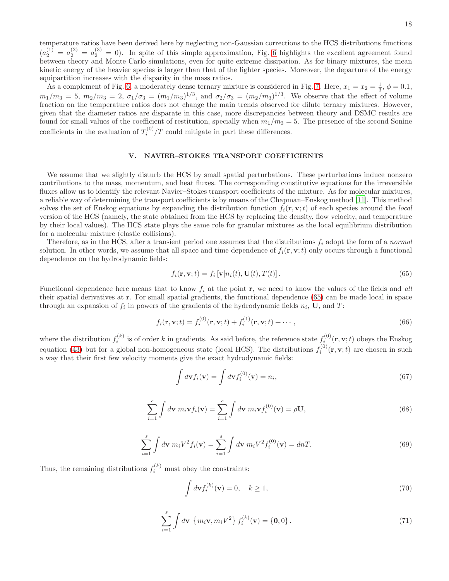As a complement of Fig. [6,](#page-16-0) a moderately dense ternary mixture is considered in Fig. [7.](#page-16-1) Here,  $x_1 = x_2 = \frac{1}{3}$ ,  $\phi = 0.1$ ,  $m_1/m_3 = 5, m_2/m_3 = 2, \sigma_1/\sigma_3 = (m_1/m_3)^{1/3}, \text{ and } \sigma_2/\sigma_3 = (m_2/m_3)^{1/3}.$  We observe that the effect of volume fraction on the temperature ratios does not change the main trends observed for dilute ternary mixtures. However, given that the diameter ratios are disparate in this case, more discrepancies between theory and DSMC results are found for small values of the coefficient of restitution, specially when  $m_1/m_3 = 5$ . The presence of the second Sonine coefficients in the evaluation of  $T_i^{(0)}/T$  could mitigate in part these differences.

# <span id="page-17-0"></span>V. NAVIER–STOKES TRANSPORT COEFFICIENTS

We assume that we slightly disturb the HCS by small spatial perturbations. These perturbations induce nonzero contributions to the mass, momentum, and heat fluxes. The corresponding constitutive equations for the irreversible fluxes allow us to identify the relevant Navier–Stokes transport coefficients of the mixture. As for molecular mixtures, a reliable way of determining the transport coefficients is by means of the Chapman–Enskog method [\[11\]](#page-30-1). This method solves the set of Enskog equations by expanding the distribution function  $f_i(\mathbf{r}, \mathbf{v}; t)$  of each species around the *local* version of the HCS (namely, the state obtained from the HCS by replacing the density, flow velocity, and temperature by their local values). The HCS state plays the same role for granular mixtures as the local equilibrium distribution for a molecular mixture (elastic collisions).

Therefore, as in the HCS, after a transient period one assumes that the distributions  $f_i$  adopt the form of a normal solution. In other words, we assume that all space and time dependence of  $f_i(\mathbf{r}, \mathbf{v}; t)$  only occurs through a functional dependence on the hydrodynamic fields:

<span id="page-17-1"></span>
$$
f_i(\mathbf{r}, \mathbf{v}; t) = f_i \left[ \mathbf{v} | n_i(t), \mathbf{U}(t), T(t) \right]. \tag{65}
$$

Functional dependence here means that to know  $f_i$  at the point r, we need to know the values of the fields and all their spatial derivatives at r. For small spatial gradients, the functional dependence [\(65\)](#page-17-1) can be made local in space through an expansion of  $f_i$  in powers of the gradients of the hydrodynamic fields  $n_i$ , U, and T:

<span id="page-17-2"></span>
$$
f_i(\mathbf{r}, \mathbf{v}; t) = f_i^{(0)}(\mathbf{r}, \mathbf{v}; t) + f_i^{(1)}(\mathbf{r}, \mathbf{v}; t) + \cdots,
$$
\n(66)

where the distribution  $f_i^{(k)}$  is of order k in gradients. As said before, the reference state  $f_i^{(0)}(\mathbf{r}, \mathbf{v}; t)$  obeys the Enskog equation [\(43\)](#page-8-0) but for a global non-homogeneous state (local HCS). The distributions  $f_i^{(0)}(\mathbf{r}, \mathbf{v}; t)$  are chosen in such a way that their first few velocity moments give the exact hydrodynamic fields:

$$
\int d\mathbf{v} f_i(\mathbf{v}) = \int d\mathbf{v} f_i^{(0)}(\mathbf{v}) = n_i,
$$
\n(67)

$$
\sum_{i=1}^{s} \int d\mathbf{v} \; m_i \mathbf{v} f_i(\mathbf{v}) = \sum_{i=1}^{s} \int d\mathbf{v} \; m_i \mathbf{v} f_i^{(0)}(\mathbf{v}) = \rho \mathbf{U}, \tag{68}
$$

$$
\sum_{i=1}^{s} \int d\mathbf{v} \ m_i V^2 f_i(\mathbf{v}) = \sum_{i=1}^{s} \int d\mathbf{v} \ m_i V^2 f_i^{(0)}(\mathbf{v}) = dnT.
$$
 (69)

Thus, the remaining distributions  $f_i^{(k)}$  must obey the constraints:

J

$$
\int d\mathbf{v} f_i^{(k)}(\mathbf{v}) = 0, \quad k \ge 1,
$$
\n(70)

<span id="page-17-3"></span>
$$
\sum_{i=1}^{s} \int d\mathbf{v} \, \left\{ m_i \mathbf{v}, m_i V^2 \right\} f_i^{(k)}(\mathbf{v}) = \left\{ \mathbf{0}, 0 \right\}. \tag{71}
$$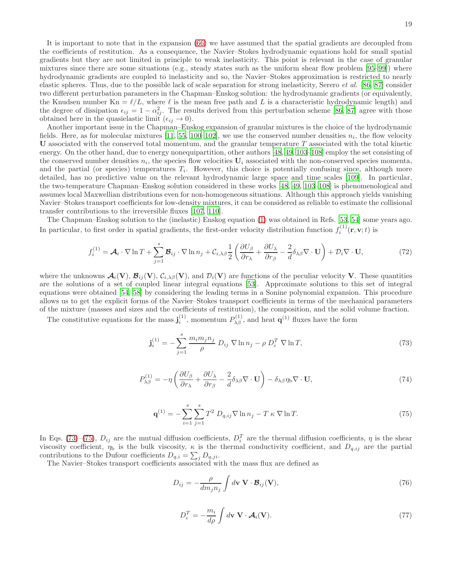It is important to note that in the expansion [\(66\)](#page-17-2) we have assumed that the spatial gradients are decoupled from the coefficients of restitution. As a consequence, the Navier–Stokes hydrodynamic equations hold for small spatial gradients but they are not limited in principle to weak inelasticity. This point is relevant in the case of granular mixtures since there are some situations (e.g., steady states such as the uniform shear flow problem [\[95](#page-32-8)[–99](#page-32-9)]) where hydrodynamic gradients are coupled to inelasticity and so, the Navier–Stokes approximation is restricted to nearly elastic spheres. Thus, due to the possible lack of scale separation for strong inelasticity, Serero et al. [\[86,](#page-32-1) [87\]](#page-32-10) consider two different perturbation parameters in the Chapman–Enskog solution: the hydrodynamic gradients (or equivalently, the Knudsen number  $Kn = \ell/L$ , where  $\ell$  is the mean free path and L is a characteristic hydrodynamic length) and the degree of dissipation  $\epsilon_{ij} = 1 - \alpha_{ij}^2$ . The results derived from this perturbation scheme [\[86](#page-32-1), [87\]](#page-32-10) agree with those obtained here in the quasielastic limit  $(\epsilon_{ij} \rightarrow 0)$ .

Another important issue in the Chapman–Enskog expansion of granular mixtures is the choice of the hydrodynamic fields. Here, as for molecular mixtures [\[11](#page-30-1), [55](#page-31-5), [100](#page-32-11)[–102\]](#page-32-12), we use the conserved number densities  $n_i$ , the flow velocity U associated with the conserved total momentum, and the granular temperature  $T$  associated with the total kinetic energy. On the other hand, due to energy nonequipartition, other authors [\[48,](#page-31-1) [49](#page-31-2), [103](#page-32-13)[–108](#page-32-14)] employ the set consisting of the conserved number densities  $n_i$ , the species flow velocities  $U_i$  associated with the non-conserved species momenta, and the partial (or species) temperatures  $T_i$ . However, this choice is potentially confusing since, although more detailed, has no predictive value on the relevant hydrodynamic large space and time scales [\[109\]](#page-32-15). In particular, the two-temperature Chapman–Enskog solution considered in these works [\[48,](#page-31-1) [49,](#page-31-2) [103](#page-32-13)[–108\]](#page-32-14) is phenomenological and assumes local Maxwellian distributions even for non-homogeneous situations. Although this approach yields vanishing Navier–Stokes transport coefficients for low-density mixtures, it can be considered as reliable to estimate the collisional transfer contributions to the irreversible fluxes [\[107,](#page-32-16) [110\]](#page-32-17).

The Chapman–Enskog solution to the (inelastic) Enskog equation [\(1\)](#page-2-3) was obtained in Refs. [\[53,](#page-31-7) [54](#page-31-4)] some years ago. In particular, to first order in spatial gradients, the first-order velocity distribution function  $f_i^{(1)}(\mathbf{r}, \mathbf{v}; t)$  is

<span id="page-18-2"></span>
$$
f_i^{(1)} = \mathcal{A}_i \cdot \nabla \ln T + \sum_{j=1}^s \mathcal{B}_{ij} \cdot \nabla \ln n_j + C_{i,\lambda\beta} \frac{1}{2} \left( \frac{\partial U_\beta}{\partial r_\lambda} + \frac{\partial U_\lambda}{\partial r_\beta} - \frac{2}{d} \delta_{\lambda\beta} \nabla \cdot \mathbf{U} \right) + \mathcal{D}_i \nabla \cdot \mathbf{U},\tag{72}
$$

where the unknowns  $\mathcal{A}_i(\mathbf{V}), \mathcal{B}_{ij}(\mathbf{V}), \mathcal{C}_{i,\lambda\beta}(\mathbf{V})$ , and  $\mathcal{D}_i(\mathbf{V})$  are functions of the peculiar velocity **V**. These quantities are the solutions of a set of coupled linear integral equations [\[53\]](#page-31-7). Approximate solutions to this set of integral equations were obtained [\[54](#page-31-4), [58\]](#page-31-8) by considering the leading terms in a Sonine polynomial expansion. This procedure allows us to get the explicit forms of the Navier–Stokes transport coefficients in terms of the mechanical parameters of the mixture (masses and sizes and the coefficients of restitution), the composition, and the solid volume fraction.

The constitutive equations for the mass  $\mathbf{j}_i^{(1)}$ , momentum  $P_{\lambda\beta}^{(1)}$ , and heat  $\mathbf{q}^{(1)}$  fluxes have the form

<span id="page-18-0"></span>
$$
\mathbf{j}_i^{(1)} = -\sum_{j=1}^s \frac{m_i m_j n_j}{\rho} D_{ij} \nabla \ln n_j - \rho \ D_i^T \nabla \ln T,\tag{73}
$$

<span id="page-18-3"></span>
$$
P_{\lambda\beta}^{(1)} = -\eta \left( \frac{\partial U_{\beta}}{\partial r_{\lambda}} + \frac{\partial U_{\lambda}}{\partial r_{\beta}} - \frac{2}{d} \delta_{\lambda\beta} \nabla \cdot \mathbf{U} \right) - \delta_{\lambda\beta} \eta_{\text{b}} \nabla \cdot \mathbf{U},\tag{74}
$$

<span id="page-18-1"></span>
$$
\mathbf{q}^{(1)} = -\sum_{i=1}^{s} \sum_{j=1}^{s} T^2 D_{q,ij} \nabla \ln n_j - T \kappa \nabla \ln T.
$$
 (75)

In Eqs. [\(73\)](#page-18-0)–[\(75\)](#page-18-1),  $D_{ij}$  are the mutual diffusion coefficients,  $D_i^T$  are the thermal diffusion coefficients,  $\eta$  is the shear viscosity coefficient,  $\eta_b$  is the bulk viscosity,  $\kappa$  is the thermal conductivity coefficient, and  $D_{q,ij}$  are the partial contributions to the Dufour coefficients  $D_{q,i} = \sum_j D_{q,ji}$ .

The Navier–Stokes transport coefficients associated with the mass flux are defined as

$$
D_{ij} = -\frac{\rho}{dm_j n_j} \int d\mathbf{v} \ \mathbf{V} \cdot \mathcal{B}_{ij}(\mathbf{V}), \tag{76}
$$

$$
D_i^T = -\frac{m_i}{d\rho} \int d\mathbf{v} \ \mathbf{V} \cdot \mathcal{A}_i(\mathbf{V}). \tag{77}
$$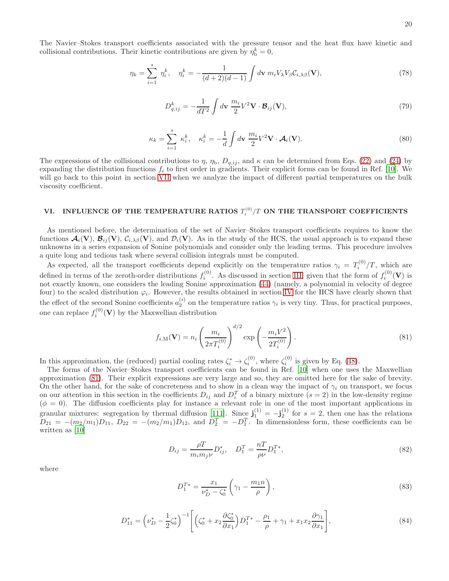The Navier–Stokes transport coefficients associated with the pressure tensor and the heat flux have kinetic and collisional contributions. Their kinetic contributions are given by  $\eta_{\rm b}^k = 0$ ,

$$
\eta_k = \sum_{i=1}^s \eta_i^k, \quad \eta_i^k = -\frac{1}{(d+2)(d-1)} \int d\mathbf{v} \; m_i V_\lambda V_\beta C_{i,\lambda\beta}(\mathbf{V}), \tag{78}
$$

$$
D_{q,ij}^k = -\frac{1}{dT^2} \int d\mathbf{v} \frac{m_i}{2} V^2 \mathbf{V} \cdot \mathbf{\mathcal{B}}_{ij}(\mathbf{V}), \qquad (79)
$$

$$
\kappa_k = \sum_{i=1}^s \kappa_i^k, \quad \kappa_i^k = -\frac{1}{d} \int d\mathbf{v} \; \frac{m_i}{2} V^2 \mathbf{V} \cdot \mathcal{A}_i(\mathbf{V}). \tag{80}
$$

The expressions of the collisional contributions to  $\eta$ ,  $\eta_b$ ,  $D_{q,ij}$ , and  $\kappa$  can be determined from Eqs. [\(22\)](#page-5-4) and [\(24\)](#page-5-5) by expanding the distribution functions  $f_i$  to first order in gradients. Their explicit forms can be found in Ref. [\[10](#page-30-0)]. We will go back to this point in section [VII](#page-23-0) when we analyze the impact of different partial temperatures on the bulk viscosity coefficient.

# <span id="page-19-0"></span>VI. INFLUENCE OF THE TEMPERATURE RATIOS  $T_i^{(0)}/T$  ON THE TRANSPORT COEFFICIENTS

As mentioned before, the determination of the set of Navier–Stokes transport coefficients requires to know the functions  $\mathcal{A}_i(\mathbf{V}), \mathcal{B}_{ii}(\mathbf{V}), \mathcal{C}_{i,\lambda\beta}(\mathbf{V})$ , and  $\mathcal{D}_i(\mathbf{V})$ . As in the study of the HCS, the usual approach is to expand these unknowns in a series expansion of Sonine polynomials and consider only the leading terms. This procedure involves a quite long and tedious task where several collision integrals must be computed.

As expected, all the transport coefficients depend explicitly on the temperature ratios  $\gamma_i = T_i^{(0)}/T$ , which are defined in terms of the zeroth-order distributions  $f_i^{(0)}$ . As discussed in section [III,](#page-6-0) given that the form of  $f_i^{(0)}(\mathbf{V})$  is not exactly known, one considers the leading Sonine approximation [\(44\)](#page-8-1) (namely, a polynomial in velocity of degree four) to the scaled distribution  $\varphi_i$ . However, the results obtained in section [IV](#page-11-0) for the HCS have clearly shown that the effect of the second Sonine coefficients  $a_2^{(i)}$  on the temperature ratios  $\gamma_i$  is very tiny. Thus, for practical purposes, one can replace  $f_i^{(0)}(\mathbf{V})$  by the Maxwellian distribution

<span id="page-19-1"></span>
$$
f_{i,M}(\mathbf{V}) = n_i \left(\frac{m_i}{2\pi T_i^{(0)}}\right)^{d/2} \exp\left(-\frac{m_i V^2}{2T_i^{(0)}}\right).
$$
 (81)

In this approximation, the (reduced) partial cooling rates  $\zeta_i^* \to \zeta_i^{(0)}$ , where  $\zeta_i^{(0)}$  is given by Eq. [\(48\)](#page-9-0).

The forms of the Navier–Stokes transport coefficients can be found in Ref. [\[10](#page-30-0)] when one uses the Maxwellian approximation [\(81\)](#page-19-1). Their explicit expressions are very large and so, they are omitted here for the sake of brevity. On the other hand, for the sake of concreteness and to show in a clean way the impact of  $\gamma_i$  on transport, we focus on our attention in this section in the coefficients  $D_{ij}$  and  $D_i^T$  of a binary mixture  $(s = 2)$  in the low-density regime  $(\phi = 0)$ . The diffusion coefficients play for instance a relevant role in one of the most important applications in granular mixtures: segregation by thermal diffusion [\[111\]](#page-32-18). Since  $\mathbf{j}_1^{(1)} = -\mathbf{j}_2^{(1)}$  for  $s = 2$ , then one has the relations  $D_{21} = -(m_2/m_1)D_{11}$ ,  $D_{22} = -(m_2/m_1)D_{12}$ , and  $D_2^T = -D_1^T$ . In dimensionless form, these coefficients can be written as [\[10\]](#page-30-0)

<span id="page-19-3"></span>
$$
D_{ij} = \frac{\rho T}{m_i m_j \nu} D_{ij}^*, \quad D_1^T = \frac{nT}{\rho \nu} D_1^{T*}, \tag{82}
$$

where

$$
D_1^{T*} = \frac{x_1}{\nu_D^* - \zeta_0^*} \left( \gamma_1 - \frac{m_1 n}{\rho} \right),\tag{83}
$$

<span id="page-19-2"></span>
$$
D_{11}^* = \left(\nu_D^* - \frac{1}{2}\zeta_0^*\right)^{-1} \left[ \left(\zeta_0^* + x_2 \frac{\partial \zeta_0^*}{\partial x_1}\right) D_1^{T*} - \frac{\rho_1}{\rho} + \gamma_1 + x_1 x_2 \frac{\partial \gamma_1}{\partial x_1} \right],\tag{84}
$$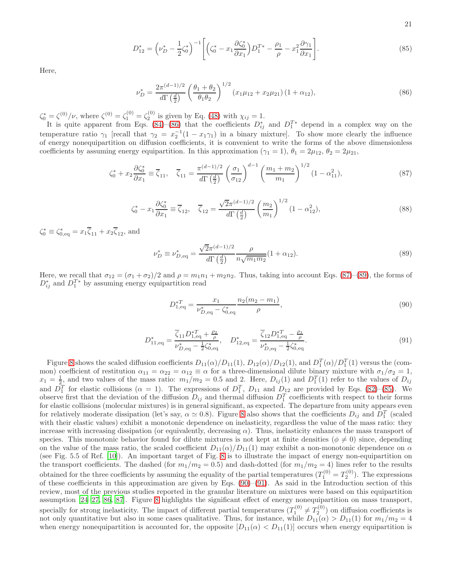21

<span id="page-20-3"></span>
$$
D_{12}^* = \left(\nu_D^* - \frac{1}{2}\zeta_0^*\right)^{-1} \left[ \left(\zeta_0^* - x_1 \frac{\partial \zeta_0^*}{\partial x_1}\right) D_1^{T*} - \frac{\rho_1}{\rho} - x_1^2 \frac{\partial \gamma_1}{\partial x_1} \right].\tag{85}
$$

Here,

<span id="page-20-0"></span>
$$
\nu_D^* = \frac{2\pi^{(d-1)/2}}{d\Gamma\left(\frac{d}{2}\right)} \left(\frac{\theta_1 + \theta_2}{\theta_1 \theta_2}\right)^{1/2} \left(x_1 \mu_{12} + x_2 \mu_{21}\right) \left(1 + \alpha_{12}\right),\tag{86}
$$

 $\zeta_0^* = \zeta^{(0)} / \nu$ , where  $\zeta^{(0)} = \zeta_1^{(0)} = \zeta_2^{(0)}$  is given by Eq. [\(48\)](#page-9-0) with  $\chi_{ij} = 1$ .

It is quite apparent from Eqs. [\(84\)](#page-19-2)–[\(86\)](#page-20-0) that the coefficients  $D_{ij}^*$  and  $D_1^{T*}$  depend in a complex way on the temperature ratio  $\gamma_1$  [recall that  $\gamma_2 = x_2^{-1}(1 - x_1\gamma_1)$  in a binary mixture]. To show more clearly the influence of energy nonequipartition on diffusion coefficients, it is convenient to write the forms of the above dimensionless coefficients by assuming energy equipartition. In this approximation ( $\gamma_1 = 1$ ),  $\theta_1 = 2\mu_{12}$ ,  $\theta_2 = 2\mu_{21}$ ,

<span id="page-20-1"></span>
$$
\zeta_0^* + x_2 \frac{\partial \zeta_0^*}{\partial x_1} \equiv \overline{\zeta}_{11}, \quad \overline{\zeta}_{11} = \frac{\pi^{(d-1)/2}}{d\Gamma\left(\frac{d}{2}\right)} \left(\frac{\sigma_1}{\sigma_{12}}\right)^{d-1} \left(\frac{m_1 + m_2}{m_1}\right)^{1/2} (1 - \alpha_{11}^2),\tag{87}
$$

$$
\zeta_0^* - x_1 \frac{\partial \zeta_0^*}{\partial x_1} \equiv \overline{\zeta}_{12}, \quad \overline{\zeta}_{12} = \frac{\sqrt{2\pi}^{(d-1)/2}}{d\Gamma\left(\frac{d}{2}\right)} \left(\frac{m_2}{m_1}\right)^{1/2} (1 - \alpha_{12}^2),\tag{88}
$$

 $\zeta_0^* \equiv \zeta_{0,\text{eq}}^* = x_1 \overline{\zeta}_{11} + x_2 \overline{\zeta}_{12}$ , and

<span id="page-20-2"></span>
$$
\nu_D^* \equiv \nu_{D,\text{eq}}^* = \frac{\sqrt{2}\pi^{(d-1)/2}}{d\Gamma\left(\frac{d}{2}\right)} \frac{\rho}{n\sqrt{m_1 m_2}} (1 + \alpha_{12}).\tag{89}
$$

Here, we recall that  $\sigma_{12} = (\sigma_1 + \sigma_2)/2$  and  $\rho = m_1n_1 + m_2n_2$ . Thus, taking into account Eqs. [\(87\)](#page-20-1)–[\(89\)](#page-20-2), the forms of  $D_{ij}^*$  and  $D_1^{T*}$  by assuming energy equipartition read

<span id="page-20-4"></span>
$$
D_{1,\text{eq}}^{*T} = \frac{x_1}{\nu_{D,\text{eq}}^* - \zeta_{0,\text{eq}}^*} \frac{n_2(m_2 - m_1)}{\rho},\tag{90}
$$

<span id="page-20-5"></span>
$$
D_{11, \text{eq}}^{*} = \frac{\overline{\zeta}_{11} D_{1, \text{eq}}^{*T} + \frac{\rho_2}{\rho}}{\nu_{D, \text{eq}}^{*} - \frac{1}{2} \zeta_{0, \text{eq}}^{*}}, \quad D_{12, \text{eq}}^{*} = \frac{\overline{\zeta}_{12} D_{1, \text{eq}}^{*T} - \frac{\rho_1}{\rho}}{\nu_{D, \text{eq}}^{*} - \frac{1}{2} \zeta_{0, \text{eq}}^{*}}.
$$
\n
$$
(91)
$$

Figure [8](#page-21-0) shows the scaled diffusion coefficients  $D_{11}(\alpha)/D_{11}(1)$ ,  $D_{12}(\alpha)/D_{12}(1)$ , and  $D_1^T(\alpha)/D_1^T(1)$  versus the (common) coefficient of restitution  $\alpha_{11} = \alpha_{22} = \alpha_{12} \equiv \alpha$  for a three-dimensional dilute binary mixture with  $\sigma_1/\sigma_2 = 1$ ,  $x_1 = \frac{1}{2}$ , and two values of the mass ratio:  $m_1/m_2 = 0.5$  and 2. Here,  $D_{ij}(1)$  and  $D_1^T(1)$  refer to the values of  $D_{ij}$ and  $D_1^T$  for elastic collisions ( $\alpha = 1$ ). The expressions of  $D_1^T$ ,  $D_{11}$  and  $D_{12}$  are provided by Eqs. [\(82\)](#page-19-3)–[\(85\)](#page-20-3). We observe first that the deviation of the diffusion  $D_{ij}$  and thermal diffusion  $D_1^T$  coefficients with respect to their forms for elastic collisions (molecular mixtures) is in general significant, as expected. The departure from unity appears even for relatively moderate dissipation (let's say,  $\alpha \simeq 0.8$ ). Figure [8](#page-21-0) also shows that the coefficients  $D_{ij}$  and  $D_1^T$  (scaled with their elastic values) exhibit a monotonic dependence on inelasticity, regardless the value of the mass ratio: they increase with increasing dissipation (or equivalently, decreasing  $\alpha$ ). Thus, inelasticity enhances the mass transport of species. This monotonic behavior found for dilute mixtures is not kept at finite densities ( $\phi \neq 0$ ) since, depending on the value of the mass ratio, the scaled coefficient  $D_{11}(\alpha)/D_{11}(1)$  may exhibit a non-monotonic dependence on  $\alpha$ (see Fig. 5.5 of Ref. [\[10](#page-30-0)]). An important target of Fig. [8](#page-21-0) is to illustrate the impact of energy non-equipartition on the transport coefficients. The dashed (for  $m_1/m_2 = 0.5$ ) and dash-dotted (for  $m_1/m_2 = 4$ ) lines refer to the results obtained for the three coefficients by assuming the equality of the partial temperatures  $(T_1^{(0)} = T_2^{(0)})$ . The expressions of these coefficients in this approximation are given by Eqs. [\(90\)](#page-20-4)–[\(91\)](#page-20-5). As said in the Introduction section of this review, most of the previous studies reported in the granular literature on mixtures were based on this equipartition assumption [\[24](#page-30-8)[–27,](#page-30-9) [86,](#page-32-1) [87](#page-32-10)]. Figure [8](#page-21-0) highlights the significant effect of energy nonequipartition on mass transport, specially for strong inelasticity. The impact of different partial temperatures  $(T_1^{(0)} \neq T_2^{(0)})$  on diffusion coefficients is not only quantitative but also in some cases qualitative. Thus, for instance, while  $D_{11}(\alpha) > D_{11}(1)$  for  $m_1/m_2 = 4$ when energy nonequipartition is accounted for, the opposite  $[D_{11}(\alpha) < D_{11}(1)]$  occurs when energy equipartition is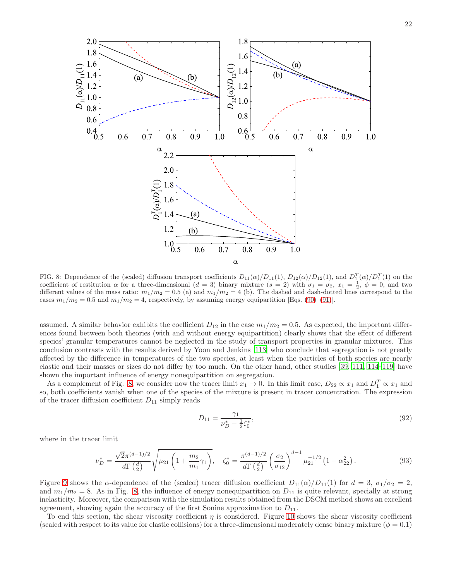

<span id="page-21-0"></span>FIG. 8: Dependence of the (scaled) diffusion transport coefficients  $D_{11}(\alpha)/D_{11}(1)$ ,  $D_{12}(\alpha)/D_{12}(1)$ , and  $D_1^T(\alpha)/D_1^T(1)$  on the coefficient of restitution  $\alpha$  for a three-dimensional  $(d = 3)$  binary mixture  $(s = 2)$  with  $\sigma_1 = \sigma_2$ ,  $x_1 = \frac{1}{2}$ ,  $\phi = 0$ , and two different values of the mass ratio:  $m_1/m_2 = 0.5$  (a) and  $m_1/m_2 = 4$  (b). The dashed and dash-dotted lines correspond to the cases  $m_1/m_2 = 0.5$  and  $m_1/m_2 = 4$ , respectively, by assuming energy equipartition [Eqs. [\(90\)](#page-20-4)–[\(91\)](#page-20-5)].

assumed. A similar behavior exhibits the coefficient  $D_{12}$  in the case  $m_1/m_2 = 0.5$ . As expected, the important differences found between both theories (with and without energy equipartition) clearly shows that the effect of different species' granular temperatures cannot be neglected in the study of transport properties in granular mixtures. This conclusion contrasts with the results derived by Yoon and Jenkins [\[113\]](#page-32-19) who conclude that segregation is not greatly affected by the difference in temperatures of the two species, at least when the particles of both species are nearly elastic and their masses or sizes do not differ by too much. On the other hand, other studies [\[39](#page-30-18), [111,](#page-32-18) [114–](#page-32-20)[119\]](#page-32-21) have shown the important influence of energy nonequipartition on segregation.

As a complement of Fig. [8,](#page-21-0) we consider now the tracer limit  $x_1 \to 0$ . In this limit case,  $D_{22} \propto x_1$  and  $D_1^T \propto x_1$  and so, both coefficients vanish when one of the species of the mixture is present in tracer concentration. The expression of the tracer diffusion coefficient  $D_{11}$  simply reads

<span id="page-21-1"></span>
$$
D_{11} = \frac{\gamma_1}{\nu_D^* - \frac{1}{2}\zeta_0^*},\tag{92}
$$

where in the tracer limit

$$
\nu_D^* = \frac{\sqrt{2}\pi^{(d-1)/2}}{d\Gamma\left(\frac{d}{2}\right)} \sqrt{\mu_{21}\left(1 + \frac{m_2}{m_1}\gamma_1\right)}, \quad \zeta_0^* = \frac{\pi^{(d-1)/2}}{d\Gamma\left(\frac{d}{2}\right)} \left(\frac{\sigma_2}{\sigma_{12}}\right)^{d-1} \mu_{21}^{-1/2} \left(1 - \alpha_{22}^2\right). \tag{93}
$$

Figure [9](#page-22-0) shows the  $\alpha$ -dependence of the (scaled) tracer diffusion coefficient  $D_{11}(\alpha)/D_{11}(1)$  for  $d = 3$ ,  $\sigma_1/\sigma_2 = 2$ , and  $m_1/m_2 = 8$ . As in Fig. [8,](#page-21-0) the influence of energy nonequipartition on  $D_{11}$  is quite relevant, specially at strong inelasticity. Moreover, the comparison with the simulation results obtained from the DSCM method shows an excellent agreement, showing again the accuracy of the first Sonine approximation to  $D_{11}$ .

To end this section, the shear viscosity coefficient  $\eta$  is considered. Figure [10](#page-22-1) shows the shear viscosity coefficient (scaled with respect to its value for elastic collisions) for a three-dimensional moderately dense binary mixture ( $\phi = 0.1$ )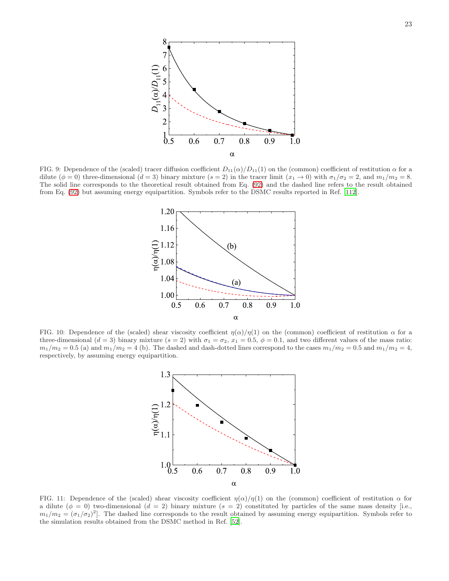

<span id="page-22-0"></span>FIG. 9: Dependence of the (scaled) tracer diffusion coefficient  $D_{11}(\alpha)/D_{11}(1)$  on the (common) coefficient of restitution  $\alpha$  for a dilute  $(\phi = 0)$  three-dimensional  $(d = 3)$  binary mixture  $(s = 2)$  in the tracer limit  $(x_1 \rightarrow 0)$  with  $\sigma_1/\sigma_2 = 2$ , and  $m_1/m_2 = 8$ . The solid line corresponds to the theoretical result obtained from Eq. [\(92\)](#page-21-1) and the dashed line refers to the result obtained from Eq. [\(92\)](#page-21-1) but assuming energy equipartition. Symbols refer to the DSMC results reported in Ref. [\[112](#page-32-22)].



<span id="page-22-1"></span>FIG. 10: Dependence of the (scaled) shear viscosity coefficient  $\eta(\alpha)/\eta(1)$  on the (common) coefficient of restitution  $\alpha$  for a three-dimensional  $(d = 3)$  binary mixture  $(s = 2)$  with  $\sigma_1 = \sigma_2$ ,  $x_1 = 0.5$ ,  $\phi = 0.1$ , and two different values of the mass ratio:  $m_1/m_2 = 0.5$  (a) and  $m_1/m_2 = 4$  (b). The dashed and dash-dotted lines correspond to the cases  $m_1/m_2 = 0.5$  and  $m_1/m_2 = 4$ , respectively, by assuming energy equipartition.



<span id="page-22-2"></span>FIG. 11: Dependence of the (scaled) shear viscosity coefficient  $\eta(\alpha)/\eta(1)$  on the (common) coefficient of restitution  $\alpha$  for a dilute  $(\phi = 0)$  two-dimensional  $(d = 2)$  binary mixture  $(s = 2)$  constituted by particles of the same mass density [i.e.,  $m_1/m_2 = (\sigma_1/\sigma_2)^2$ . The dashed line corresponds to the result obtained by assuming energy equipartition. Symbols refer to the simulation results obtained from the DSMC method in Ref. [\[52](#page-31-30)].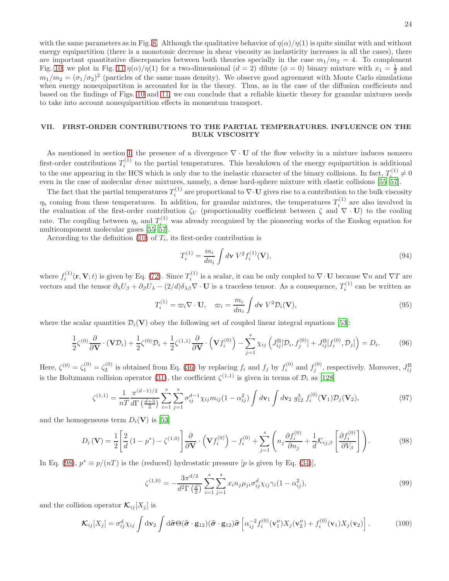with the same parameters as in Fig. [8.](#page-21-0) Although the qualitative behavior of  $\eta(\alpha)/\eta(1)$  is quite similar with and without energy equipartition (there is a monotonic decrease in shear viscosity as inelasticity increases in all the cases), there are important quantitative discrepancies between both theories specially in the case  $m_1/m_2 = 4$ . To complement Fig. [10,](#page-22-1) we plot in Fig. [11](#page-22-2)  $\eta(\alpha)/\eta(1)$  for a two-dimensional  $(d=2)$  dilute  $(\phi=0)$  binary mixture with  $x_1=\frac{1}{2}$  and  $m_1/m_2 = (\sigma_1/\sigma_2)^2$  (particles of the same mass density). We observe good agreement with Monte Carlo simulations when energy nonequipartiton is accounted for in the theory. Thus, as in the case of the diffusion coefficients and based on the findings of Figs. [10](#page-22-1) and [11,](#page-22-2) we can conclude that a reliable kinetic theory for granular mixtures needs to take into account nonequipartition effects in momentum transport.

## <span id="page-23-0"></span>VII. FIRST-ORDER CONTRIBUTIONS TO THE PARTIAL TEMPERATURES. INFLUENCE ON THE BULK VISCOSITY

As mentioned in section [I,](#page-0-0) the presence of a divergence  $\nabla \cdot \mathbf{U}$  of the flow velocity in a mixture induces nonzero first-order contributions  $T_i^{(1)}$  to the partial temperatures. This breakdown of the energy equipartition is additional to the one appearing in the HCS which is only due to the inelastic character of the binary collisions. In fact,  $T_i^{(1)} \neq 0$ even in the case of molecular dense mixtures, namely, a dense hard-sphere mixture with elastic collisions [\[55](#page-31-5)[–57](#page-31-6)].

The fact that the partial temperatures  $T_i^{(1)}$  $\mathbf{u}_i^{(1)}$  are proportional to  $\nabla \cdot \mathbf{U}$  gives rise to a contribution to the bulk viscosity  $\eta_b$  coming from these temperatures. In addition, for granular mixtures, the temperatures  $T_i^{(1)}$  are also involved in the evaluation of the first-order contribution  $\zeta_U$  (proportionality coefficient between  $\zeta$  and  $\nabla \cdot \mathbf{U}$ ) to the cooling rate. The coupling between  $\eta_{\rm b}$  and  $T_i^{(1)}$  was already recognized by the pioneering works of the Enskog equation for multicomponent molecular gases [\[55](#page-31-5)[–57\]](#page-31-6).

According to the definition [\(10\)](#page-3-5) of  $T_i$ , its first-order contribution is

$$
T_i^{(1)} = \frac{m_i}{dn_i} \int d\mathbf{v} \ V^2 f_i^{(1)}(\mathbf{V}), \tag{94}
$$

where  $f_i^{(1)}$  $\mathbf{F}_i^{(1)}(\mathbf{r}, \mathbf{V}; t)$  is given by Eq. [\(72\)](#page-18-2). Since  $T_i^{(1)}$  $\overline{V}_i^{(1)}$  is a scalar, it can be only coupled to  $\nabla \cdot \mathbf{U}$  because  $\nabla n$  and  $\nabla T$  are vectors and the tensor  $\partial_{\lambda}U_{\beta} + \partial_{\beta}U_{\lambda} - (2/d)\delta_{\lambda\beta}\nabla\cdot\mathbf{U}$  is a traceless tensor. As a consequence,  $T_i^{(1)}$  can be written as

<span id="page-23-5"></span>
$$
T_i^{(1)} = \varpi_i \nabla \cdot \mathbf{U}, \quad \varpi_i = \frac{m_i}{dn_i} \int d\mathbf{v} \ V^2 \mathcal{D}_i(\mathbf{V}), \tag{95}
$$

where the scalar quantities  $\mathcal{D}_i(\mathbf{V})$  obey the following set of coupled linear integral equations [\[53\]](#page-31-7):

<span id="page-23-4"></span>
$$
\frac{1}{2}\zeta^{(0)}\frac{\partial}{\partial \mathbf{V}}\cdot(\mathbf{V}\mathcal{D}_i) + \frac{1}{2}\zeta^{(0)}\mathcal{D}_i + \frac{1}{2}\zeta^{(1,1)}\frac{\partial}{\partial \mathbf{V}}\cdot(\mathbf{V}f_i^{(0)}) - \sum_{j=1}^s \chi_{ij}\left(J_{ij}^{\text{B}}[\mathcal{D}_i, f_j^{(0)}] + J_{ij}^{\text{B}}[f_i^{(0)}, \mathcal{D}_j]\right) = D_i.
$$
 (96)

Here,  $\zeta^{(0)} = \zeta_1^{(0)} = \zeta_2^{(0)}$  is obtained from Eq. [\(36\)](#page-7-4) by replacing  $f_i$  and  $f_j$  by  $f_i^{(0)}$  and  $f_j^{(0)}$ , respectively. Moreover,  $J_{ij}^{\text{B}}$ is the Boltzmann collision operator [\(31\)](#page-6-2), the coefficient  $\zeta^{(1,1)}$  is given in terms of  $\mathcal{D}_i$  as [\[128](#page-33-0)]

<span id="page-23-2"></span>
$$
\zeta^{(1,1)} = \frac{1}{nT} \frac{\pi^{(d-1)/2}}{d\Gamma(\frac{d+3}{2})} \sum_{i=1}^{s} \sum_{j=1}^{s} \sigma_{ij}^{d-1} \chi_{ij} m_{ij} (1 - \alpha_{ij}^2) \int d\mathbf{v}_1 \int d\mathbf{v}_2 \ g_{12}^3 f_i^{(0)}(\mathbf{V}_1) \mathcal{D}_j(\mathbf{V}_2), \tag{97}
$$

and the homogeneous term  $D_i(\mathbf{V})$  is [\[53\]](#page-31-7)

<span id="page-23-1"></span>
$$
D_i(\mathbf{V}) = \frac{1}{2} \left[ \frac{2}{d} \left( 1 - p^* \right) - \zeta^{(1,0)} \right] \frac{\partial}{\partial \mathbf{V}} \cdot \left( \mathbf{V} f_i^{(0)} \right) - f_i^{(0)} + \sum_{j=1}^s \left( n_j \frac{\partial f_i^{(0)}}{\partial n_j} + \frac{1}{d} \mathcal{K}_{ij,\beta} \left[ \frac{\partial f_i^{(0)}}{\partial V_{\beta}} \right] \right). \tag{98}
$$

In Eq. [\(98\)](#page-23-1),  $p^* \equiv p/(nT)$  is the (reduced) hydrostatic pressure [p is given by Eq. [\(34\)](#page-6-4)],

<span id="page-23-3"></span>
$$
\zeta^{(1,0)} = -\frac{3\pi^{d/2}}{d^2\Gamma\left(\frac{d}{2}\right)} \sum_{i=1}^s \sum_{j=1}^s x_i n_j \mu_{ji} \sigma_{ij}^d \chi_{ij} \gamma_i (1 - \alpha_{ij}^2),\tag{99}
$$

and the collision operator  $\mathcal{K}_{ij}[X_j]$  is

$$
\mathcal{K}_{ij}[X_j] = \sigma_{ij}^d \chi_{ij} \int d\mathbf{v}_2 \int d\hat{\boldsymbol{\sigma}} \Theta(\hat{\boldsymbol{\sigma}} \cdot \mathbf{g}_{12})(\hat{\boldsymbol{\sigma}} \cdot \mathbf{g}_{12}) \hat{\boldsymbol{\sigma}} \left[ \alpha_{ij}^{-2} f_i^{(0)}(\mathbf{v}_1'') X_j(\mathbf{v}_2'') + f_i^{(0)}(\mathbf{v}_1) X_j(\mathbf{v}_2) \right].
$$
 (100)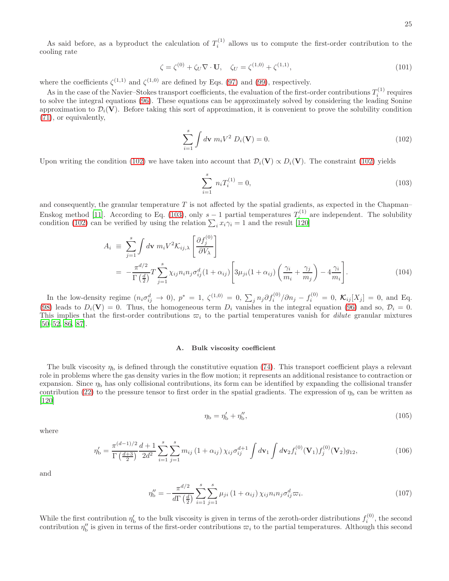As said before, as a byproduct the calculation of  $T_i^{(1)}$  allows us to compute the first-order contribution to the cooling rate

<span id="page-24-5"></span>
$$
\zeta = \zeta^{(0)} + \zeta_U \nabla \cdot \mathbf{U}, \quad \zeta_U = \zeta^{(1,0)} + \zeta^{(1,1)}, \tag{101}
$$

where the coefficients  $\zeta^{(1,1)}$  and  $\zeta^{(1,0)}$  are defined by Eqs. [\(97\)](#page-23-2) and [\(99\)](#page-23-3), respectively.

As in the case of the Navier–Stokes transport coefficients, the evaluation of the first-order contributions  $T_i^{(1)}$  requires to solve the integral equations [\(96\)](#page-23-4). These equations can be approximately solved by considering the leading Sonine approximation to  $\mathcal{D}_i(\mathbf{V})$ . Before taking this sort of approximation, it is convenient to prove the solubility condition [\(71\)](#page-17-3), or equivalently,

<span id="page-24-0"></span>
$$
\sum_{i=1}^{s} \int d\mathbf{v} \ m_i V^2 \ D_i(\mathbf{V}) = 0.
$$
 (102)

Upon writing the condition [\(102\)](#page-24-0) we have taken into account that  $\mathcal{D}_i(\mathbf{V}) \propto D_i(\mathbf{V})$ . The constraint (102) yields

<span id="page-24-1"></span>
$$
\sum_{i=1}^{s} n_i T_i^{(1)} = 0,\t\t(103)
$$

and consequently, the granular temperature  $T$  is not affected by the spatial gradients, as expected in the Chapman– Enskog method [\[11\]](#page-30-1). According to Eq. [\(103\)](#page-24-1), only  $s-1$  partial temperatures  $T_i^{(1)}$  are independent. The solubility Eliskog lifetion  $[11]$ . According to Eq. (103), only  $s-1$  partial temperatures  $T_i$  condition [\(102\)](#page-24-0) can be verified by using the relation  $\sum_i x_i \gamma_i = 1$  and the result [\[120\]](#page-32-23)

$$
A_i \equiv \sum_{j=1}^{s} \int d\mathbf{v} \ m_i V^2 \mathcal{K}_{ij,\lambda} \left[ \frac{\partial f_j^{(0)}}{\partial V_{\lambda}} \right]
$$
  
= 
$$
-\frac{\pi^{d/2}}{\Gamma(\frac{d}{2})} T \sum_{j=1}^{s} \chi_{ij} n_i n_j \sigma_{ij}^d (1 + \alpha_{ij}) \left[ 3\mu_{ji} (1 + \alpha_{ij}) \left( \frac{\gamma_i}{m_i} + \frac{\gamma_j}{m_j} \right) - 4 \frac{\gamma_i}{m_i} \right].
$$
 (104)

In the low-density regime  $(n_i \sigma_{ij}^d \to 0)$ ,  $p^* = 1$ ,  $\zeta^{(1,0)} = 0$ ,  $\sum_j n_j \partial f_i^{(0)}/\partial n_j - f_i^{(0)} = 0$ ,  $\mathcal{K}_{ij}[X_j] = 0$ , and Eq. [\(98\)](#page-23-1) leads to  $D_i(\mathbf{V}) = 0$ . Thus, the homogeneous term  $D_i$  vanishes in the integral equation [\(96\)](#page-23-4) and so,  $\mathcal{D}_i = 0$ . This implies that the first-order contributions  $\varpi_i$  to the partial temperatures vanish for *dilute* granular mixtures [\[50](#page-31-3)[–52,](#page-31-30) [86,](#page-32-1) [87\]](#page-32-10).

### A. Bulk viscosity coefficient

The bulk viscosity  $\eta_b$  is defined through the constitutive equation [\(74\)](#page-18-3). This transport coefficient plays a relevant role in problems where the gas density varies in the flow motion; it represents an additional resistance to contraction or expansion. Since  $\eta_b$  has only collisional contributions, its form can be identified by expanding the collisional transfer contribution [\(22\)](#page-5-4) to the pressure tensor to first order in the spatial gradients. The expression of  $\eta_{\rm b}$  can be written as [\[120\]](#page-32-23)

<span id="page-24-2"></span>
$$
\eta_{\mathbf{b}} = \eta_{\mathbf{b}}' + \eta_{\mathbf{b}}''\tag{105}
$$

where

<span id="page-24-3"></span>
$$
\eta'_{\mathbf{b}} = \frac{\pi^{(d-1)/2}}{\Gamma(\frac{d+3}{2})} \frac{d+1}{2d^2} \sum_{i=1}^s \sum_{j=1}^s m_{ij} \left(1 + \alpha_{ij}\right) \chi_{ij} \sigma_{ij}^{d+1} \int d\mathbf{v}_1 \int d\mathbf{v}_2 f_i^{(0)}(\mathbf{V}_1) f_j^{(0)}(\mathbf{V}_2) g_{12},\tag{106}
$$

and

<span id="page-24-4"></span>
$$
\eta_{\rm b}'' = -\frac{\pi^{d/2}}{d\Gamma\left(\frac{d}{2}\right)} \sum_{i=1}^{s} \sum_{j=1}^{s} \mu_{ji} \left(1 + \alpha_{ij}\right) \chi_{ij} n_i n_j \sigma_{ij}^d \varpi_i.
$$
\n(107)

While the first contribution  $\eta'_{\rm b}$  to the bulk viscosity is given in terms of the zeroth-order distributions  $f_i^{(0)}$  $i^{(0)}$ , the second contribution  $\eta''_b$  is given in terms of the first-order contributions  $\varpi_i$  to the partial temperatures. Although this second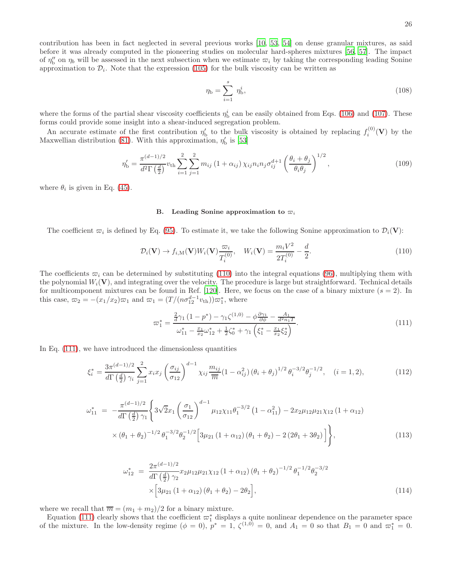contribution has been in fact neglected in several previous works [\[10,](#page-30-0) [53,](#page-31-7) [54\]](#page-31-4) on dense granular mixtures, as said before it was already computed in the pioneering studies on molecular hard-spheres mixtures [\[56,](#page-31-31) [57\]](#page-31-6). The impact of  $\eta''_b$  on  $\eta_b$  will be assessed in the next subsection when we estimate  $\varpi_i$  by taking the corresponding leading Sonine approximation to  $\mathcal{D}_i$ . Note that the expression [\(105\)](#page-24-2) for the bulk viscosity can be written as

$$
\eta_{\rm b} = \sum_{i=1}^{s} \eta_{\rm b}^{i},\tag{108}
$$

where the forms of the partial shear viscosity coefficients  $\eta_{\rm b}^i$  can be easily obtained from Eqs. [\(106\)](#page-24-3) and [\(107\)](#page-24-4). These forms could provide some insight into a shear-induced segregation problem.

An accurate estimate of the first contribution  $\eta'_{\rm b}$  to the bulk viscosity is obtained by replacing  $f_i^{(0)}$  $i^{(0)}(\mathbf{V})$  by the Maxwellian distribution [\(81\)](#page-19-1). With this approximation,  $\eta'_{\rm b}$  is [\[53](#page-31-7)]

$$
\eta'_{\rm b} = \frac{\pi^{(d-1)/2}}{d^2 \Gamma(\frac{d}{2})} v_{\rm th} \sum_{i=1}^2 \sum_{j=1}^2 m_{ij} \left(1 + \alpha_{ij}\right) \chi_{ij} n_i n_j \sigma_{ij}^{d+1} \left(\frac{\theta_i + \theta_j}{\theta_i \theta_j}\right)^{1/2},\tag{109}
$$

where  $\theta_i$  is given in Eq. [\(45\)](#page-8-3).

#### B. Leading Sonine approximation to  $\varpi_i$

The coefficient  $\varpi_i$  is defined by Eq. [\(95\)](#page-23-5). To estimate it, we take the following Sonine approximation to  $\mathcal{D}_i(\mathbf{V})$ :

<span id="page-25-0"></span>
$$
\mathcal{D}_i(\mathbf{V}) \to f_{i,\mathbf{M}}(\mathbf{V}) W_i(\mathbf{V}) \frac{\varpi_i}{T_i^{(0)}}, \quad W_i(\mathbf{V}) = \frac{m_i V^2}{2T_i^{(0)}} - \frac{d}{2}.
$$
\n(110)

The coefficients  $\overline{\omega}_i$  can be determined by substituting [\(110\)](#page-25-0) into the integral equations [\(96\)](#page-23-4), multiplying them with the polynomial  $W_i(\mathbf{V})$ , and integrating over the velocity. The procedure is large but straightforward. Technical details for multicomponent mixtures can be found in Ref. [\[120\]](#page-32-23). Here, we focus on the case of a binary mixture  $(s = 2)$ . In this case,  $\omega_2 = -(x_1/x_2)\omega_1$  and  $\omega_1 = (T/(n\sigma_{12}^{d-1}v_{th}))\omega_1^*$ , where

<span id="page-25-1"></span>
$$
\varpi_1^* = \frac{\frac{2}{d}\gamma_1 (1 - p^*) - \gamma_1 \zeta^{(1,0)} - \phi \frac{\partial \gamma_1}{\partial \phi} - \frac{A_1}{d^2 n_1 T}}{\omega_{11}^* - \frac{x_1}{x_2} \omega_{12}^* + \frac{1}{2} \zeta_0^* + \gamma_1 \left(\xi_1^* - \frac{x_1}{x_2} \xi_2^*\right)}.
$$
\n(111)

In Eq. [\(111\)](#page-25-1), we have introduced the dimensionless quantities

<span id="page-25-4"></span>
$$
\xi_i^* = \frac{3\pi^{(d-1)/2}}{d\Gamma\left(\frac{d}{2}\right)\gamma_i} \sum_{j=1}^2 x_i x_j \left(\frac{\sigma_{ij}}{\sigma_{12}}\right)^{d-1} \chi_{ij} \frac{m_{ij}}{\overline{m}} (1 - \alpha_{ij}^2) \left(\theta_i + \theta_j\right)^{1/2} \theta_i^{-3/2} \theta_j^{-1/2}, \quad (i = 1, 2), \tag{112}
$$

<span id="page-25-2"></span>
$$
\omega_{11}^{*} = -\frac{\pi^{(d-1)/2}}{d\Gamma(\frac{d}{2})\gamma_{1}} \left\{ 3\sqrt{2}x_{1} \left( \frac{\sigma_{1}}{\sigma_{12}} \right)^{d-1} \mu_{12}\chi_{11}\theta_{1}^{-3/2} \left( 1 - \alpha_{11}^{2} \right) - 2x_{2}\mu_{12}\mu_{21}\chi_{12} \left( 1 + \alpha_{12} \right) \right. \\
\times \left. (\theta_{1} + \theta_{2})^{-1/2} \theta_{1}^{-3/2}\theta_{2}^{-1/2} \left[ 3\mu_{21} \left( 1 + \alpha_{12} \right) \left( \theta_{1} + \theta_{2} \right) - 2 \left( 2\theta_{1} + 3\theta_{2} \right) \right] \right\},
$$
\n(113)

<span id="page-25-3"></span>
$$
\omega_{12}^* = \frac{2\pi^{(d-1)/2}}{d\Gamma(\frac{d}{2})\gamma_2} x_2 \mu_{12} \mu_{21} \chi_{12} (1 + \alpha_{12}) (\theta_1 + \theta_2)^{-1/2} \theta_1^{-1/2} \theta_2^{-3/2}
$$
  
 
$$
\times \left[3\mu_{21} (1 + \alpha_{12}) (\theta_1 + \theta_2) - 2\theta_2\right],
$$
 (114)

where we recall that  $\overline{m} = (m_1 + m_2)/2$  for a binary mixture.

Equation [\(111\)](#page-25-1) clearly shows that the coefficient  $\varpi_1^*$  displays a quite nonlinear dependence on the parameter space of the mixture. In the low-density regime  $(\phi = 0)$ ,  $p^* = 1$ ,  $\zeta^{(1,0)} = 0$ , and  $A_1 = 0$  so that  $B_1 = 0$  and  $\varpi_1^* = 0$ .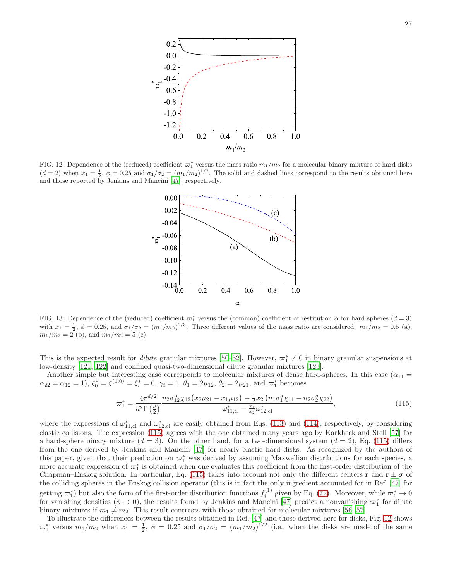

<span id="page-26-1"></span>FIG. 12: Dependence of the (reduced) coefficient  $\varpi_1^*$  versus the mass ratio  $m_1/m_2$  for a molecular binary mixture of hard disks  $(d=2)$  when  $x_1 = \frac{1}{2}$ ,  $\phi = 0.25$  and  $\sigma_1/\sigma_2 = (m_1/m_2)^{1/2}$ . The solid and dashed lines correspond to the results obtained here and those reported by Jenkins and Mancini [\[47](#page-31-0)], respectively.



<span id="page-26-2"></span>FIG. 13: Dependence of the (reduced) coefficient  $\varpi_1^*$  versus the (common) coefficient of restitution  $\alpha$  for hard spheres  $(d=3)$ with  $x_1 = \frac{1}{2}$ ,  $\phi = 0.25$ , and  $\sigma_1/\sigma_2 = (m_1/m_2)^{1/3}$ . Three different values of the mass ratio are considered:  $m_1/m_2 = 0.5$  (a),  $m_1/m_2 = 2$  (b), and  $m_1/m_2 = 5$  (c).

This is the expected result for *dilute* granular mixtures [\[50](#page-31-3)[–52\]](#page-31-30). However,  $\varpi_1^* \neq 0$  in binary granular suspensions at low-density [\[121](#page-33-1), [122](#page-33-2)] and confined quasi-two-dimensional dilute granular mixtures [\[123](#page-33-3)].

Another simple but interesting case corresponds to molecular mixtures of dense hard-spheres. In this case ( $\alpha_{11}$  =  $\alpha_{22} = \alpha_{12} = 1$ ,  $\zeta_0^* = \zeta^{(1,0)} = \xi_i^* = 0$ ,  $\gamma_i = 1$ ,  $\theta_1 = 2\mu_{12}$ ,  $\theta_2 = 2\mu_{21}$ , and  $\varpi_1^*$  becomes

<span id="page-26-0"></span>
$$
\varpi_1^* = \frac{4\pi^{d/2}}{d^2\Gamma\left(\frac{d}{2}\right)} \frac{n_2 \sigma_{12}^d \chi_{12} \left(x_2 \mu_{21} - x_1 \mu_{12}\right) + \frac{1}{2} x_2 \left(n_1 \sigma_1^d \chi_{11} - n_2 \sigma_2^d \chi_{22}\right)}{\omega_{11,el}^* - \frac{x_1}{x_2} \omega_{12,el}^*},\tag{115}
$$

where the expressions of  $\omega_{11,el}^*$  and  $\omega_{12,el}^*$  are easily obtained from Eqs. [\(113\)](#page-25-2) and [\(114\)](#page-25-3), respectively, by considering elastic collisions. The expression [\(115\)](#page-26-0) agrees with the one obtained many years ago by Karkheck and Stell [\[57\]](#page-31-6) for a hard-sphere binary mixture  $(d = 3)$ . On the other hand, for a two-dimensional system  $(d = 2)$ , Eq. [\(115\)](#page-26-0) differs from the one derived by Jenkins and Mancini [\[47](#page-31-0)] for nearly elastic hard disks. As recognized by the authors of this paper, given that their prediction on  $\varpi_1^*$  was derived by assuming Maxwellian distributions for each species, a more accurate expression of  $\varpi_1^*$  is obtained when one evaluates this coefficient from the first-order distribution of the Chapman–Enskog solution. In particular, Eq. [\(115\)](#page-26-0) takes into account not only the different centers r and  $r \pm \sigma$  of the colliding spheres in the Enskog collision operator (this is in fact the only ingredient accounted for in Ref. [\[47](#page-31-0)] for getting  $\varpi_1^*$  but also the form of the first-order distribution functions  $f_i^{(1)}$  given by Eq. [\(72\)](#page-18-2). Moreover, while  $\varpi_1^* \to 0$ for vanishing densities  $(\phi \to 0)$ , the results found by Jenkins and Mancini [\[47\]](#page-31-0) predict a nonvanishing  $\varpi_1^*$  for dilute binary mixtures if  $m_1 \neq m_2$ . This result contrasts with those obtained for molecular mixtures [\[56](#page-31-31), [57](#page-31-6)].

To illustrate the differences between the results obtained in Ref. [\[47\]](#page-31-0) and those derived here for disks, Fig. [12](#page-26-1) shows  $\overline{\omega}_1^*$  versus  $m_1/m_2$  when  $x_1 = \frac{1}{2}$ ,  $\phi = 0.25$  and  $\sigma_1/\sigma_2 = (m_1/m_2)^{1/2}$  (i.e., when the disks are made of the same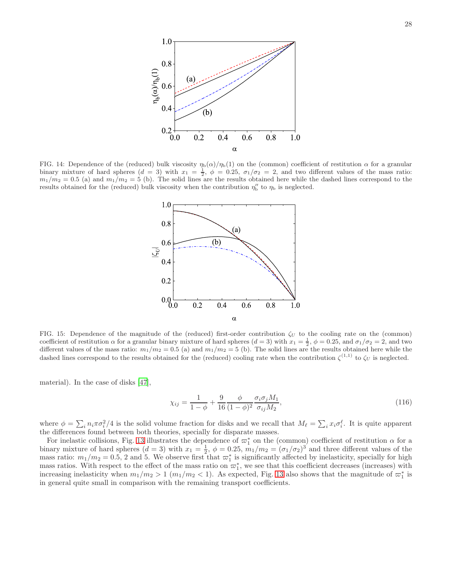

<span id="page-27-0"></span>FIG. 14: Dependence of the (reduced) bulk viscosity  $\eta_b(\alpha)/\eta_b(1)$  on the (common) coefficient of restitution  $\alpha$  for a granular binary mixture of hard spheres  $(d = 3)$  with  $x_1 = \frac{1}{2}$ ,  $\phi = 0.25$ ,  $\sigma_1/\sigma_2 = 2$ , and two different values of the mass ratio:  $m_1/m_2 = 0.5$  (a) and  $m_1/m_2 = 5$  (b). The solid lines are the results obtained here while the dashed lines correspond to the results obtained for the (reduced) bulk viscosity when the contribution  $\eta''_b$  to  $\eta_b$  is neglected.



<span id="page-27-1"></span>FIG. 15: Dependence of the magnitude of the (reduced) first-order contribution  $\zeta_U$  to the cooling rate on the (common) coefficient of restitution  $\alpha$  for a granular binary mixture of hard spheres  $(d = 3)$  with  $x_1 = \frac{1}{2}$ ,  $\phi = 0.25$ , and  $\sigma_1/\sigma_2 = 2$ , and two different values of the mass ratio:  $m_1/m_2 = 0.5$  (a) and  $m_1/m_2 = 5$  (b). The solid lines are the results obtained here while the dashed lines correspond to the results obtained for the (reduced) cooling rate when the contribution  $\zeta^{(1,1)}$  to  $\zeta_U$  is neglected.

material). In the case of disks [\[47\]](#page-31-0),

$$
\chi_{ij} = \frac{1}{1-\phi} + \frac{9}{16} \frac{\phi}{(1-\phi)^2} \frac{\sigma_i \sigma_j M_1}{\sigma_{ij} M_2},\tag{116}
$$

where  $\phi = \sum_i n_i \pi \sigma_i^2/4$  is the solid volume fraction for disks and we recall that  $M_\ell = \sum_i x_i \sigma_i^{\ell}$ . It is quite apparent the differences found between both theories, specially for disparate masses.

For inelastic collisions, Fig. [13](#page-26-2) illustrates the dependence of  $\varpi_1^*$  on the (common) coefficient of restitution  $\alpha$  for a binary mixture of hard spheres  $(d = 3)$  with  $x_1 = \frac{1}{2}$ ,  $\phi = 0.25$ ,  $m_1/m_2 = (\sigma_1/\sigma_2)^3$  and three different values of the mass ratio:  $m_1/m_2 = 0.5$ , 2 and 5. We observe first that  $\varpi_1^*$  is significantly affected by inelasticity, specially for high mass ratios. With respect to the effect of the mass ratio on  $\overline{\omega}_1^*$ , we see that this coefficient decreases (increases) with increasing inelasticity when  $m_1/m_2 > 1$   $(m_1/m_2 < 1)$ . As expected, Fig. [13](#page-26-2) also shows that the magnitude of  $\varpi_1^*$  is in general quite small in comparison with the remaining transport coefficients.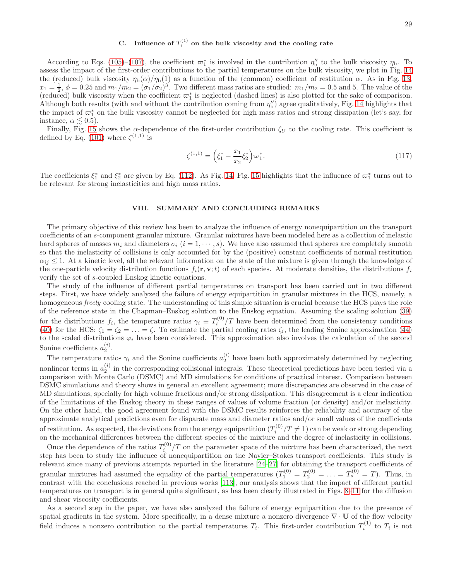# C. Influence of  $T_i^{(1)}$  on the bulk viscosity and the cooling rate

According to Eqs. [\(105\)](#page-24-2)–[\(107\)](#page-24-4), the coefficient  $\varpi_1^*$  is involved in the contribution  $\eta_5''$  to the bulk viscosity  $\eta_{\rm b}$ . To assess the impact of the first-order contributions to the partial temperatures on the bulk viscosity, we plot in Fig. [14](#page-27-0) the (reduced) bulk viscosity  $\eta_{\rm b}(\alpha)/\eta_{\rm b}(1)$  as a function of the (common) coefficient of restitution  $\alpha$ . As in Fig. [13,](#page-26-2)  $x_1 = \frac{1}{2}, \phi = 0.25$  and  $m_1/m_2 = (\sigma_1/\sigma_2)^3$ . Two different mass ratios are studied:  $m_1/m_2 = 0.5$  and 5. The value of the (reduced) bulk viscosity when the coefficient  $\varpi_1^*$  is neglected (dashed lines) is also plotted for the sake of comparison. Although both results (with and without the contribution coming from  $\eta''_b$ ) agree qualitatively, Fig. [14](#page-27-0) highlights that the impact of  $\varpi_1^*$  on the bulk viscosity cannot be neglected for high mass ratios and strong dissipation (let's say, for instance,  $\alpha \leq 0.5$ ).

Finally, Fig. [15](#page-27-1) shows the  $\alpha$ -dependence of the first-order contribution  $\zeta_U$  to the cooling rate. This coefficient is defined by Eq. [\(101\)](#page-24-5) where  $\zeta^{(1,1)}$  is

$$
\zeta^{(1,1)} = \left(\xi_1^* - \frac{x_1}{x_2}\xi_2^*\right)\varpi_1^*.\tag{117}
$$

The coefficients  $\xi_1^*$  and  $\xi_2^*$  are given by Eq. [\(112\)](#page-25-4). As Fig. [14,](#page-27-0) Fig. [15](#page-27-1) highlights that the influence of  $\varpi_1^*$  turns out to be relevant for strong inelasticities and high mass ratios.

#### <span id="page-28-0"></span>VIII. SUMMARY AND CONCLUDING REMARKS

The primary objective of this review has been to analyze the influence of energy nonequipartition on the transport coefficients of an s-component granular mixture. Granular mixtures have been modeled here as a collection of inelastic hard spheres of masses  $m_i$  and diameters  $\sigma_i$   $(i = 1, \dots, s)$ . We have also assumed that spheres are completely smooth so that the inelasticity of collisions is only accounted for by the (positive) constant coefficients of normal restitution  $\alpha_{ij} \leq 1$ . At a kinetic level, all the relevant information on the state of the mixture is given through the knowledge of the one-particle velocity distribution functions  $f_i(\mathbf{r}, \mathbf{v}; t)$  of each species. At moderate densities, the distributions  $f_i$ verify the set of s-coupled Enskog kinetic equations.

The study of the influence of different partial temperatures on transport has been carried out in two different steps. First, we have widely analyzed the failure of energy equipartition in granular mixtures in the HCS, namely, a homogeneous freely cooling state. The understanding of this simple situation is crucial because the HCS plays the role of the reference state in the Chapman–Enskog solution to the Enskog equation. Assuming the scaling solution [\(39\)](#page-7-1) for the distributions  $f_i$ , the temperature ratios  $\gamma_i \equiv T_i^{(0)}/T$  have been determined from the consistency conditions [\(40\)](#page-7-3) for the HCS:  $\zeta_1 = \zeta_2 = \ldots = \zeta$ . To estimate the partial cooling rates  $\zeta_i$ , the leading Sonine approximation [\(44\)](#page-8-1) to the scaled distributions  $\varphi_i$  have been considered. This approximation also involves the calculation of the second Sonine coefficients  $a_2^{(i)}$ .

The temperature ratios  $\gamma_i$  and the Sonine coefficients  $a_2^{(i)}$  have been both approximately determined by neglecting nonlinear terms in  $a_2^{(i)}$  in the corresponding collisional integrals. These theoretical predictions have been tested via a comparison with Monte Carlo (DSMC) and MD simulations for conditions of practical interest. Comparison between DSMC simulations and theory shows in general an excellent agreement; more discrepancies are observed in the case of MD simulations, specially for high volume fractions and/or strong dissipation. This disagreement is a clear indication of the limitations of the Enskog theory in these ranges of values of volume fraction (or density) and/or inelasticity. On the other hand, the good agreement found with the DSMC results reinforces the reliability and accuracy of the approximate analytical predictions even for disparate mass and diameter ratios and/or small values of the coefficients of restitution. As expected, the deviations from the energy equipartition  $(T_i^{(0)}/T \neq 1)$  can be weak or strong depending on the mechanical differences between the different species of the mixture and the degree of inelasticity in collisions.

Once the dependence of the ratios  $T_i^{(0)}/T$  on the parameter space of the mixture has been characterized, the next step has been to study the influence of nonequipartition on the Navier–Stokes transport coefficients. This study is relevant since many of previous attempts reported in the literature [\[24](#page-30-8)[–27\]](#page-30-9) for obtaining the transport coefficients of granular mixtures had assumed the equality of the partial temperatures  $(T_1^{(0)} = T_2^{(0)} = \ldots = T_s^{(0)} = T)$ . Thus, in contrast with the conclusions reached in previous works [\[113\]](#page-32-19), our analysis shows that the impact of different partial temperatures on transport is in general quite significant, as has been clearly illustrated in Figs. [8](#page-21-0)[–11](#page-22-2) for the diffusion and shear viscosity coefficients.

As a second step in the paper, we have also analyzed the failure of energy equipartition due to the presence of spatial gradients in the system. More specifically, in a dense mixture a nonzero divergence  $\nabla \cdot \mathbf{U}$  of the flow velocity field induces a nonzero contribution to the partial temperatures  $T_i$ . This first-order contribution  $T_i^{(1)}$  to  $T_i$  is not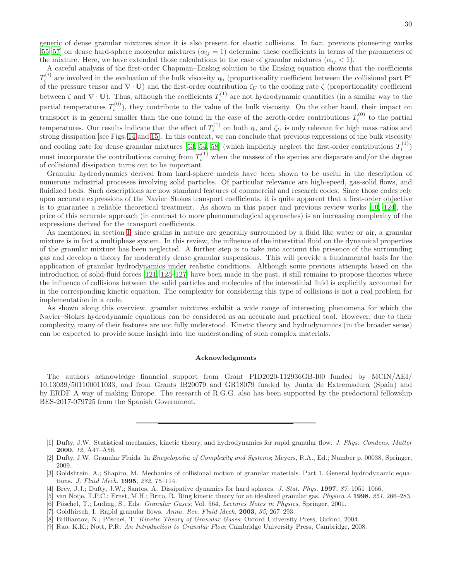generic of dense granular mixtures since it is also present for elastic collisions. In fact, previous pioneering works [\[55](#page-31-5)[–57\]](#page-31-6) on dense hard-sphere molecular mixtures  $(\alpha_{ij} = 1)$  determine these coefficients in terms of the parameters of the mixture. Here, we have extended those calculations to the case of granular mixtures  $(\alpha_{ij} < 1)$ .

A careful analysis of the first-order Chapman–Enskog solution to the Enskog equation shows that the coefficients  $T_i^{(i)}$ <sup>(i)</sup> are involved in the evaluation of the bulk viscosity  $\eta_b$  (proportionality coefficient between the collisional part  $P^c$ of the pressure tensor and  $\nabla \cdot \mathbf{U}$ ) and the first-order contribution  $\zeta_U$  to the cooling rate  $\zeta$  (proportionality coefficient between  $\zeta$  and  $\nabla \cdot \mathbf{U}$ ). Thus, although the coefficients  $T_i^{(1)}$  are not hydrodynamic quantities (in a similar way to the partial temperatures  $T_i^{(0)}$ , they contribute to the value of the bulk viscosity. On the other hand, their impact on transport is in general smaller than the one found in the case of the zeroth-order contributions  $T_i^{(0)}$  to the partial temperatures. Our results indicate that the effect of  $T_i^{(1)}$  on both  $\eta_b$  and  $\zeta_U$  is only relevant for high mass ratios and strong dissipation [see Figs. [14](#page-27-0) and [15\]](#page-27-1). In this context, we can conclude that previous expressions of the bulk viscosity and cooling rate for dense granular mixtures [\[53](#page-31-7), [54,](#page-31-4) [58\]](#page-31-8) (which implicitly neglect the first-order contributions  $T_i^{(1)}$  $i^{(1)}$ must incorporate the contributions coming from  $T_i^{(1)}$  when the masses of the species are disparate and/or the degree of collisional dissipation turns out to be important.

Granular hydrodynamics derived from hard-sphere models have been shown to be useful in the description of numerous industrial processes involving solid particles. Of particular relevance are high-speed, gas-solid flows, and fluidized beds. Such descriptions are now standard features of commercial and research codes. Since those codes rely upon accurate expressions of the Navier–Stokes transport coefficients, it is quite apparent that a first-order objective is to guarantee a reliable theoretical treatment. As shown in this paper and previous review works [\[10](#page-30-0), [124](#page-33-4)], the price of this accurate approach (in contrast to more phenomenological approaches) is an increasing complexity of the expressions derived for the transport coefficients.

As mentioned in section [I,](#page-0-0) since grains in nature are generally surrounded by a fluid like water or air, a granular mixture is in fact a multiphase system. In this review, the influence of the interstitial fluid on the dynamical properties of the granular mixture has been neglected. A further step is to take into account the presence of the surrounding gas and develop a theory for moderately dense granular suspensions. This will provide a fundamental basis for the application of granular hydrodynamics under realistic conditions. Although some previous attempts based on the introduction of solid-fluid forces [\[121](#page-33-1), [125](#page-33-5)[–127](#page-33-6)] have been made in the past, it still remains to propose theories where the influence of collisions between the solid particles and molecules of the interestitial fluid is explicitly accounted for in the corresponding kinetic equation. The complexity for considering this type of collisions is not a real problem for implementation in a code.

As shown along this overview, granular mixtures exhibit a wide range of interesting phenomena for which the Navier–Stokes hydrodynamic equations can be considered as an accurate and practical tool. However, due to their complexity, many of their features are not fully understood. Kinetic theory and hydrodynamics (in the broader sense) can be expected to provide some insight into the understanding of such complex materials.

### Acknowledgments

The authors acknowledge financial support from Grant PID2020-112936GB-I00 funded by MCIN/AEI/ 10.13039/501100011033, and from Grants IB20079 and GR18079 funded by Junta de Extremadura (Spain) and by ERDF A way of making Europe. The research of R.G.G. also has been supported by the predoctoral fellowship BES-2017-079725 from the Spanish Government.

<span id="page-29-2"></span>[8] Brilliantov, N.; Pöschel, T. Kinetic Theory of Granular Gases; Oxford University Press, Oxford, 2004.

<span id="page-29-0"></span><sup>[1]</sup> Dufty, J.W. Statistical mechanics, kinetic theory, and hydrodynamics for rapid granular flow. J. Phys: Condens. Matter 2000, 12, A47–A56.

<span id="page-29-1"></span><sup>[2]</sup> Dufty, J.W. Granular Fluids. In Encyclopedia of Complexity and Systems; Meyers, R.A., Ed.; Number p. 00038, Springer, 2009.

<sup>[3]</sup> Goldshtein, A.; Shapiro, M. Mechanics of collisional motion of granular materials. Part 1. General hydrodynamic equations. J. Fluid Mech. 1995, 282, 75–114.

<sup>[4]</sup> Brey, J.J.; Dufty, J.W.; Santos, A. Dissipative dynamics for hard spheres. J. Stat. Phys. 1997, 87, 1051-1066.

<sup>[5]</sup> van Noije, T.P.C.; Ernst, M.H.; Brito, R. Ring kinetic theory for an idealized granular gas. Physica A 1998, 251, 266–283.

<sup>[6]</sup> Pöschel, T.; Luding, S., Eds. Granular Gases; Vol. 564, Lectures Notes in Physics, Springer, 2001.

<sup>[7]</sup> Goldhirsch, I. Rapid granular flows. Annu. Rev. Fluid Mech. 2003, 35, 267-293.

<sup>[9]</sup> Rao, K.K.; Nott, P.R. An Introduction to Granular Flow; Cambridge University Press, Cambridge, 2008.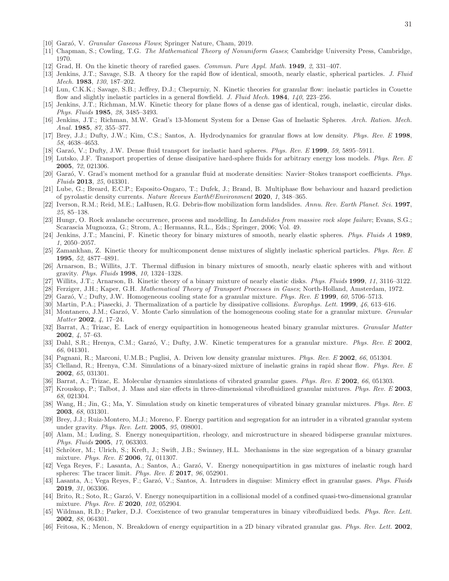- <span id="page-30-0"></span>[10] Garzó, V. Granular Gaseous Flows; Springer Nature, Cham, 2019.
- <span id="page-30-1"></span>[11] Chapman, S.; Cowling, T.G. The Mathematical Theory of Nonuniform Gases; Cambridge University Press, Cambridge, 1970.
- <span id="page-30-2"></span>[12] Grad, H. On the kinetic theory of rarefied gases. Commun. Pure Appl. Math. 1949, 2, 331–407.
- <span id="page-30-3"></span>[13] Jenkins, J.T.; Savage, S.B. A theory for the rapid flow of identical, smooth, nearly elastic, spherical particles. J. Fluid Mech. 1983, 130, 187–202.
- [14] Lun, C.K.K.; Savage, S.B.; Jeffrey, D.J.; Chepurniy, N. Kinetic theories for granular flow: inelastic particles in Couette flow and slightly inelastic particles in a general flowfield. J. Fluid Mech. 1984, 140, 223–256.
- [15] Jenkins, J.T.; Richman, M.W. Kinetic theory for plane flows of a dense gas of identical, rough, inelastic, circular disks. Phys. Fluids 1985, 28, 3485–3493.
- [16] Jenkins, J.T.; Richman, M.W. Grad's 13-Moment System for a Dense Gas of Inelastic Spheres. Arch. Ration. Mech. Anal. 1985, 87, 355-377.
- [17] Brey, J.J.; Dufty, J.W.; Kim, C.S.; Santos, A. Hydrodynamics for granular flows at low density. Phys. Rev. E 1998, 58, 4638–4653.
- [18] Garzó, V.; Dufty, J.W. Dense fluid transport for inelastic hard spheres. Phys. Rev. E 1999, 59, 5895–5911.
- [19] Lutsko, J.F. Transport properties of dense dissipative hard-sphere fluids for arbitrary energy loss models. Phys. Rev. E 2005, 72, 021306.
- <span id="page-30-4"></span>[20] Garzó, V. Grad's moment method for a granular fluid at moderate densities: Navier–Stokes transport coefficients. Phys. Fluids 2013, 25, 043301.
- <span id="page-30-5"></span>[21] Lube, G.; Breard, E.C.P.; Esposito-Ongaro, T.; Dufek, J.; Brand, B. Multiphase flow behaviour and hazard prediction of pyrolastic density currents. Nature Revews Earth&Environment 2020, 1, 348–365.
- <span id="page-30-6"></span>[22] Iverson, R.M.; Reid, M.E.; LaHusen, R.G. Debris-flow mobilization form landslides. Annu. Rev. Earth Planet. Sci. 1997, 25, 85–138.
- <span id="page-30-7"></span>[23] Hungr, O. Rock avalanche occurrence, process and modelling. In Landslides from massive rock slope failure; Evans, S.G.; Scarascia Mugnozza, G.; Strom, A.; Hermanns, R.L., Eds.; Springer, 2006; Vol. 49.
- <span id="page-30-8"></span>[24] Jenkins, J.T.; Mancini, F. Kinetic theory for binary mixtures of smooth, nearly elastic spheres. Phys. Fluids A 1989, 1, 2050–2057.
- [25] Zamankhan, Z. Kinetic theory for multicomponent dense mixtures of slightly inelastic spherical particles. Phys. Rev. E 1995, 52, 4877–4891.
- [26] Arnarson, B.; Willits, J.T. Thermal diffusion in binary mixtures of smooth, nearly elastic spheres with and without gravity. Phys. Fluids 1998, 10, 1324–1328.
- <span id="page-30-9"></span>[27] Willits, J.T.; Arnarson, B. Kinetic theory of a binary mixture of nearly elastic disks. Phys. Fluids 1999, 11, 3116–3122.
- <span id="page-30-10"></span>[28] Ferziger, J.H.; Kaper, G.H. Mathematical Theory of Transport Processes in Gases; North-Holland, Amsterdam, 1972.
- <span id="page-30-11"></span>[29] Garzó, V.; Dufty, J.W. Homogeneous cooling state for a granular mixture. Phys. Rev. E 1999, 60, 5706–5713.
- <span id="page-30-12"></span>[30] Martin, P.A.; Piasecki, J. Thermalization of a particle by dissipative collisions. *Europhys. Lett.* **1999**, 46, 613–616.
- <span id="page-30-13"></span>[31] Montanero, J.M.; Garzó, V. Monte Carlo simulation of the homogeneous cooling state for a granular mixture. *Granular* Matter 2002, 4, 17–24.
- [32] Barrat, A.; Trizac, E. Lack of energy equipartition in homogeneous heated binary granular mixtures. Granular Matter 2002, 4, 57–63.
- <span id="page-30-17"></span>[33] Dahl, S.R.; Hrenya, C.M.; Garzó, V.; Dufty, J.W. Kinetic temperatures for a granular mixture. Phys. Rev. E 2002, 66, 041301.
- [34] Pagnani, R.; Marconi, U.M.B.; Puglisi, A. Driven low density granular mixtures. Phys. Rev. E 2002, 66, 051304.
- [35] Clelland, R.; Hrenya, C.M. Simulations of a binary-sized mixture of inelastic grains in rapid shear flow. Phys. Rev. E 2002, 65, 031301.
- [36] Barrat, A.; Trizac, E. Molecular dynamics simulations of vibrated granular gases. *Phys. Rev. E* 2002, 66, 051303.
- [37] Krouskop, P.; Talbot, J. Mass and size effects in three-dimensional vibrofluidized granular mixtures. Phys. Rev. E 2003. 68, 021304.
- [38] Wang, H.; Jin, G.; Ma, Y. Simulation study on kinetic temperatures of vibrated binary granular mixtures. Phys. Rev. E 2003, 68, 031301.
- <span id="page-30-18"></span>[39] Brey, J.J.; Ruiz-Montero, M.J.; Moreno, F. Energy partition and segregation for an intruder in a vibrated granular system under gravity. Phys. Rev. Lett. **2005**, 95, 098001.
- [40] Alam, M.; Luding, S. Energy nonequipartition, rheology, and microstructure in sheared bidisperse granular mixtures. Phys. Fluids 2005, 17, 063303.
- [41] Schröter, M.; Ulrich, S.; Kreft, J.; Swift, J.B.; Swinney, H.L. Mechanisms in the size segregation of a binary granular mixture. Phys. Rev. E 2006, 74, 011307.
- [42] Vega Reyes, F.; Lasanta, A.; Santos, A.; Garzó, V. Energy nonequipartition in gas mixtures of inelastic rough hard spheres: The tracer limit. Phys. Rev. E 2017, 96, 052901.
- [43] Lasanta, A.; Vega Reyes, F.; Garzó, V.; Santos, A. Intruders in disguise: Mimicry effect in granular gases. Phys. Fluids 2019, 31, 063306.
- <span id="page-30-14"></span>[44] Brito, R.; Soto, R.; Garzó, V. Energy nonequipartition in a collisional model of a confined quasi-two-dimensional granular mixture. Phys. Rev. E 2020, 102, 052904.
- <span id="page-30-15"></span>[45] Wildman, R.D.; Parker, D.J. Coexistence of two granular temperatures in binary vibrofluidized beds. Phys. Rev. Lett. 2002, 88, 064301.
- <span id="page-30-16"></span>[46] Feitosa, K.; Menon, N. Breakdown of energy equipartition in a 2D binary vibrated granular gas. Phys. Rev. Lett. 2002,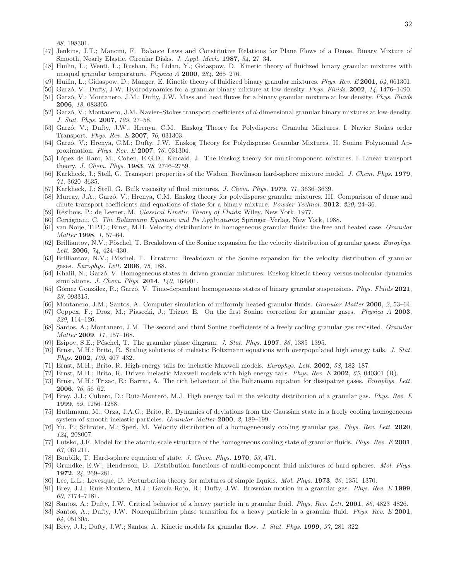88, 198301.

- <span id="page-31-0"></span>[47] Jenkins, J.T.; Mancini, F. Balance Laws and Constitutive Relations for Plane Flows of a Dense, Binary Mixture of Smooth, Nearly Elastic, Circular Disks. J. Appl. Mech. 1987, 54, 27-34.
- <span id="page-31-1"></span>[48] Huilin, L.; Wenti, L.; Rushan, B.; Lidan, Y.; Gidaspow, D. Kinetic theory of fluidized binary granular mixtures with unequal granular temperature. Physica  $A$  2000, 284, 265–276.
- <span id="page-31-2"></span>[49] Huilin, L.; Gidaspow, D.; Manger, E. Kinetic theory of fluidized binary granular mixtures. Phys. Rev. E 2001, 64, 061301.
- <span id="page-31-3"></span>[50] Garzó, V.; Dufty, J.W. Hydrodynamics for a granular binary mixture at low density. Phys. Fluids. 2002, 14, 1476–1490.
- [51] Garzó, V.; Montanero, J.M.; Dufty, J.W. Mass and heat fluxes for a binary granular mixture at low density. Phys. Fluids 2006, 18, 083305.
- <span id="page-31-30"></span>[52] Garz´o, V.; Montanero, J.M. Navier–Stokes transport coefficients of d-dimensional granular binary mixtures at low-density. J. Stat. Phys. 2007, 129, 27–58.
- <span id="page-31-7"></span>[53] Garzó, V.; Dufty, J.W.; Hrenya, C.M. Enskog Theory for Polydisperse Granular Mixtures. I. Navier–Stokes order Transport. *Phys. Rev. E* 2007, 76, 031303.
- <span id="page-31-4"></span>[54] Garzó, V.; Hrenya, C.M.; Dufty, J.W. Enskog Theory for Polydisperse Granular Mixtures. II. Sonine Polynomial Approximation. *Phys. Rev. E* 2007, 76, 031304.
- <span id="page-31-5"></span>[55] López de Haro, M.; Cohen, E.G.D.; Kincaid, J. The Enskog theory for multicomponent mixtures. I. Linear transport theory. J. Chem. Phys. 1983, 78, 2746–2759.
- <span id="page-31-31"></span>[56] Karkheck, J.; Stell, G. Transport properties of the Widom–Rowlinson hard-sphere mixture model. J. Chem. Phys. 1979, 71, 3620–3635.
- <span id="page-31-6"></span>[57] Karkheck, J.; Stell, G. Bulk viscosity of fluid mixtures. J. Chem. Phys. 1979, 71, 3636–3639.
- <span id="page-31-8"></span>[58] Murray, J.A.; Garzó, V.; Hrenya, C.M. Enskog theory for polydisperse granular mixtures. III. Comparison of dense and dilute transport coefficients and equations of state for a binary mixture. Powder Technol. 2012, 220, 24–36.
- <span id="page-31-9"></span>[59] Résibois, P.; de Leener, M. Classical Kinetic Theory of Fluids; Wiley, New York, 1977.
- <span id="page-31-10"></span>[60] Cercignani, C. The Boltzmann Equation and Its Applications; Springer–Verlag, New York, 1988.
- <span id="page-31-11"></span>[61] van Noije, T.P.C.; Ernst, M.H. Velocity distributions in homogeneous granular fluids: the free and heated case. *Granular* Matter 1998, 1, 57–64.
- <span id="page-31-12"></span>[62] Brilliantov, N.V.; Pöschel, T. Breakdown of the Sonine expansion for the velocity distribution of granular gases. Europhys. Lett. **2006**, 74, 424-430.
- <span id="page-31-13"></span>[63] Brilliantov, N.V.; Pöschel, T. Erratum: Breakdown of the Sonine expansion for the velocity distribution of granular gases. Europhys. Lett. 2006, 75, 188.
- <span id="page-31-14"></span>[64] Khalil, N.; Garz´o, V. Homogeneous states in driven granular mixtures: Enskog kinetic theory versus molecular dynamics simulations. J. Chem. Phys. 2014, 140, 164901.
- <span id="page-31-15"></span>[65] Gómez González, R.; Garzó, V. Time-dependent homogeneous states of binary granular suspensions. Phys. Fluids 2021, 33, 093315.
- <span id="page-31-16"></span>[66] Montanero, J.M.; Santos, A. Computer simulation of uniformly heated granular fluids. *Granular Matter* 2000, 2, 53–64.
- [67] Coppex, F.; Droz, M.; Piasecki, J.; Trizac, E. On the first Sonine correction for granular gases. Physica A 2003, 329, 114–126.
- <span id="page-31-17"></span>[68] Santos, A.; Montanero, J.M. The second and third Sonine coefficients of a freely cooling granular gas revisited. Granular Matter 2009, 11, 157–168.
- <span id="page-31-18"></span>[69] Esipov, S.E.; Pöschel, T. The granular phase diagram. J. Stat. Phys.  $1997$ , 86, 1385–1395.
- [70] Ernst, M.H.; Brito, R. Scaling solutions of inelastic Boltzmann equations with overpopulated high energy tails. J. Stat. Phys. 2002, 109, 407-432.
- [71] Ernst, M.H.; Brito, R. High-energy tails for inelastic Maxwell models. Europhys. Lett. 2002, 58, 182–187.
- [72] Ernst, M.H.; Brito, R. Driven inelastic Maxwell models with high energy tails. *Phys. Rev. E* 2002, 65, 040301 (R).
- <span id="page-31-19"></span>[73] Ernst, M.H.; Trizac, E.; Barrat, A. The rich behaviour of the Boltzmann equation for dissipative gases. Europhys. Lett. 2006, 76, 56–62.
- <span id="page-31-20"></span>[74] Brey, J.J.; Cubero, D.; Ruiz-Montero, M.J. High energy tail in the velocity distribution of a granular gas. Phys. Rev. E 1999, 59, 1256–1258.
- <span id="page-31-21"></span>[75] Huthmann, M.; Orza, J.A.G.; Brito, R. Dynamics of deviations from the Gaussian state in a freely cooling homogeneous system of smooth inelastic particles. Granular Matter 2000, 2, 189–199.
- <span id="page-31-22"></span>[76] Yu, P.; Schröter, M.; Sperl, M. Velocity distribution of a homogeneously cooling granular gas. Phys. Rev. Lett. 2020, 124, 208007.
- <span id="page-31-23"></span>[77] Lutsko, J.F. Model for the atomic-scale structure of the homogeneous cooling state of granular fluids. Phys. Rev. E 2001, 63, 061211.
- <span id="page-31-24"></span>[78] Boublik, T. Hard-sphere equation of state. J. Chem. Phys. 1970, 53, 471.
- [79] Grundke, E.W.; Henderson, D. Distribution functions of multi-component fluid mixtures of hard spheres. Mol. Phys. 1972, 24, 269–281.
- <span id="page-31-25"></span>[80] Lee, L.L.; Levesque, D. Perturbation theory for mixtures of simple liquids. Mol. Phys. 1973, 26, 1351–1370.
- <span id="page-31-26"></span>[81] Brey, J.J.; Ruiz-Montero, M.J.; García-Rojo, R.; Dufty, J.W. Brownian motion in a granular gas. Phys. Rev. E 1999, 60, 7174–7181.
- <span id="page-31-27"></span>[82] Santos, A.; Dufty, J.W. Critical behavior of a heavy particle in a granular fluid. Phys. Rev. Lett. 2001, 86, 4823-4826.
- <span id="page-31-28"></span>[83] Santos, A.; Dufty, J.W. Nonequilibrium phase transition for a heavy particle in a granular fluid. Phys. Rev. E 2001, 64, 051305.
- <span id="page-31-29"></span>[84] Brey, J.J.; Dufty, J.W.; Santos, A. Kinetic models for granular flow. J. Stat. Phys. 1999, 97, 281–322.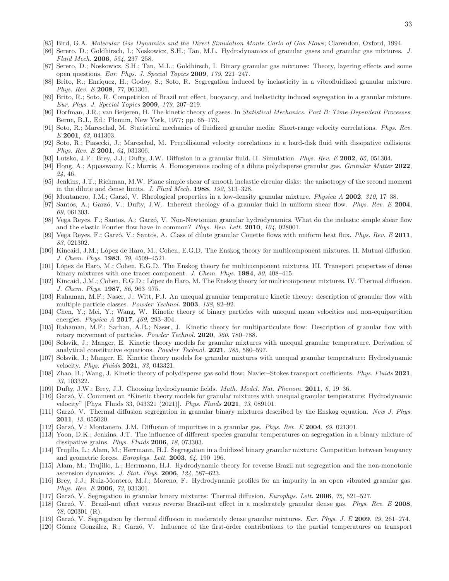- <span id="page-32-0"></span>[85] Bird, G.A. Molecular Gas Dynamics and the Direct Simulation Monte Carlo of Gas Flows; Clarendon, Oxford, 1994.
- <span id="page-32-1"></span>[86] Serero, D.; Goldhirsch, I.; Noskowicz, S.H.; Tan, M.L. Hydrodynamics of granular gases and granular gas mixtures. J. Fluid Mech. 2006, 554, 237–258.
- <span id="page-32-10"></span>[87] Serero, D.; Noskowicz, S.H.; Tan, M.L.; Goldhirsch, I. Binary granular gas mixtures: Theory, layering effects and some open questions. Eur. Phys. J. Special Topics 2009, 179, 221–247.
- [88] Brito, R.; Enríquez, H.; Godoy, S.; Soto, R. Segregation induced by inelasticity in a vibrofluidized granular mixture. Phys. Rev. E 2008, 77, 061301.
- <span id="page-32-2"></span>[89] Brito, R.; Soto, R. Competition of Brazil nut effect, buoyancy, and inelasticity induced segregation in a granular mixture. Eur. Phys. J. Special Topics 2009, 179, 207–219.
- <span id="page-32-3"></span>[90] Dorfman, J.R.; van Beijeren, H. The kinetic theory of gases. In Statistical Mechanics. Part B: Time-Dependent Processes; Berne, B.J., Ed.; Plenum, New York, 1977; pp. 65–179.
- <span id="page-32-4"></span>[91] Soto, R.; Mareschal, M. Statistical mechanics of fluidized granular media: Short-range velocity correlations. Phys. Rev. E 2001, 63, 041303.
- <span id="page-32-5"></span>[92] Soto, R.; Piasecki, J.; Mareschal, M. Precollisional velocity correlations in a hard-disk fluid with dissipative collisions. Phys. Rev. E 2001, 64, 031306.
- <span id="page-32-6"></span>[93] Lutsko, J.F.; Brey, J.J.; Dufty, J.W. Diffusion in a granular fluid. II. Simulation. Phys. Rev. E 2002, 65, 051304.
- <span id="page-32-7"></span>[94] Hong, A.; Appaswamy, K.; Morris, A. Homogeneous cooling of a dilute polydisperse granular gas. *Granular Matter* 2022, 24, 46.
- <span id="page-32-8"></span>[95] Jenkins, J.T.; Richman, M.W. Plane simple shear of smooth inelastic circular disks: the anisotropy of the second moment in the dilute and dense limits. J. Fluid Mech. 1988, 192, 313-328.
- [96] Montanero, J.M.; Garzó, V. Rheological properties in a low-density granular mixture. *Physica A* 2002, 310, 17–38.
- [97] Santos, A.; Garzó, V.; Dufty, J.W. Inherent rheology of a granular fluid in uniform shear flow. Phys. Rev. E 2004, 69, 061303.
- [98] Vega Reyes, F.; Santos, A.; Garzó, V. Non-Newtonian granular hydrodynamics. What do the inelastic simple shear flow and the elastic Fourier flow have in common? Phys. Rev. Lett. 2010, 104, 028001.
- <span id="page-32-9"></span>[99] Vega Reyes, F.; Garzó, V.; Santos, A. Class of dilute granular Couette flows with uniform heat flux. Phys. Rev. E 2011, 83, 021302.
- <span id="page-32-11"></span>[100] Kincaid, J.M.; L´opez de Haro, M.; Cohen, E.G.D. The Enskog theory for multicomponent mixtures. II. Mutual diffusion. J. Chem. Phys. 1983, 79, 4509–4521.
- [101] López de Haro, M.; Cohen, E.G.D. The Enskog theory for multicomponent mixtures. III. Transport properties of dense binary mixtures with one tracer component. J. Chem. Phys. 1984, 80, 408–415.
- <span id="page-32-12"></span>[102] Kincaid, J.M.; Cohen, E.G.D.; L´opez de Haro, M. The Enskog theory for multicomponent mixtures. IV. Thermal diffusion. J. Chem. Phys. 1987, 86, 963–975.
- <span id="page-32-13"></span>[103] Rahaman, M.F.; Naser, J.; Witt, P.J. An unequal granular temperature kinetic theory: description of granular flow with multiple particle classes. Powder Technol. 2003, 138, 82–92.
- [104] Chen, Y.; Mei, Y.; Wang, W. Kinetic theory of binary particles with unequal mean velocities and non-equipartition energies. Physica A 2017, 469, 293–304.
- [105] Rahaman, M.F.; Sarhan, A.R.; Naser, J. Kinetic theory for multiparticulate flow: Description of granular flow with rotary movement of particles. Powder Technol. 2020, 360, 780–788.
- [106] Solsvik, J.; Manger, E. Kinetic theory models for granular mixtures with unequal granular temperature. Derivation of analytical constitutive equations. Powder Technol. 2021, 385, 580–597.
- <span id="page-32-16"></span>[107] Solsvik, J.; Manger, E. Kinetic theory models for granular mixtures with unequal granular temperature: Hydrodynamic velocity. Phys. Fluids 2021, 33, 043321.
- <span id="page-32-14"></span>[108] Zhao, B.; Wang, J. Kinetic theory of polydisperse gas-solid flow: Navier–Stokes transport coefficients. Phys. Fluids 2021, 33, 103322.
- <span id="page-32-15"></span>[109] Dufty, J.W.; Brey, J.J. Choosing hydrodynamic fields. Math. Model. Nat. Phenom. 2011, 6, 19–36.
- <span id="page-32-17"></span>[110] Garz´o, V. Comment on "Kinetic theory models for granular mixtures with unequal granular temperature: Hydrodynamic velocity" [Phys. Fluids 33, 043321 (2021)]. Phys. Fluids 2021, 33, 089101.
- <span id="page-32-18"></span>[111] Garzó, V. Thermal diffusion segregation in granular binary mixtures described by the Enskog equation. New J. Phys. 2011, 13, 055020.
- <span id="page-32-22"></span>[112] Garzó, V.; Montanero, J.M. Diffusion of impurities in a granular gas. Phys. Rev. E 2004, 69, 021301.
- <span id="page-32-19"></span>[113] Yoon, D.K.; Jenkins, J.T. The influence of different species granular temperatures on segregation in a binary mixture of dissipative grains. Phys. Fluids 2006, 18, 073303.
- <span id="page-32-20"></span>[114] Trujillo, L.; Alam, M.; Herrmann, H.J. Segregation in a fluidized binary granular mixture: Competition between buoyancy and geometric forces. Europhys. Lett. 2003, 64, 190–196.
- [115] Alam, M.; Trujillo, L.; Herrmann, H.J. Hydrodynamic theory for reverse Brazil nut segregation and the non-monotonic ascension dynamics. J. Stat. Phys. 2006, 124, 587–623.
- [116] Brey, J.J.; Ruiz-Montero, M.J.; Moreno, F. Hydrodynamic profiles for an impurity in an open vibrated granular gas. Phys. Rev. E 2006, 73, 031301.
- [117] Garzó, V. Segregation in granular binary mixtures: Thermal diffusion. Europhys. Lett. 2006, 75, 521–527.
- [118] Garzó, V. Brazil-nut effect versus reverse Brazil-nut effect in a moderately granular dense gas. Phys. Rev. E 2008, 78, 020301 (R).
- <span id="page-32-21"></span>[119] Garzó, V. Segregation by thermal diffusion in moderately dense granular mixtures. Eur. Phys. J. E 2009, 29, 261–274.
- <span id="page-32-23"></span>[120] Gómez González, R.; Garzó, V. Influence of the first-order contributions to the partial temperatures on transport